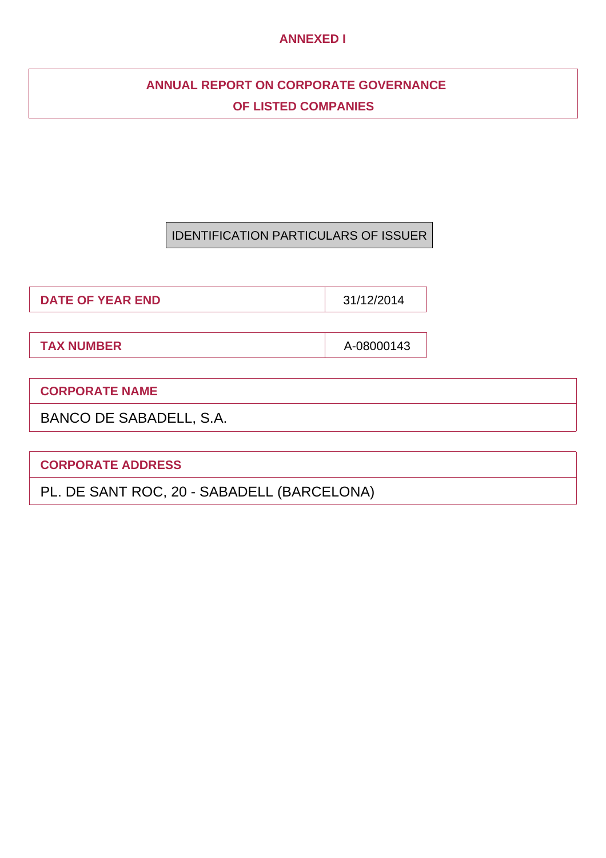## **ANNEXED I**

## **ANNUAL REPORT ON CORPORATE GOVERNANCE OF LISTED COMPANIES**

## IDENTIFICATION PARTICULARS OF ISSUER

**DATE OF YEAR END** 31/12/2014

**TAX NUMBER** A-08000143

**CORPORATE NAME**

BANCO DE SABADELL, S.A.

**CORPORATE ADDRESS**

PL. DE SANT ROC, 20 - SABADELL (BARCELONA)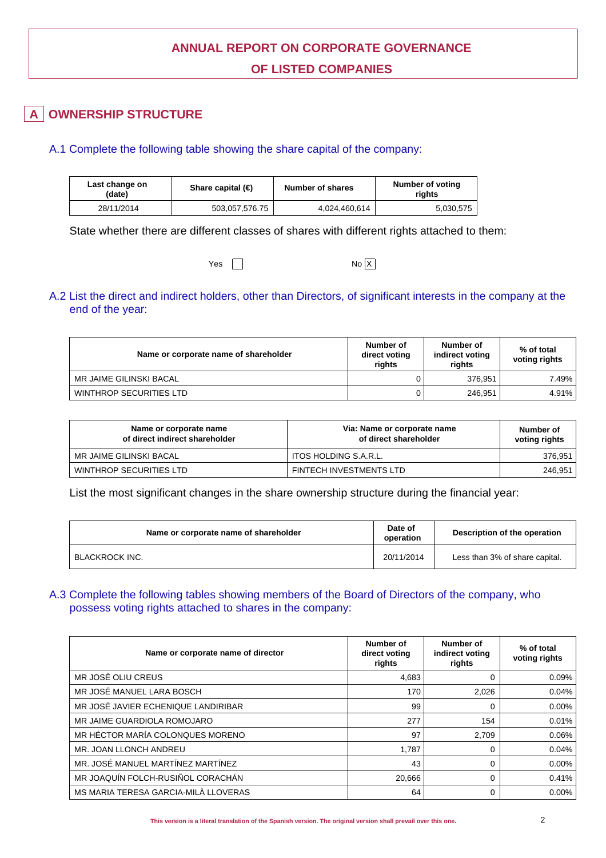## **ANNUAL REPORT ON CORPORATE GOVERNANCE OF LISTED COMPANIES**

## **OWNERSHIP STRUCTURE**

## A.1 Complete the following table showing the share capital of the company:

| Last change on<br>(date) | Share capital $(\bigoplus$ | <b>Number of shares</b> | Number of voting<br>riahts |  |
|--------------------------|----------------------------|-------------------------|----------------------------|--|
| 28/11/2014               | 503,057,576.75             | 4,024,460,614           | 5,030,575                  |  |

State whether there are different classes of shares with different rights attached to them:

| Yes | No X |
|-----|------|
|-----|------|

## A.2 List the direct and indirect holders, other than Directors, of significant interests in the company at the end of the year:

| Name or corporate name of shareholder | Number of<br>direct voting<br>riahts | Number of<br>indirect voting<br>riahts | % of total<br>voting rights |
|---------------------------------------|--------------------------------------|----------------------------------------|-----------------------------|
| MR JAIME GILINSKI BACAL               |                                      | 376.951                                | 7.49% l                     |
| WINTHROP SECURITIES LTD               |                                      | 246.951                                | 4.91% l                     |

| Name or corporate name<br>of direct indirect shareholder | Via: Name or corporate name<br>of direct shareholder | Number of<br>voting rights |
|----------------------------------------------------------|------------------------------------------------------|----------------------------|
| MR JAIME GILINSKI BACAL                                  | ITOS HOLDING S.A.R.L.                                | 376,951                    |
| WINTHROP SECURITIES LTD                                  | FINTECH INVESTMENTS LTD                              | 246,951                    |

List the most significant changes in the share ownership structure during the financial year:

| Name or corporate name of shareholder | Date of<br>Description of the operation<br>operation |                                |
|---------------------------------------|------------------------------------------------------|--------------------------------|
| BLACKROCK INC.                        | 20/11/2014                                           | Less than 3% of share capital. |

A.3 Complete the following tables showing members of the Board of Directors of the company, who possess voting rights attached to shares in the company:

| Name or corporate name of director   | Number of<br>direct voting<br>rights | Number of<br>indirect voting<br>rights | % of total<br>voting rights |
|--------------------------------------|--------------------------------------|----------------------------------------|-----------------------------|
| MR JOSÉ OLIU CREUS                   | 4,683                                | 0                                      | $0.09\%$                    |
| MR JOSÉ MANUEL LARA BOSCH            | 170                                  | 2,026                                  | 0.04%                       |
| MR JOSÉ JAVIER ECHENIQUE LANDIRIBAR  | 99                                   | 0                                      | $0.00\%$                    |
| MR JAIME GUARDIOLA ROMOJARO          | 277                                  | 154                                    | 0.01%                       |
| MR HÉCTOR MARÍA COLONQUES MORENO     | 97                                   | 2.709                                  | $0.06\%$                    |
| MR. JOAN LLONCH ANDREU               | 1.787                                | 0                                      | 0.04%                       |
| MR. JOSÉ MANUEL MARTÍNEZ MARTÍNEZ    | 43                                   | 0                                      | $0.00\%$                    |
| MR JOAQUÍN FOLCH-RUSIÑOL CORACHÁN    | 20,666                               | 0                                      | 0.41%                       |
| MS MARIA TERESA GARCIA-MILÀ LLOVERAS | 64                                   | 0                                      | $0.00\%$                    |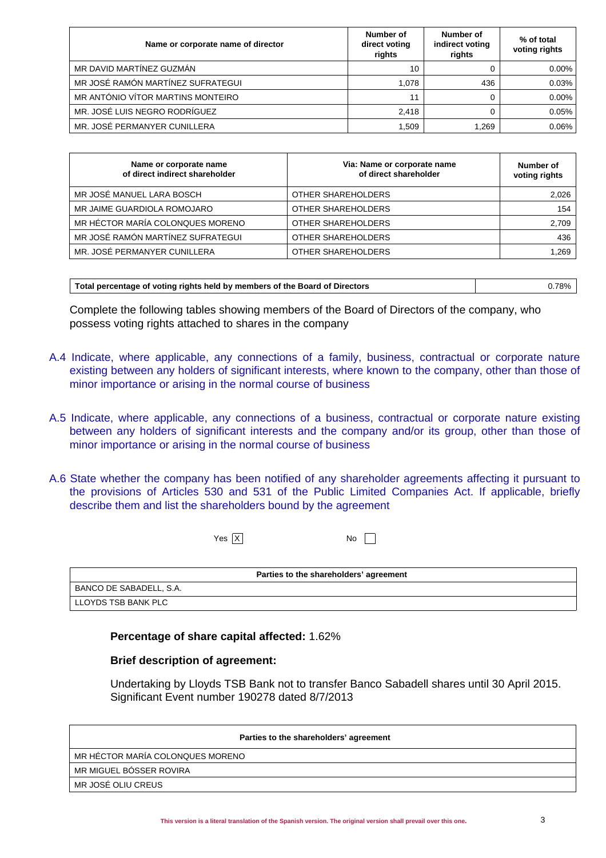| Name or corporate name of director | Number of<br>direct voting<br>rights | Number of<br>indirect voting<br>rights | % of total<br>voting rights |
|------------------------------------|--------------------------------------|----------------------------------------|-----------------------------|
| MR DAVID MARTÍNEZ GUZMÁN           | 10                                   |                                        | $0.00\%$                    |
| MR JOSÉ RAMÓN MARTÍNEZ SUFRATEGUI  | 1.078                                | 436                                    | 0.03%                       |
| MR ANTÓNIO VÍTOR MARTINS MONTEIRO  | 11                                   |                                        | $0.00\%$                    |
| MR. JOSÉ LUIS NEGRO RODRÍGUEZ      | 2,418                                |                                        | 0.05%                       |
| MR. JOSÉ PERMANYER CUNILLERA       | 1,509                                | 1.269                                  | 0.06%                       |

| Name or corporate name<br>of direct indirect shareholder | Via: Name or corporate name<br>of direct shareholder | Number of<br>voting rights |
|----------------------------------------------------------|------------------------------------------------------|----------------------------|
| MR JOSÉ MANUEL LARA BOSCH                                | OTHER SHAREHOLDERS                                   | 2,026                      |
| MR JAIME GUARDIOLA ROMOJARO                              | OTHER SHAREHOLDERS                                   | 154                        |
| MR HÉCTOR MARÍA COLONQUES MORENO                         | OTHER SHAREHOLDERS                                   | 2,709                      |
| MR JOSÉ RAMÓN MARTÍNEZ SUFRATEGUI                        | OTHER SHAREHOLDERS                                   | 436                        |
| MR. JOSÉ PERMANYER CUNILLERA                             | OTHER SHAREHOLDERS                                   | 1.269                      |

| Total percentage of voting rights held by members of the Board of Directors | $0.78\%$ |
|-----------------------------------------------------------------------------|----------|
|-----------------------------------------------------------------------------|----------|

Complete the following tables showing members of the Board of Directors of the company, who possess voting rights attached to shares in the company

- A.4 Indicate, where applicable, any connections of a family, business, contractual or corporate nature existing between any holders of significant interests, where known to the company, other than those of minor importance or arising in the normal course of business
- A.5 Indicate, where applicable, any connections of a business, contractual or corporate nature existing between any holders of significant interests and the company and/or its group, other than those of minor importance or arising in the normal course of business
- A.6 State whether the company has been notified of any shareholder agreements affecting it pursuant to the provisions of Articles 530 and 531 of the Public Limited Companies Act. If applicable, briefly describe them and list the shareholders bound by the agreement

 $Yes \overline{X}$  No  $\Box$ 

| Parties to the shareholders' agreement |
|----------------------------------------|
| BANCO DE SABADELL, S.A.                |
| LLOYDS TSB BANK PLC                    |

**Percentage of share capital affected:** 1.62%

### **Brief description of agreement:**

Undertaking by Lloyds TSB Bank not to transfer Banco Sabadell shares until 30 April 2015. Significant Event number 190278 dated 8/7/2013

| Parties to the shareholders' agreement |
|----------------------------------------|
| MR HÉCTOR MARÍA COLONQUES MORENO       |
| MR MIGUEL BÓSSER ROVIRA                |
| MR JOSÉ OLIU CREUS                     |
|                                        |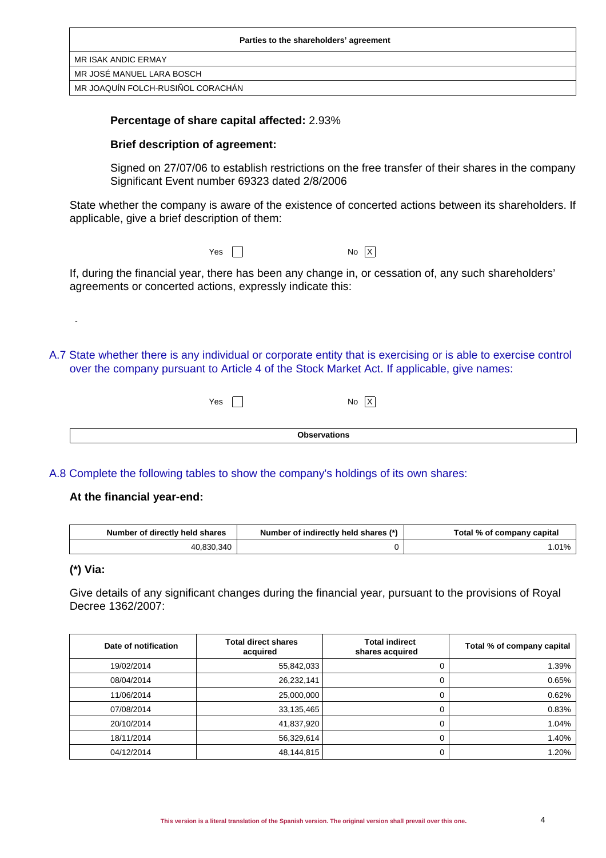| Parties to the shareholders' agreement |
|----------------------------------------|
| MR ISAK ANDIC ERMAY                    |
| MR JOSÉ MANUEL LARA BOSCH              |
| MR JOAQUÍN FOLCH-RUSIÑOL CORACHÁN      |

### **Percentage of share capital affected:** 2.93%

### **Brief description of agreement:**

Signed on 27/07/06 to establish restrictions on the free transfer of their shares in the company Significant Event number 69323 dated 2/8/2006

State whether the company is aware of the existence of concerted actions between its shareholders. If applicable, give a brief description of them:

| Yes $\sqrt{ }$ | No X |  |
|----------------|------|--|
|----------------|------|--|

If, during the financial year, there has been any change in, or cessation of, any such shareholders' agreements or concerted actions, expressly indicate this:

A.7 State whether there is any individual or corporate entity that is exercising or is able to exercise control over the company pursuant to Article 4 of the Stock Market Act. If applicable, give names:

| Yes |                     | ΙX<br>No |  |
|-----|---------------------|----------|--|
|     |                     |          |  |
|     | <b>Observations</b> |          |  |

A.8 Complete the following tables to show the company's holdings of its own shares:

### **At the financial year-end:**

| Number of directly held shares | Number of indirectly held shares (*) | Total % of company capital |
|--------------------------------|--------------------------------------|----------------------------|
| 40,830,340                     |                                      | .01%                       |

### **(\*) Via:**

-

Give details of any significant changes during the financial year, pursuant to the provisions of Royal Decree 1362/2007:

| Date of notification | <b>Total direct shares</b><br>acquired | <b>Total indirect</b><br>shares acquired | Total % of company capital |
|----------------------|----------------------------------------|------------------------------------------|----------------------------|
| 19/02/2014           | 55,842,033                             |                                          | 1.39%                      |
| 08/04/2014           | 26,232,141                             |                                          | 0.65%                      |
| 11/06/2014           | 25,000,000                             |                                          | 0.62%                      |
| 07/08/2014           | 33,135,465                             |                                          | 0.83%                      |
| 20/10/2014           | 41,837,920                             |                                          | 1.04%                      |
| 18/11/2014           | 56,329,614                             |                                          | 1.40%                      |
| 04/12/2014           | 48,144,815                             |                                          | 1.20%                      |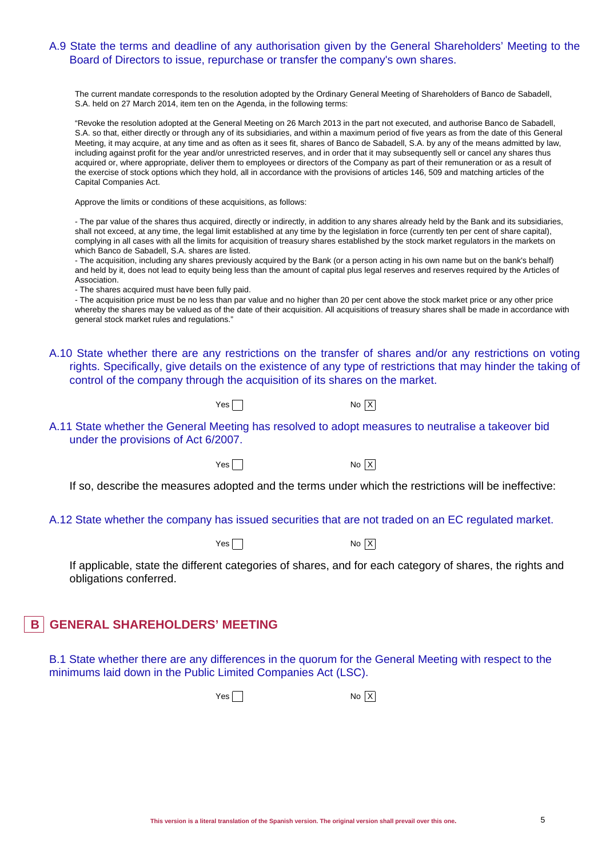### A.9 State the terms and deadline of any authorisation given by the General Shareholders' Meeting to the Board of Directors to issue, repurchase or transfer the company's own shares.

The current mandate corresponds to the resolution adopted by the Ordinary General Meeting of Shareholders of Banco de Sabadell, S.A. held on 27 March 2014, item ten on the Agenda, in the following terms:

"Revoke the resolution adopted at the General Meeting on 26 March 2013 in the part not executed, and authorise Banco de Sabadell, S.A. so that, either directly or through any of its subsidiaries, and within a maximum period of five years as from the date of this General Meeting, it may acquire, at any time and as often as it sees fit, shares of Banco de Sabadell, S.A. by any of the means admitted by law, including against profit for the year and/or unrestricted reserves, and in order that it may subsequently sell or cancel any shares thus acquired or, where appropriate, deliver them to employees or directors of the Company as part of their remuneration or as a result of the exercise of stock options which they hold, all in accordance with the provisions of articles 146, 509 and matching articles of the Capital Companies Act.

Approve the limits or conditions of these acquisitions, as follows:

- The par value of the shares thus acquired, directly or indirectly, in addition to any shares already held by the Bank and its subsidiaries, shall not exceed, at any time, the legal limit established at any time by the legislation in force (currently ten per cent of share capital), complying in all cases with all the limits for acquisition of treasury shares established by the stock market regulators in the markets on which Banco de Sabadell, S.A. shares are listed.

- The acquisition, including any shares previously acquired by the Bank (or a person acting in his own name but on the bank's behalf) and held by it, does not lead to equity being less than the amount of capital plus legal reserves and reserves required by the Articles of Association.

- The shares acquired must have been fully paid.

- The acquisition price must be no less than par value and no higher than 20 per cent above the stock market price or any other price whereby the shares may be valued as of the date of their acquisition. All acquisitions of treasury shares shall be made in accordance with general stock market rules and regulations."

- A.10 State whether there are any restrictions on the transfer of shares and/or any restrictions on voting rights. Specifically, give details on the existence of any type of restrictions that may hinder the taking of control of the company through the acquisition of its shares on the market.
	- $Yes \frown$
- A.11 State whether the General Meeting has resolved to adopt measures to neutralise a takeover bid under the provisions of Act 6/2007.

 $Yes \n\begin{array}{ccc}\n\hline\n\end{array}$  No  $X$ 

If so, describe the measures adopted and the terms under which the restrictions will be ineffective:

### A.12 State whether the company has issued securities that are not traded on an EC regulated market.

 $Yes \frown$ 

If applicable, state the different categories of shares, and for each category of shares, the rights and obligations conferred.

## **B** GENERAL SHAREHOLDERS' MEETING

B.1 State whether there are any differences in the quorum for the General Meeting with respect to the minimums laid down in the Public Limited Companies Act (LSC).

 $Yes \frown$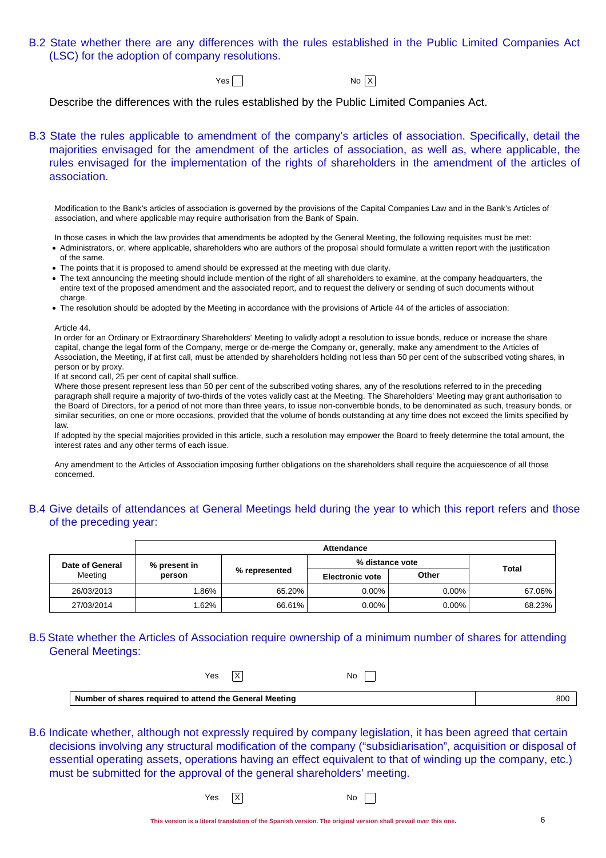B.2 State whether there are any differences with the rules established in the Public Limited Companies Act (LSC) for the adoption of company resolutions.

 $Yes \frown$ 

Describe the differences with the rules established by the Public Limited Companies Act.

B.3 State the rules applicable to amendment of the company's articles of association. Specifically, detail the majorities envisaged for the amendment of the articles of association, as well as, where applicable, the rules envisaged for the implementation of the rights of shareholders in the amendment of the articles of association.

Modification to the Bank's articles of association is governed by the provisions of the Capital Companies Law and in the Bank's Articles of association, and where applicable may require authorisation from the Bank of Spain.

In those cases in which the law provides that amendments be adopted by the General Meeting, the following requisites must be met:

- Administrators, or, where applicable, shareholders who are authors of the proposal should formulate a written report with the justification of the same.
- The points that it is proposed to amend should be expressed at the meeting with due clarity.
- The text announcing the meeting should include mention of the right of all shareholders to examine, at the company headquarters, the entire text of the proposed amendment and the associated report, and to request the delivery or sending of such documents without charge.
- The resolution should be adopted by the Meeting in accordance with the provisions of Article 44 of the articles of association:

#### Article 44.

In order for an Ordinary or Extraordinary Shareholders' Meeting to validly adopt a resolution to issue bonds, reduce or increase the share capital, change the legal form of the Company, merge or de-merge the Company or, generally, make any amendment to the Articles of Association, the Meeting, if at first call, must be attended by shareholders holding not less than 50 per cent of the subscribed voting shares, in person or by proxy.

If at second call, 25 per cent of capital shall suffice.

Where those present represent less than 50 per cent of the subscribed voting shares, any of the resolutions referred to in the preceding paragraph shall require a majority of two-thirds of the votes validly cast at the Meeting. The Shareholders' Meeting may grant authorisation to the Board of Directors, for a period of not more than three years, to issue non-convertible bonds, to be denominated as such, treasury bonds, or similar securities, on one or more occasions, provided that the volume of bonds outstanding at any time does not exceed the limits specified by law.

If adopted by the special majorities provided in this article, such a resolution may empower the Board to freely determine the total amount, the interest rates and any other terms of each issue.

Any amendment to the Articles of Association imposing further obligations on the shareholders shall require the acquiescence of all those concerned.

## B.4 Give details of attendances at General Meetings held during the year to which this report refers and those of the preceding year:

|                 | <b>Attendance</b>               |               |                        |          |        |
|-----------------|---------------------------------|---------------|------------------------|----------|--------|
| Date of General | % distance vote<br>% present in |               | <b>Total</b>           |          |        |
| Meeting         | person                          | % represented | <b>Electronic vote</b> | Other    |        |
| 26/03/2013      | .86%                            | 65.20%        | $0.00\%$               | $0.00\%$ | 67.06% |
| 27/03/2014      | .62%                            | 66.61%        | $0.00\%$               | $0.00\%$ | 68.23% |

### B.5 State whether the Articles of Association require ownership of a minimum number of shares for attending General Meetings:

| Yes                                                     | ⌒ | No |     |
|---------------------------------------------------------|---|----|-----|
| Number of shares required to attend the General Meeting |   |    | 800 |

B.6 Indicate whether, although not expressly required by company legislation, it has been agreed that certain decisions involving any structural modification of the company ("subsidiarisation", acquisition or disposal of essential operating assets, operations having an effect equivalent to that of winding up the company, etc.) must be submitted for the approval of the general shareholders' meeting.

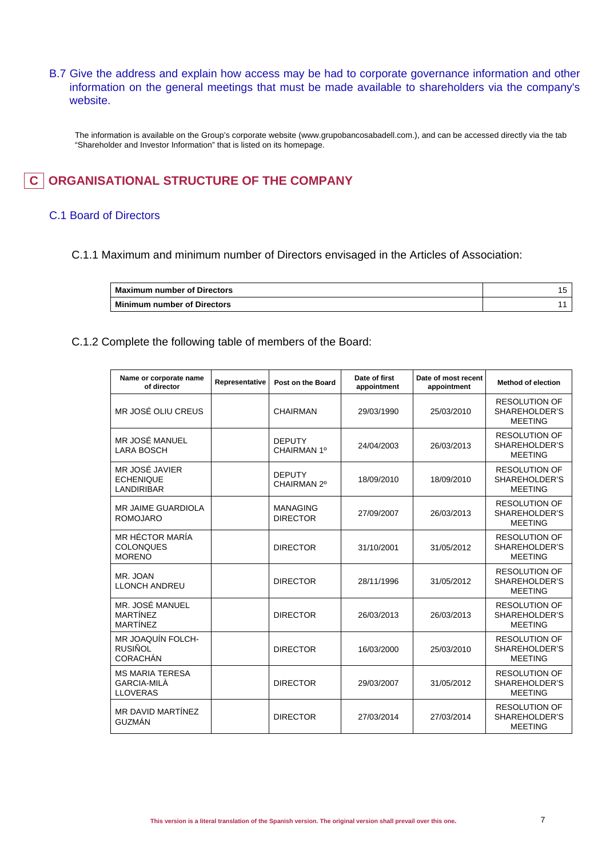B.7 Give the address and explain how access may be had to corporate governance information and other information on the general meetings that must be made available to shareholders via the company's website.

The information is available on the Group's corporate website (www.grupobancosabadell.com.), and can be accessed directly via the tab "Shareholder and Investor Information" that is listed on its homepage.

## **C** ORGANISATIONAL STRUCTURE OF THE COMPANY

### C.1 Board of Directors

C.1.1 Maximum and minimum number of Directors envisaged in the Articles of Association:

| <b>Maximum number of Directors</b> |  |
|------------------------------------|--|
| Minimum number of Directors        |  |

C.1.2 Complete the following table of members of the Board:

| Name or corporate name<br>of director                           | Representative | Post on the Board                  | Date of first<br>appointment | Date of most recent<br>appointment | <b>Method of election</b>                               |
|-----------------------------------------------------------------|----------------|------------------------------------|------------------------------|------------------------------------|---------------------------------------------------------|
| MR JOSÉ OLIU CREUS                                              |                | <b>CHAIRMAN</b>                    | 29/03/1990                   | 25/03/2010                         | <b>RESOLUTION OF</b><br>SHAREHOLDER'S<br><b>MEETING</b> |
| MR JOSÉ MANUEL<br><b>LARA BOSCH</b>                             |                | <b>DEPUTY</b><br>CHAIRMAN 1º       | 24/04/2003                   | 26/03/2013                         | <b>RESOLUTION OF</b><br>SHAREHOLDER'S<br><b>MEETING</b> |
| MR JOSÉ JAVIER<br><b>ECHENIQUE</b><br><b>LANDIRIBAR</b>         |                | <b>DEPUTY</b><br>CHAIRMAN 2º       | 18/09/2010                   | 18/09/2010                         | <b>RESOLUTION OF</b><br>SHAREHOLDER'S<br><b>MEETING</b> |
| <b>MR JAIME GUARDIOLA</b><br><b>ROMOJARO</b>                    |                | <b>MANAGING</b><br><b>DIRECTOR</b> | 27/09/2007                   | 26/03/2013                         | <b>RESOLUTION OF</b><br>SHAREHOLDER'S<br><b>MEETING</b> |
| MR HÉCTOR MARÍA<br><b>COLONQUES</b><br><b>MORENO</b>            |                | <b>DIRECTOR</b>                    | 31/10/2001                   | 31/05/2012                         | <b>RESOLUTION OF</b><br>SHAREHOLDER'S<br><b>MEETING</b> |
| MR. JOAN<br><b>LLONCH ANDREU</b>                                |                | <b>DIRECTOR</b>                    | 28/11/1996                   | 31/05/2012                         | <b>RESOLUTION OF</b><br>SHAREHOLDER'S<br><b>MEETING</b> |
| MR. JOSÉ MANUEL<br><b>MARTÍNEZ</b><br><b>MARTÍNEZ</b>           |                | <b>DIRECTOR</b>                    | 26/03/2013                   | 26/03/2013                         | <b>RESOLUTION OF</b><br>SHAREHOLDER'S<br><b>MEETING</b> |
| <b>MR JOAQUÍN FOLCH-</b><br>RUSIÑOL<br><b>CORACHÁN</b>          |                | <b>DIRECTOR</b>                    | 16/03/2000                   | 25/03/2010                         | <b>RESOLUTION OF</b><br>SHAREHOLDER'S<br><b>MEETING</b> |
| <b>MS MARIA TERESA</b><br><b>GARCIA-MILÀ</b><br><b>LLOVERAS</b> |                | <b>DIRECTOR</b>                    | 29/03/2007                   | 31/05/2012                         | <b>RESOLUTION OF</b><br>SHAREHOLDER'S<br><b>MEETING</b> |
| MR DAVID MARTÍNEZ<br><b>GUZMÁN</b>                              |                | <b>DIRECTOR</b>                    | 27/03/2014                   | 27/03/2014                         | <b>RESOLUTION OF</b><br>SHAREHOLDER'S<br><b>MEETING</b> |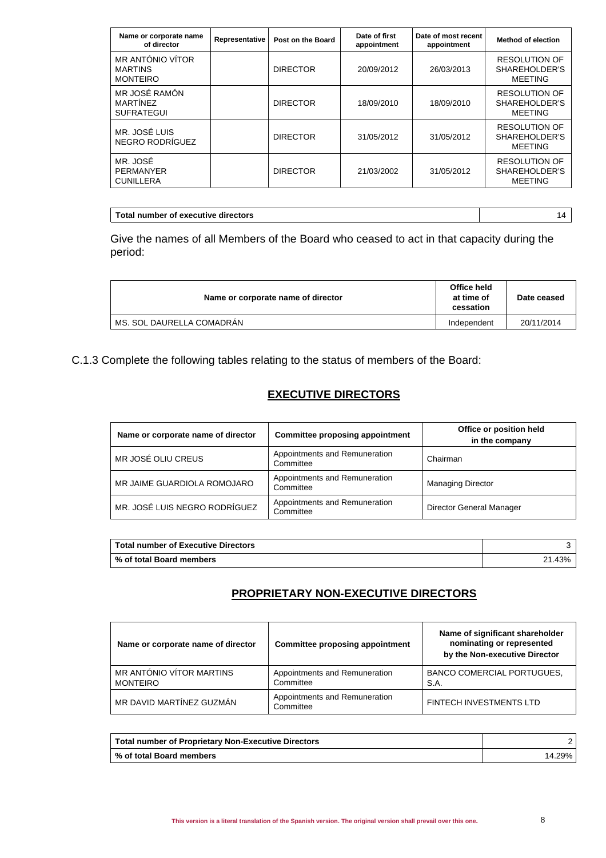| Name or corporate name<br>of director                 | Representative | Post on the Board | Date of first<br>appointment | Date of most recent<br>appointment | <b>Method of election</b>                               |
|-------------------------------------------------------|----------------|-------------------|------------------------------|------------------------------------|---------------------------------------------------------|
| MR ANTÓNIO VÍTOR<br><b>MARTINS</b><br><b>MONTEIRO</b> |                | <b>DIRECTOR</b>   | 20/09/2012                   | 26/03/2013                         | <b>RESOLUTION OF</b><br>SHAREHOLDER'S<br><b>MEETING</b> |
| MR JOSÉ RAMÓN<br><b>MARTÍNEZ</b><br><b>SUFRATEGUI</b> |                | <b>DIRECTOR</b>   | 18/09/2010                   | 18/09/2010                         | <b>RESOLUTION OF</b><br>SHAREHOLDER'S<br><b>MEETING</b> |
| MR. JOSÉ LUIS<br>NEGRO RODRÍGUEZ                      |                | <b>DIRECTOR</b>   | 31/05/2012                   | 31/05/2012                         | <b>RESOLUTION OF</b><br>SHAREHOLDER'S<br><b>MEETING</b> |
| MR. JOSÉ<br><b>PERMANYER</b><br><b>CUNILLERA</b>      |                | <b>DIRECTOR</b>   | 21/03/2002                   | 31/05/2012                         | <b>RESOLUTION OF</b><br>SHAREHOLDER'S<br><b>MEETING</b> |

| Total number of executive directors |  |
|-------------------------------------|--|
|                                     |  |

Give the names of all Members of the Board who ceased to act in that capacity during the period:

| Name or corporate name of director | Office held<br>at time of<br>cessation | Date ceased |
|------------------------------------|----------------------------------------|-------------|
| MS. SOL DAURELLA COMADRAN          | Independent                            | 20/11/2014  |

C.1.3 Complete the following tables relating to the status of members of the Board:

## **EXECUTIVE DIRECTORS**

| Name or corporate name of director | <b>Committee proposing appointment</b>     | Office or position held<br>in the company |
|------------------------------------|--------------------------------------------|-------------------------------------------|
| MR JOSÉ OLIU CREUS                 | Appointments and Remuneration<br>Committee | Chairman                                  |
| MR JAIME GUARDIOLA ROMOJARO        | Appointments and Remuneration<br>Committee | <b>Managing Director</b>                  |
| MR. JOSÉ LUIS NEGRO RODRÍGUEZ      | Appointments and Remuneration<br>Committee | Director General Manager                  |

| <b>Total number of Executive Directors</b> |            |
|--------------------------------------------|------------|
| % of total Board members                   | 43%<br>າ 1 |

## **PROPRIETARY NON-EXECUTIVE DIRECTORS**

| Name or corporate name of director          | Committee proposing appointment            | Name of significant shareholder<br>nominating or represented<br>by the Non-executive Director |
|---------------------------------------------|--------------------------------------------|-----------------------------------------------------------------------------------------------|
| MR ANTÓNIO VÍTOR MARTINS<br><b>MONTEIRO</b> | Appointments and Remuneration<br>Committee | <b>BANCO COMERCIAL PORTUGUES.</b><br>S.A.                                                     |
| MR DAVID MARTÍNEZ GUZMÁN                    | Appointments and Remuneration<br>Committee | FINTECH INVESTMENTS LTD                                                                       |

| <b>Total number of Proprietary Non-Executive Directors</b> |        |
|------------------------------------------------------------|--------|
| % of total Board members                                   | 14.29% |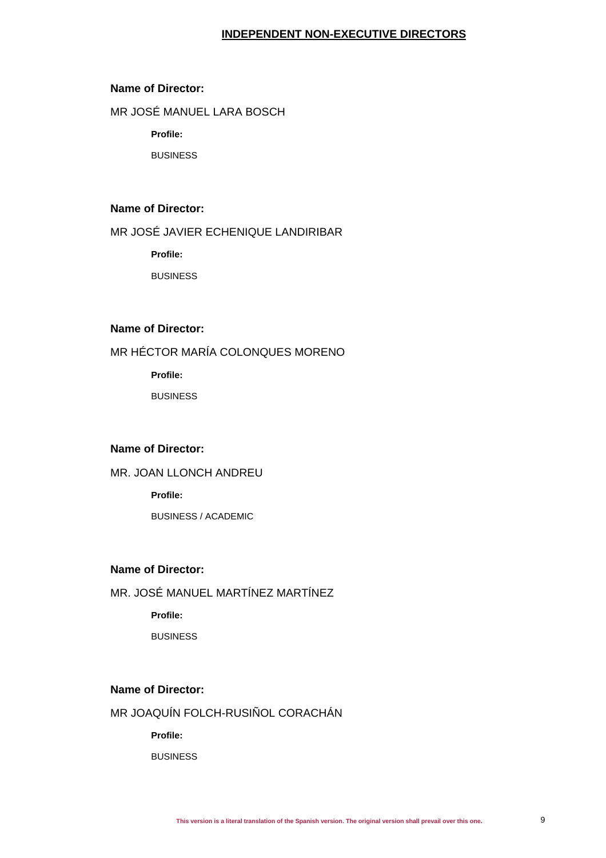## **INDEPENDENT NON-EXECUTIVE DIRECTORS**

### **Name of Director:**

MR JOSÉ MANUEL LARA BOSCH

**Profile:**

BUSINESS

### **Name of Director:**

MR JOSÉ JAVIER ECHENIQUE LANDIRIBAR

**Profile:**

**BUSINESS** 

## **Name of Director:**

MR HÉCTOR MARÍA COLONQUES MORENO

**Profile:**

BUSINESS

### **Name of Director:**

MR. JOAN LLONCH ANDREU

**Profile:**

BUSINESS / ACADEMIC

## **Name of Director:**

MR. JOSÉ MANUEL MARTÍNEZ MARTÍNEZ

**Profile:**

BUSINESS

### **Name of Director:**

MR JOAQUÍN FOLCH-RUSIÑOL CORACHÁN

**Profile:**

BUSINESS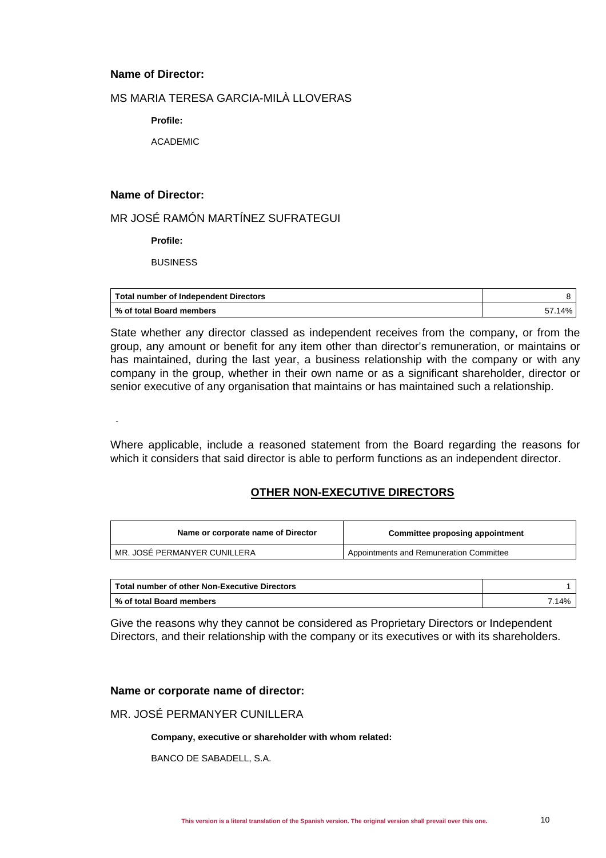### **Name of Director:**

## MS MARIA TERESA GARCIA-MILÀ LLOVERAS

**Profile:**

ACADEMIC

### **Name of Director:**

-

## MR JOSÉ RAMÓN MARTÍNEZ SUFRATEGUI

**Profile:**

**BUSINESS** 

| Total number of Independent Directors |        |
|---------------------------------------|--------|
| % of total Board members              | 57.14% |

State whether any director classed as independent receives from the company, or from the group, any amount or benefit for any item other than director's remuneration, or maintains or has maintained, during the last year, a business relationship with the company or with any company in the group, whether in their own name or as a significant shareholder, director or senior executive of any organisation that maintains or has maintained such a relationship.

Where applicable, include a reasoned statement from the Board regarding the reasons for which it considers that said director is able to perform functions as an independent director.

## **OTHER NON-EXECUTIVE DIRECTORS**

| Name or corporate name of Director | Committee proposing appointment         |
|------------------------------------|-----------------------------------------|
| MR. JOSÉ PERMANYER CUNILLERA       | Appointments and Remuneration Committee |

| Total number of other Non-Executive Directors |       |  |
|-----------------------------------------------|-------|--|
| Ⅰ % of total Board members                    | 7.14% |  |

Give the reasons why they cannot be considered as Proprietary Directors or Independent Directors, and their relationship with the company or its executives or with its shareholders.

### **Name or corporate name of director:**

## MR. JOSÉ PERMANYER CUNILLERA

### **Company, executive or shareholder with whom related:**

BANCO DE SABADELL, S.A.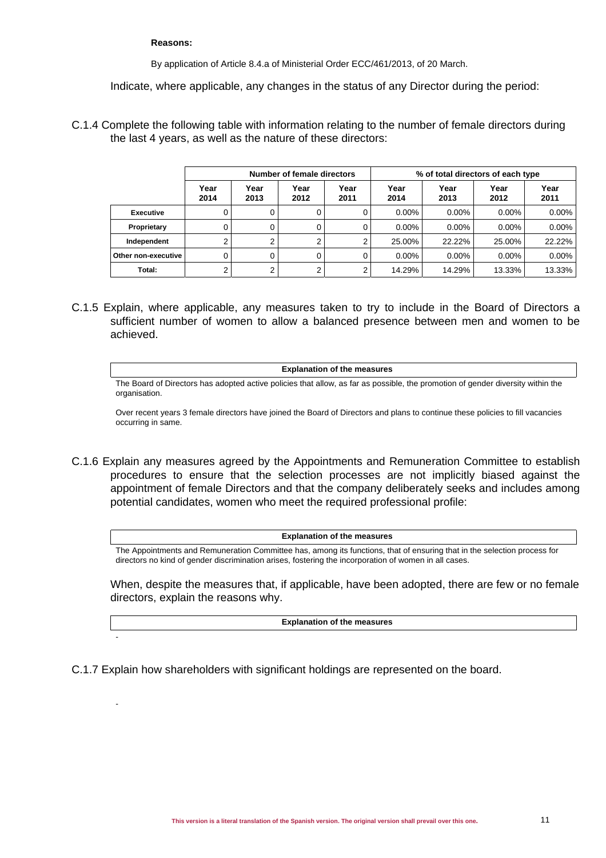### **Reasons:**

-

-

By application of Article 8.4.a of Ministerial Order ECC/461/2013, of 20 March.

Indicate, where applicable, any changes in the status of any Director during the period:

C.1.4 Complete the following table with information relating to the number of female directors during the last 4 years, as well as the nature of these directors:

|                     | Number of female directors |              |              | % of total directors of each type |              |              |              |              |
|---------------------|----------------------------|--------------|--------------|-----------------------------------|--------------|--------------|--------------|--------------|
|                     | Year<br>2014               | Year<br>2013 | Year<br>2012 | Year<br>2011                      | Year<br>2014 | Year<br>2013 | Year<br>2012 | Year<br>2011 |
| <b>Executive</b>    | 0                          |              |              |                                   | $0.00\%$     | $0.00\%$     | $0.00\%$     | $0.00\%$     |
| Proprietary         | 0                          |              | <sup>0</sup> |                                   | $0.00\%$     | $0.00\%$     | $0.00\%$     | $0.00\%$     |
| Independent         | 2                          |              | ົ            |                                   | 25.00%       | 22.22%       | 25.00%       | 22.22%       |
| Other non-executive | 0                          | 0            |              |                                   | $0.00\%$     | $0.00\%$     | $0.00\%$     | $0.00\%$     |
| Total:              | 2                          | ◠            | ⌒            |                                   | 14.29%       | 14.29%       | 13.33%       | 13.33%       |

- C.1.5 Explain, where applicable, any measures taken to try to include in the Board of Directors a sufficient number of women to allow a balanced presence between men and women to be achieved.
	- **Explanation of the measures** The Board of Directors has adopted active policies that allow, as far as possible, the promotion of gender diversity within the organisation.

Over recent years 3 female directors have joined the Board of Directors and plans to continue these policies to fill vacancies occurring in same.

C.1.6 Explain any measures agreed by the Appointments and Remuneration Committee to establish procedures to ensure that the selection processes are not implicitly biased against the appointment of female Directors and that the company deliberately seeks and includes among potential candidates, women who meet the required professional profile:

### **Explanation of the measures**

The Appointments and Remuneration Committee has, among its functions, that of ensuring that in the selection process for directors no kind of gender discrimination arises, fostering the incorporation of women in all cases.

When, despite the measures that, if applicable, have been adopted, there are few or no female directors, explain the reasons why.

**Explanation of the measures**

C.1.7 Explain how shareholders with significant holdings are represented on the board.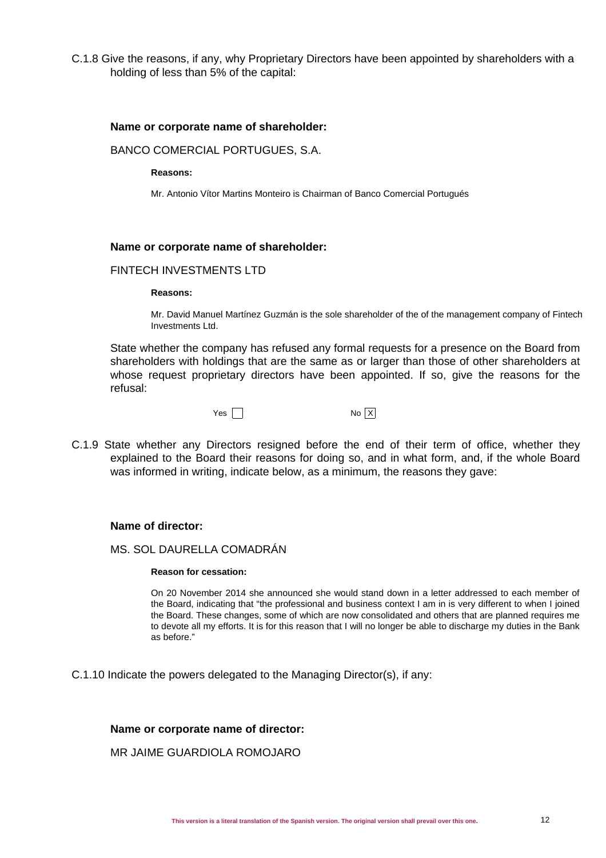C.1.8 Give the reasons, if any, why Proprietary Directors have been appointed by shareholders with a holding of less than 5% of the capital:

### **Name or corporate name of shareholder:**

BANCO COMERCIAL PORTUGUES, S.A.

### **Reasons:**

Mr. Antonio Vítor Martins Monteiro is Chairman of Banco Comercial Portugués

### **Name or corporate name of shareholder:**

### FINTECH INVESTMENTS LTD

#### **Reasons:**

Mr. David Manuel Martínez Guzmán is the sole shareholder of the of the management company of Fintech Investments Ltd.

State whether the company has refused any formal requests for a presence on the Board from shareholders with holdings that are the same as or larger than those of other shareholders at whose request proprietary directors have been appointed. If so, give the reasons for the refusal:

Yes No X

C.1.9 State whether any Directors resigned before the end of their term of office, whether they explained to the Board their reasons for doing so, and in what form, and, if the whole Board was informed in writing, indicate below, as a minimum, the reasons they gave:

### **Name of director:**

### MS. SOL DAURELLA COMADRÁN

#### **Reason for cessation:**

On 20 November 2014 she announced she would stand down in a letter addressed to each member of the Board, indicating that "the professional and business context I am in is very different to when I joined the Board. These changes, some of which are now consolidated and others that are planned requires me to devote all my efforts. It is for this reason that I will no longer be able to discharge my duties in the Bank as before."

C.1.10 Indicate the powers delegated to the Managing Director(s), if any:

### **Name or corporate name of director:**

### MR JAIME GUARDIOLA ROMOJARO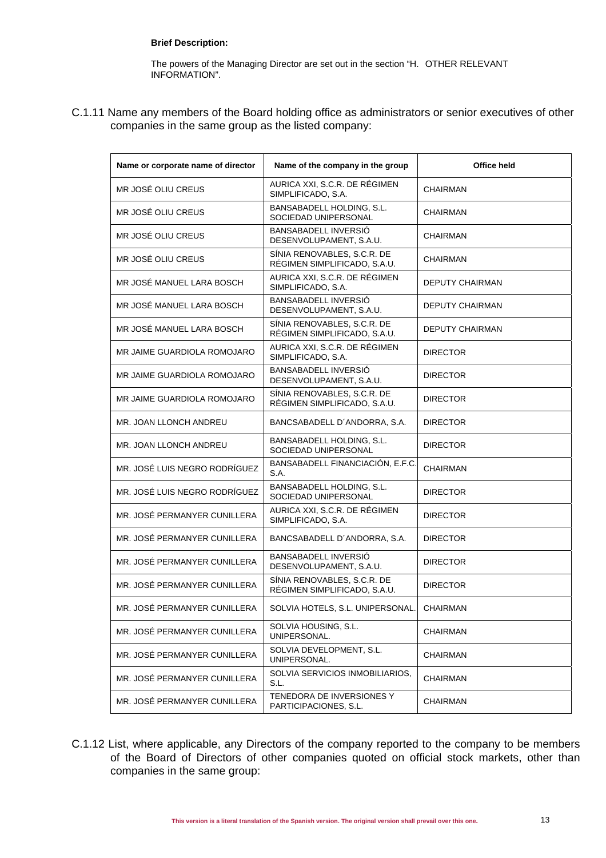### **Brief Description:**

The powers of the Managing Director are set out in the section "H. OTHER RELEVANT INFORMATION".

C.1.11 Name any members of the Board holding office as administrators or senior executives of other companies in the same group as the listed company:

| Name or corporate name of director | Name of the company in the group                            | Office held            |
|------------------------------------|-------------------------------------------------------------|------------------------|
| MR JOSÉ OLIU CREUS                 | AURICA XXI, S.C.R. DE RÉGIMEN<br>SIMPLIFICADO, S.A.         | <b>CHAIRMAN</b>        |
| MR JOSÉ OLIU CREUS                 | BANSABADELL HOLDING, S.L.<br>SOCIEDAD UNIPERSONAL           | CHAIRMAN               |
| MR JOSÉ OLIU CREUS                 | BANSABADELL INVERSIÓ<br>DESENVOLUPAMENT, S.A.U.             | <b>CHAIRMAN</b>        |
| MR JOSÉ OLIU CREUS                 | SÍNIA RENOVABLES, S.C.R. DE<br>RÉGIMEN SIMPLIFICADO, S.A.U. | CHAIRMAN               |
| MR JOSÉ MANUEL LARA BOSCH          | AURICA XXI, S.C.R. DE RÉGIMEN<br>SIMPLIFICADO, S.A.         | DEPUTY CHAIRMAN        |
| MR JOSÉ MANUEL LARA BOSCH          | BANSABADELL INVERSIÓ<br>DESENVOLUPAMENT, S.A.U.             | DEPUTY CHAIRMAN        |
| MR JOSÉ MANUEL LARA BOSCH          | SÍNIA RENOVABLES, S.C.R. DE<br>RÉGIMEN SIMPLIFICADO, S.A.U. | <b>DEPUTY CHAIRMAN</b> |
| MR JAIME GUARDIOLA ROMOJARO        | AURICA XXI, S.C.R. DE RÉGIMEN<br>SIMPLIFICADO, S.A.         | <b>DIRECTOR</b>        |
| MR JAIME GUARDIOLA ROMOJARO        | BANSABADELL INVERSIÓ<br>DESENVOLUPAMENT, S.A.U.             | <b>DIRECTOR</b>        |
| MR JAIME GUARDIOLA ROMOJARO        | SÍNIA RENOVABLES, S.C.R. DE<br>RÉGIMEN SIMPLIFICADO, S.A.U. | <b>DIRECTOR</b>        |
| MR. JOAN LLONCH ANDREU             | BANCSABADELL D'ANDORRA, S.A.                                | <b>DIRECTOR</b>        |
| MR. JOAN LLONCH ANDREU             | BANSABADELL HOLDING, S.L.<br>SOCIEDAD UNIPERSONAL           | <b>DIRECTOR</b>        |
| MR. JOSÉ LUIS NEGRO RODRÍGUEZ      | BANSABADELL FINANCIACIÓN, E.F.C.<br>S.A.                    | <b>CHAIRMAN</b>        |
| MR. JOSÉ LUIS NEGRO RODRÍGUEZ      | BANSABADELL HOLDING, S.L.<br>SOCIEDAD UNIPERSONAL           | <b>DIRECTOR</b>        |
| MR. JOSÉ PERMANYER CUNILLERA       | AURICA XXI, S.C.R. DE RÉGIMEN<br>SIMPLIFICADO, S.A.         | <b>DIRECTOR</b>        |
| MR. JOSÉ PERMANYER CUNILLERA       | BANCSABADELL D'ANDORRA, S.A.                                | <b>DIRECTOR</b>        |
| MR. JOSÉ PERMANYER CUNILLERA       | BANSABADELL INVERSIÓ<br>DESENVOLUPAMENT, S.A.U.             | DIRECTOR               |
| MR. JOSÉ PERMANYER CUNILLERA       | SÍNIA RENOVABLES, S.C.R. DE<br>RÉGIMEN SIMPLIFICADO, S.A.U. | <b>DIRECTOR</b>        |
| MR. JOSE PERMANYER CUNILLERA       | SOLVIA HOTELS, S.L. UNIPERSONAL.                            | CHAIRMAN               |
| MR. JOSÉ PERMANYER CUNILLERA       | SOLVIA HOUSING, S.L.<br>UNIPERSONAL.                        | CHAIRMAN               |
| MR. JOSÉ PERMANYER CUNILLERA       | SOLVIA DEVELOPMENT, S.L.<br>UNIPERSONAL.                    | CHAIRMAN               |
| MR. JOSÉ PERMANYER CUNILLERA       | SOLVIA SERVICIOS INMOBILIARIOS,<br>S.L.                     | CHAIRMAN               |
| MR. JOSÉ PERMANYER CUNILLERA       | TENEDORA DE INVERSIONES Y<br>PARTICIPACIONES, S.L.          | CHAIRMAN               |

C.1.12 List, where applicable, any Directors of the company reported to the company to be members of the Board of Directors of other companies quoted on official stock markets, other than companies in the same group: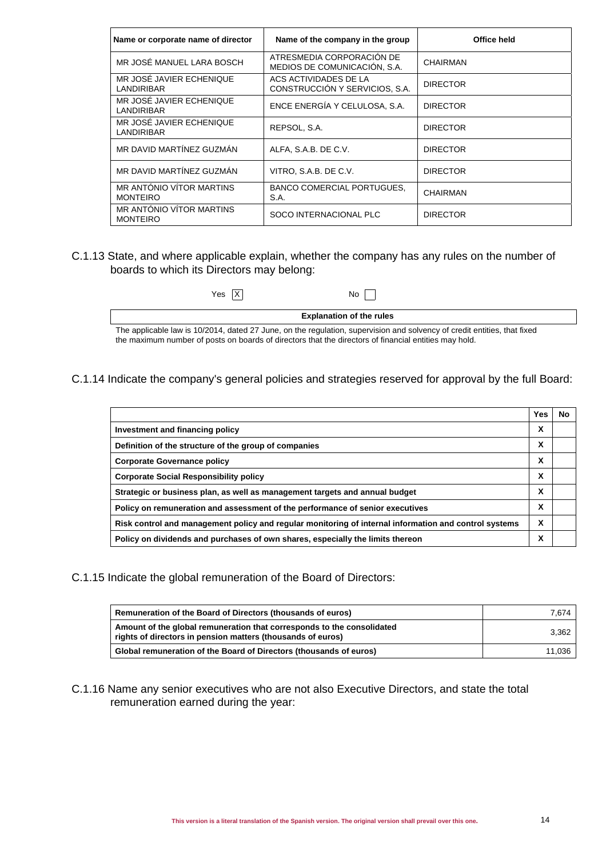| Name or corporate name of director            | Name of the company in the group                          | Office held     |
|-----------------------------------------------|-----------------------------------------------------------|-----------------|
| MR JOSÉ MANUEL LARA BOSCH                     | ATRESMEDIA CORPORACIÓN DE<br>MEDIOS DE COMUNICACIÓN, S.A. | <b>CHAIRMAN</b> |
| MR JOSÉ JAVIER ECHENIQUE<br><b>LANDIRIBAR</b> | ACS ACTIVIDADES DE LA<br>CONSTRUCCIÓN Y SERVICIOS, S.A.   | <b>DIRECTOR</b> |
| MR JOSÉ JAVIER ECHENIQUE<br>LANDIRIBAR        | ENCE ENERGÍA Y CELULOSA, S.A.                             | <b>DIRECTOR</b> |
| MR JOSÉ JAVIER ECHENIQUE<br><b>LANDIRIBAR</b> | REPSOL, S.A.                                              | <b>DIRECTOR</b> |
| MR DAVID MARTÍNEZ GUZMÁN                      | ALFA, S.A.B. DE C.V.                                      | <b>DIRECTOR</b> |
| MR DAVID MARTÍNEZ GUZMÁN                      | VITRO, S.A.B. DE C.V.                                     | <b>DIRECTOR</b> |
| MR ANTÓNIO VÍTOR MARTINS<br><b>MONTEIRO</b>   | <b>BANCO COMERCIAL PORTUGUES,</b><br>S.A.                 | <b>CHAIRMAN</b> |
| MR ANTÓNIO VÍTOR MARTINS<br><b>MONTEIRO</b>   | SOCO INTERNACIONAL PLC                                    | <b>DIRECTOR</b> |

### C.1.13 State, and where applicable explain, whether the company has any rules on the number of boards to which its Directors may belong:

| Yes X                                                                                                                    | No I |  |  |
|--------------------------------------------------------------------------------------------------------------------------|------|--|--|
| <b>Explanation of the rules</b>                                                                                          |      |  |  |
| The applicable law is 10/2014, dated 27 June, on the regulation, supervision and solvency of credit entities, that fixed |      |  |  |
| the maximum number of posts on boards of directors that the directors of financial entities may hold.                    |      |  |  |

C.1.14 Indicate the company's general policies and strategies reserved for approval by the full Board:

|                                                                                                       | Yes | No |
|-------------------------------------------------------------------------------------------------------|-----|----|
| Investment and financing policy                                                                       | X   |    |
| Definition of the structure of the group of companies                                                 | X   |    |
| <b>Corporate Governance policy</b>                                                                    | X   |    |
| <b>Corporate Social Responsibility policy</b>                                                         | X   |    |
| Strategic or business plan, as well as management targets and annual budget                           | X   |    |
| Policy on remuneration and assessment of the performance of senior executives                         | x   |    |
| Risk control and management policy and regular monitoring of internal information and control systems | x   |    |
| Policy on dividends and purchases of own shares, especially the limits thereon                        | х   |    |

C.1.15 Indicate the global remuneration of the Board of Directors:

| Remuneration of the Board of Directors (thousands of euros)                                                                           | 7.674  |
|---------------------------------------------------------------------------------------------------------------------------------------|--------|
| Amount of the global remuneration that corresponds to the consolidated<br>rights of directors in pension matters (thousands of euros) | 3.362  |
| Global remuneration of the Board of Directors (thousands of euros)                                                                    | 11.036 |

C.1.16 Name any senior executives who are not also Executive Directors, and state the total remuneration earned during the year: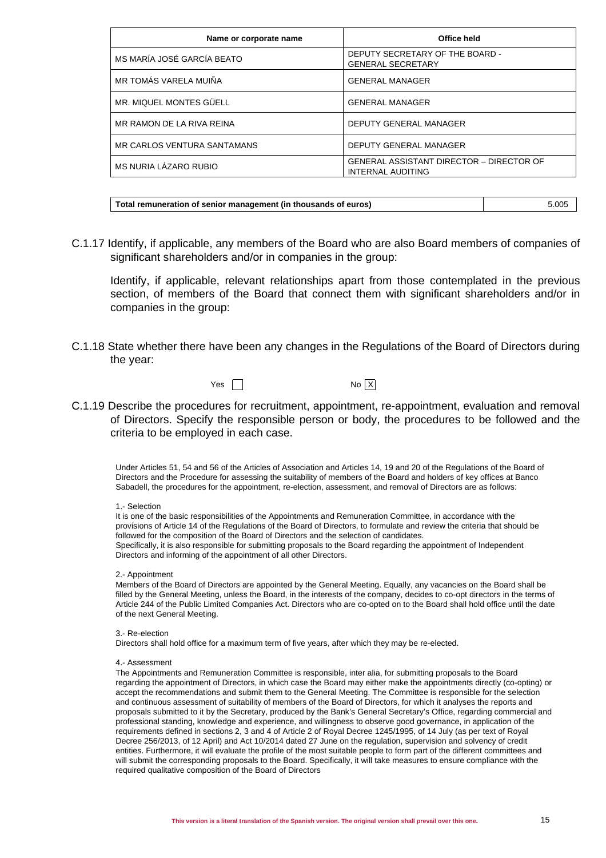| Name or corporate name      | Office held                                                                 |
|-----------------------------|-----------------------------------------------------------------------------|
| MS MARÍA JOSÉ GARCÍA BEATO  | DEPUTY SECRETARY OF THE BOARD -<br><b>GENERAL SECRETARY</b>                 |
| MR TOMÁS VARELA MUIÑA       | <b>GENERAL MANAGER</b>                                                      |
| MR. MIQUEL MONTES GÜELL     | <b>GENERAL MANAGER</b>                                                      |
| MR RAMON DE LA RIVA REINA   | DEPUTY GENERAL MANAGER                                                      |
| MR CARLOS VENTURA SANTAMANS | DEPUTY GENERAL MANAGER                                                      |
| MS NURIA LÁZARO RUBIO       | <b>GENERAL ASSISTANT DIRECTOR - DIRECTOR OF</b><br><b>INTERNAL AUDITING</b> |

| Total remuneration of senior management (in thousands of euros) | 5.005 |
|-----------------------------------------------------------------|-------|
|-----------------------------------------------------------------|-------|

C.1.17 Identify, if applicable, any members of the Board who are also Board members of companies of significant shareholders and/or in companies in the group:

Identify, if applicable, relevant relationships apart from those contemplated in the previous section, of members of the Board that connect them with significant shareholders and/or in companies in the group:

C.1.18 State whether there have been any changes in the Regulations of the Board of Directors during the year:



C.1.19 Describe the procedures for recruitment, appointment, re-appointment, evaluation and removal of Directors. Specify the responsible person or body, the procedures to be followed and the criteria to be employed in each case.

Under Articles 51, 54 and 56 of the Articles of Association and Articles 14, 19 and 20 of the Regulations of the Board of Directors and the Procedure for assessing the suitability of members of the Board and holders of key offices at Banco Sabadell, the procedures for the appointment, re-election, assessment, and removal of Directors are as follows:

### 1.- Selection

It is one of the basic responsibilities of the Appointments and Remuneration Committee, in accordance with the provisions of Article 14 of the Regulations of the Board of Directors, to formulate and review the criteria that should be followed for the composition of the Board of Directors and the selection of candidates. Specifically, it is also responsible for submitting proposals to the Board regarding the appointment of Independent Directors and informing of the appointment of all other Directors.

2.- Appointment

Members of the Board of Directors are appointed by the General Meeting. Equally, any vacancies on the Board shall be filled by the General Meeting, unless the Board, in the interests of the company, decides to co-opt directors in the terms of Article 244 of the Public Limited Companies Act. Directors who are co-opted on to the Board shall hold office until the date of the next General Meeting.

#### 3.- Re-election

Directors shall hold office for a maximum term of five years, after which they may be re-elected.

#### 4.- Assessment

The Appointments and Remuneration Committee is responsible, inter alia, for submitting proposals to the Board regarding the appointment of Directors, in which case the Board may either make the appointments directly (co-opting) or accept the recommendations and submit them to the General Meeting. The Committee is responsible for the selection and continuous assessment of suitability of members of the Board of Directors, for which it analyses the reports and proposals submitted to it by the Secretary, produced by the Bank's General Secretary's Office, regarding commercial and professional standing, knowledge and experience, and willingness to observe good governance, in application of the requirements defined in sections 2, 3 and 4 of Article 2 of Royal Decree 1245/1995, of 14 July (as per text of Royal Decree 256/2013, of 12 April) and Act 10/2014 dated 27 June on the regulation, supervision and solvency of credit entities. Furthermore, it will evaluate the profile of the most suitable people to form part of the different committees and will submit the corresponding proposals to the Board. Specifically, it will take measures to ensure compliance with the required qualitative composition of the Board of Directors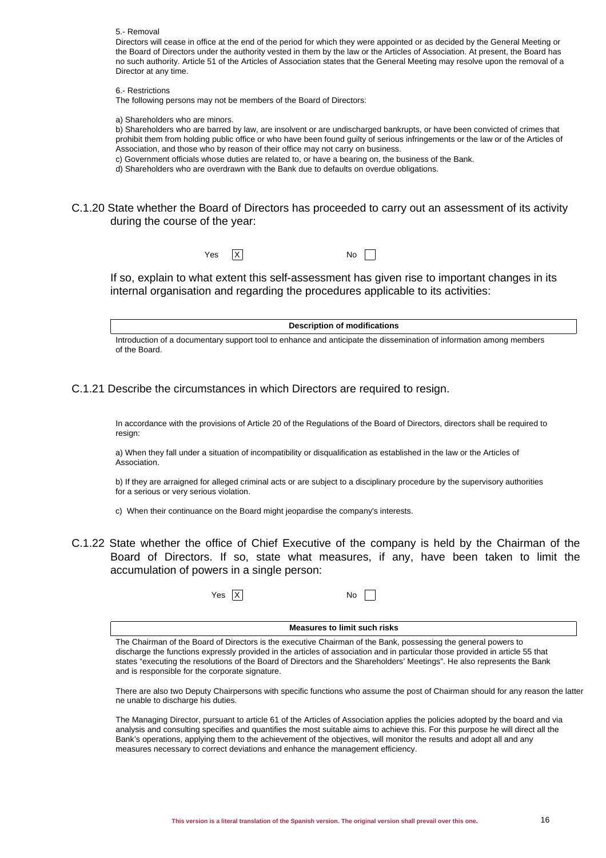#### 5.- Removal

Directors will cease in office at the end of the period for which they were appointed or as decided by the General Meeting or the Board of Directors under the authority vested in them by the law or the Articles of Association. At present, the Board has no such authority. Article 51 of the Articles of Association states that the General Meeting may resolve upon the removal of a Director at any time.

6.- Restrictions

The following persons may not be members of the Board of Directors:

a) Shareholders who are minors.

b) Shareholders who are barred by law, are insolvent or are undischarged bankrupts, or have been convicted of crimes that prohibit them from holding public office or who have been found guilty of serious infringements or the law or of the Articles of Association, and those who by reason of their office may not carry on business.

c) Government officials whose duties are related to, or have a bearing on, the business of the Bank.

d) Shareholders who are overdrawn with the Bank due to defaults on overdue obligations.

C.1.20 State whether the Board of Directors has proceeded to carry out an assessment of its activity during the course of the year:

 $Yes \quad |X|$  No.

If so, explain to what extent this self-assessment has given rise to important changes in its internal organisation and regarding the procedures applicable to its activities:

**Description of modifications**

Introduction of a documentary support tool to enhance and anticipate the dissemination of information among members of the Board.

C.1.21 Describe the circumstances in which Directors are required to resign.

In accordance with the provisions of Article 20 of the Regulations of the Board of Directors, directors shall be required to resign:

a) When they fall under a situation of incompatibility or disqualification as established in the law or the Articles of Association.

b) If they are arraigned for alleged criminal acts or are subject to a disciplinary procedure by the supervisory authorities for a serious or very serious violation.

c) When their continuance on the Board might jeopardise the company's interests.

C.1.22 State whether the office of Chief Executive of the company is held by the Chairman of the Board of Directors. If so, state what measures, if any, have been taken to limit the accumulation of powers in a single person:

 $Yes \overline{X}$  No

**Measures to limit such risks**

The Chairman of the Board of Directors is the executive Chairman of the Bank, possessing the general powers to discharge the functions expressly provided in the articles of association and in particular those provided in article 55 that states "executing the resolutions of the Board of Directors and the Shareholders' Meetings". He also represents the Bank and is responsible for the corporate signature.

There are also two Deputy Chairpersons with specific functions who assume the post of Chairman should for any reason the latter ne unable to discharge his duties.

The Managing Director, pursuant to article 61 of the Articles of Association applies the policies adopted by the board and via analysis and consulting specifies and quantifies the most suitable aims to achieve this. For this purpose he will direct all the Bank's operations, applying them to the achievement of the objectives, will monitor the results and adopt all and any measures necessary to correct deviations and enhance the management efficiency.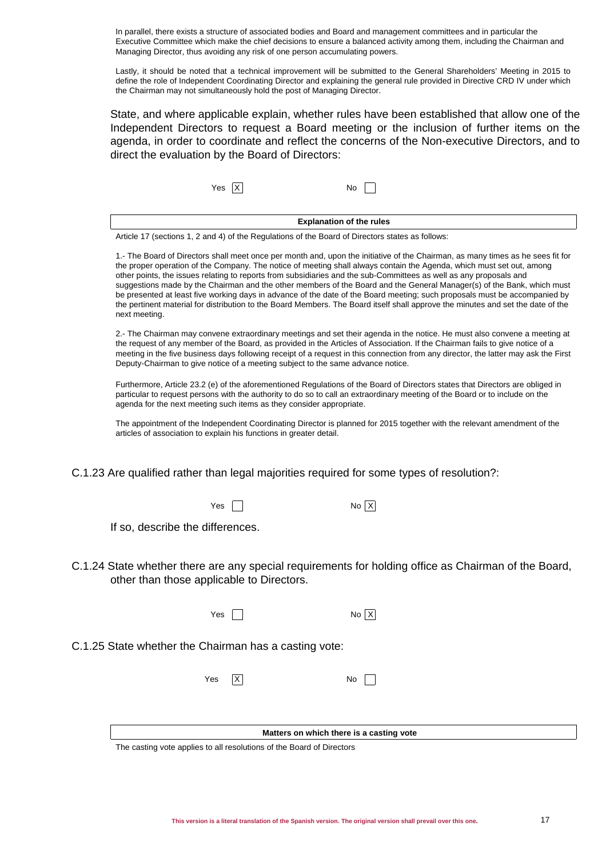In parallel, there exists a structure of associated bodies and Board and management committees and in particular the Executive Committee which make the chief decisions to ensure a balanced activity among them, including the Chairman and Managing Director, thus avoiding any risk of one person accumulating powers.

Lastly, it should be noted that a technical improvement will be submitted to the General Shareholders' Meeting in 2015 to define the role of Independent Coordinating Director and explaining the general rule provided in Directive CRD IV under which the Chairman may not simultaneously hold the post of Managing Director.

State, and where applicable explain, whether rules have been established that allow one of the Independent Directors to request a Board meeting or the inclusion of further items on the agenda, in order to coordinate and reflect the concerns of the Non-executive Directors, and to direct the evaluation by the Board of Directors:

 $Yes \ X$  No  $\Box$ 

| <b>Explanation of the rules</b> |  |
|---------------------------------|--|
|---------------------------------|--|

Article 17 (sections 1, 2 and 4) of the Regulations of the Board of Directors states as follows:

1.- The Board of Directors shall meet once per month and, upon the initiative of the Chairman, as many times as he sees fit for the proper operation of the Company. The notice of meeting shall always contain the Agenda, which must set out, among other points, the issues relating to reports from subsidiaries and the sub-Committees as well as any proposals and suggestions made by the Chairman and the other members of the Board and the General Manager(s) of the Bank, which must be presented at least five working days in advance of the date of the Board meeting; such proposals must be accompanied by the pertinent material for distribution to the Board Members. The Board itself shall approve the minutes and set the date of the next meeting.

2.- The Chairman may convene extraordinary meetings and set their agenda in the notice. He must also convene a meeting at the request of any member of the Board, as provided in the Articles of Association. If the Chairman fails to give notice of a meeting in the five business days following receipt of a request in this connection from any director, the latter may ask the First Deputy-Chairman to give notice of a meeting subject to the same advance notice.

Furthermore, Article 23.2 (e) of the aforementioned Regulations of the Board of Directors states that Directors are obliged in particular to request persons with the authority to do so to call an extraordinary meeting of the Board or to include on the agenda for the next meeting such items as they consider appropriate.

The appointment of the Independent Coordinating Director is planned for 2015 together with the relevant amendment of the articles of association to explain his functions in greater detail.

C.1.23 Are qualified rather than legal majorities required for some types of resolution?:

| Yes |  | No X |  |  |
|-----|--|------|--|--|
|-----|--|------|--|--|

If so, describe the differences.

C.1.24 State whether there are any special requirements for holding office as Chairman of the Board, other than those applicable to Directors.

| Yes | No X |
|-----|------|
|-----|------|

C.1.25 State whether the Chairman has a casting vote:

| Yes | X | No |
|-----|---|----|
|-----|---|----|

**Matters on which there is a casting vote**

The casting vote applies to all resolutions of the Board of Directors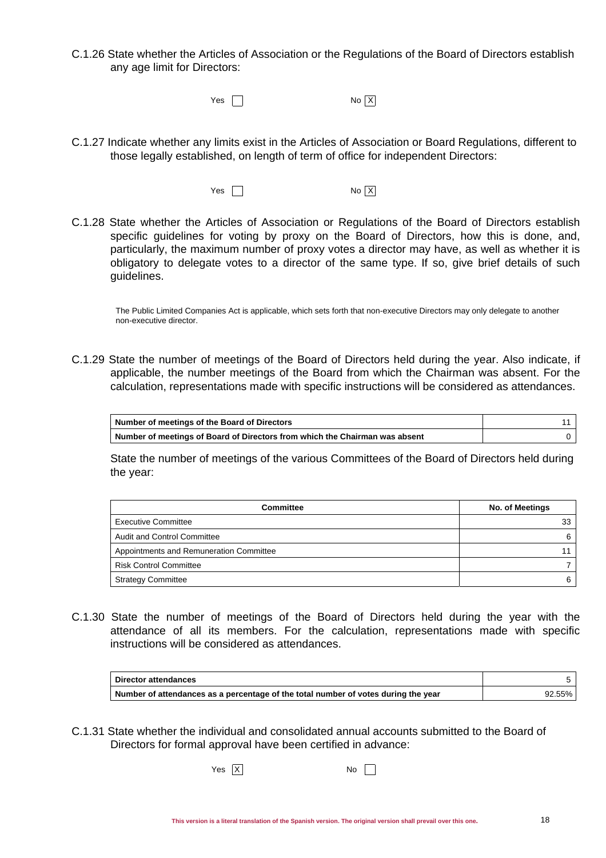C.1.26 State whether the Articles of Association or the Regulations of the Board of Directors establish any age limit for Directors:

 $Yes \t N<sub>o</sub> \t No \t X$ 

- C.1.27 Indicate whether any limits exist in the Articles of Association or Board Regulations, different to those legally established, on length of term of office for independent Directors:
	- $Yes \t Nos X$
- C.1.28 State whether the Articles of Association or Regulations of the Board of Directors establish specific guidelines for voting by proxy on the Board of Directors, how this is done, and, particularly, the maximum number of proxy votes a director may have, as well as whether it is obligatory to delegate votes to a director of the same type. If so, give brief details of such guidelines.

The Public Limited Companies Act is applicable, which sets forth that non-executive Directors may only delegate to another non-executive director.

C.1.29 State the number of meetings of the Board of Directors held during the year. Also indicate, if applicable, the number meetings of the Board from which the Chairman was absent. For the calculation, representations made with specific instructions will be considered as attendances.

| Number of meetings of the Board of Directors                                |  |
|-----------------------------------------------------------------------------|--|
| Number of meetings of Board of Directors from which the Chairman was absent |  |

State the number of meetings of the various Committees of the Board of Directors held during the year:

| Committee                               | <b>No. of Meetings</b> |  |
|-----------------------------------------|------------------------|--|
| <b>Executive Committee</b>              | 33                     |  |
| Audit and Control Committee             |                        |  |
| Appointments and Remuneration Committee |                        |  |
| <b>Risk Control Committee</b>           |                        |  |
| <b>Strategy Committee</b>               |                        |  |

C.1.30 State the number of meetings of the Board of Directors held during the year with the attendance of all its members. For the calculation, representations made with specific instructions will be considered as attendances.

| Director attendances                                                               |        |
|------------------------------------------------------------------------------------|--------|
| Number of attendances as a percentage of the total number of votes during the year | 92.55% |

- C.1.31 State whether the individual and consolidated annual accounts submitted to the Board of Directors for formal approval have been certified in advance:
	- $Yes \overline{X}$  No  $N$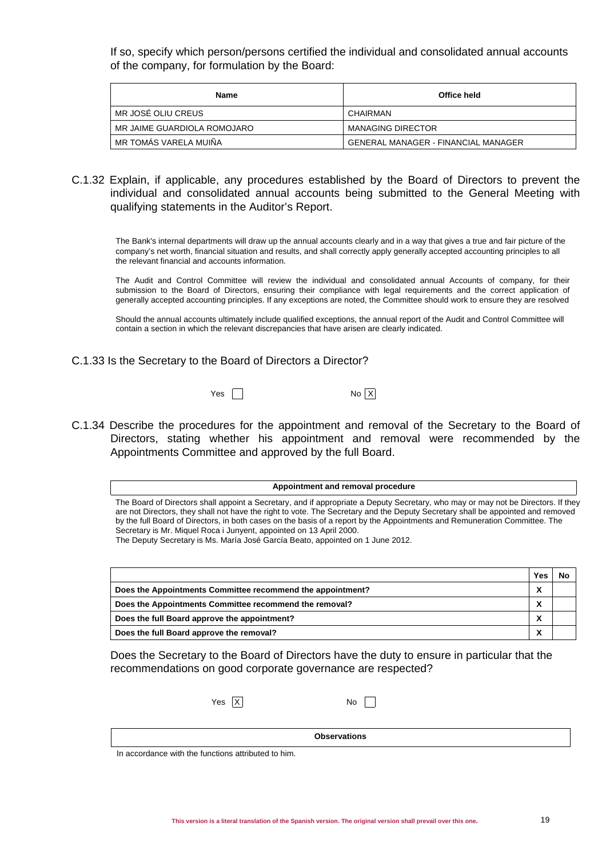If so, specify which person/persons certified the individual and consolidated annual accounts of the company, for formulation by the Board:

| Name                        | Office held                                |  |
|-----------------------------|--------------------------------------------|--|
| MR JOSÉ OLIU CREUS          | CHAIRMAN                                   |  |
| MR JAIME GUARDIOLA ROMOJARO | <b>MANAGING DIRECTOR</b>                   |  |
| MR TOMÁS VARELA MUIÑA       | <b>GENERAL MANAGER - FINANCIAL MANAGER</b> |  |

C.1.32 Explain, if applicable, any procedures established by the Board of Directors to prevent the individual and consolidated annual accounts being submitted to the General Meeting with qualifying statements in the Auditor's Report.

The Bank's internal departments will draw up the annual accounts clearly and in a way that gives a true and fair picture of the company's net worth, financial situation and results, and shall correctly apply generally accepted accounting principles to all the relevant financial and accounts information.

The Audit and Control Committee will review the individual and consolidated annual Accounts of company, for their submission to the Board of Directors, ensuring their compliance with legal requirements and the correct application of generally accepted accounting principles. If any exceptions are noted, the Committee should work to ensure they are resolved

Should the annual accounts ultimately include qualified exceptions, the annual report of the Audit and Control Committee will contain a section in which the relevant discrepancies that have arisen are clearly indicated.

- C.1.33 Is the Secretary to the Board of Directors a Director?
	- $Yes \t No X$

C.1.34 Describe the procedures for the appointment and removal of the Secretary to the Board of Directors, stating whether his appointment and removal were recommended by the Appointments Committee and approved by the full Board.

#### **Appointment and removal procedure**

The Board of Directors shall appoint a Secretary, and if appropriate a Deputy Secretary, who may or may not be Directors. If they are not Directors, they shall not have the right to vote. The Secretary and the Deputy Secretary shall be appointed and removed by the full Board of Directors, in both cases on the basis of a report by the Appointments and Remuneration Committee. The Secretary is Mr. Miquel Roca i Junyent, appointed on 13 April 2000.

The Deputy Secretary is Ms. María José García Beato, appointed on 1 June 2012.

|                                                            | Yes       | <b>N</b> c |
|------------------------------------------------------------|-----------|------------|
| Does the Appointments Committee recommend the appointment? | л         |            |
| Does the Appointments Committee recommend the removal?     | $\lambda$ |            |
| Does the full Board approve the appointment?               |           |            |
| Does the full Board approve the removal?                   | ◠         |            |

Does the Secretary to the Board of Directors have the duty to ensure in particular that the recommendations on good corporate governance are respected?

**Observations** 

 $Yes \ X$  No  $N$ 

In accordance with the functions attributed to him.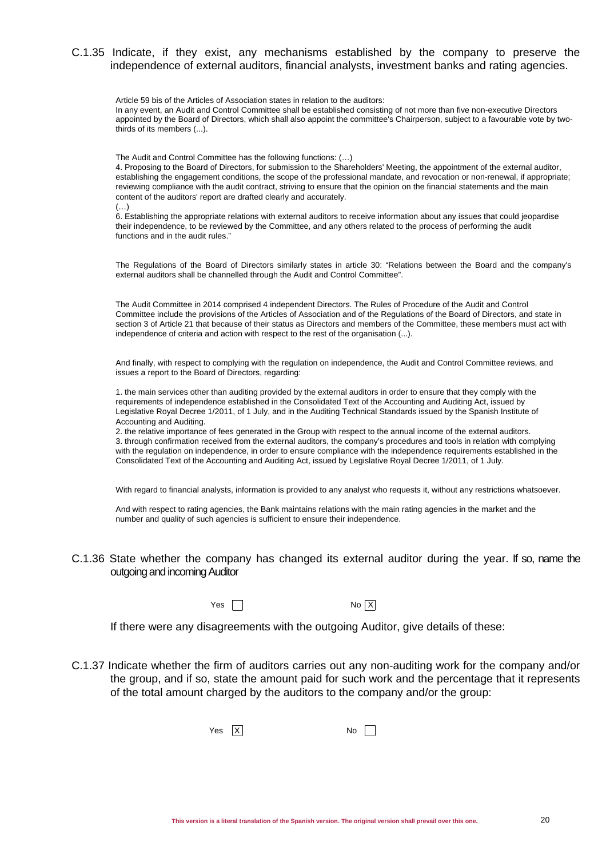### C.1.35 Indicate, if they exist, any mechanisms established by the company to preserve the independence of external auditors, financial analysts, investment banks and rating agencies.

Article 59 bis of the Articles of Association states in relation to the auditors:

In any event, an Audit and Control Committee shall be established consisting of not more than five non-executive Directors appointed by the Board of Directors, which shall also appoint the committee's Chairperson, subject to a favourable vote by twothirds of its members (...).

The Audit and Control Committee has the following functions: (…)

4. Proposing to the Board of Directors, for submission to the Shareholders' Meeting, the appointment of the external auditor, establishing the engagement conditions, the scope of the professional mandate, and revocation or non-renewal, if appropriate; reviewing compliance with the audit contract, striving to ensure that the opinion on the financial statements and the main content of the auditors' report are drafted clearly and accurately.

 $(\ldots)$ 

6. Establishing the appropriate relations with external auditors to receive information about any issues that could jeopardise their independence, to be reviewed by the Committee, and any others related to the process of performing the audit functions and in the audit rules."

The Regulations of the Board of Directors similarly states in article 30: "Relations between the Board and the company's external auditors shall be channelled through the Audit and Control Committee".

The Audit Committee in 2014 comprised 4 independent Directors. The Rules of Procedure of the Audit and Control Committee include the provisions of the Articles of Association and of the Regulations of the Board of Directors, and state in section 3 of Article 21 that because of their status as Directors and members of the Committee, these members must act with independence of criteria and action with respect to the rest of the organisation (...).

And finally, with respect to complying with the regulation on independence, the Audit and Control Committee reviews, and issues a report to the Board of Directors, regarding:

1. the main services other than auditing provided by the external auditors in order to ensure that they comply with the requirements of independence established in the Consolidated Text of the Accounting and Auditing Act, issued by Legislative Royal Decree 1/2011, of 1 July, and in the Auditing Technical Standards issued by the Spanish Institute of Accounting and Auditing.

2. the relative importance of fees generated in the Group with respect to the annual income of the external auditors. 3. through confirmation received from the external auditors, the company's procedures and tools in relation with complying with the regulation on independence, in order to ensure compliance with the independence requirements established in the Consolidated Text of the Accounting and Auditing Act, issued by Legislative Royal Decree 1/2011, of 1 July.

With regard to financial analysts, information is provided to any analyst who requests it, without any restrictions whatsoever.

And with respect to rating agencies, the Bank maintains relations with the main rating agencies in the market and the number and quality of such agencies is sufficient to ensure their independence.

### C.1.36 State whether the company has changed its external auditor during the year. If so, name the outgoing and incoming Auditor

 $Yes \t Nos X$ 

If there were any disagreements with the outgoing Auditor, give details of these:

C.1.37 Indicate whether the firm of auditors carries out any non-auditing work for the company and/or the group, and if so, state the amount paid for such work and the percentage that it represents of the total amount charged by the auditors to the company and/or the group:

 $Yes \quad \boxed{X}$  No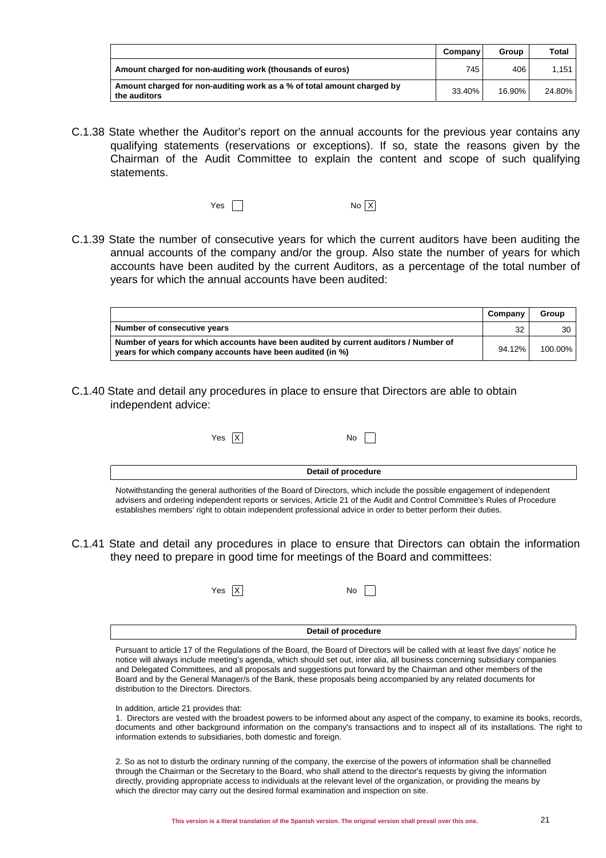|                                                                                        | Company | Group  | Total  |
|----------------------------------------------------------------------------------------|---------|--------|--------|
| Amount charged for non-auditing work (thousands of euros)                              | 745     | 406    | 1.151  |
| Amount charged for non-auditing work as a % of total amount charged by<br>the auditors | 33.40%  | 16.90% | 24.80% |

C.1.38 State whether the Auditor's report on the annual accounts for the previous year contains any qualifying statements (reservations or exceptions). If so, state the reasons given by the Chairman of the Audit Committee to explain the content and scope of such qualifying statements.

| Yes $\Gamma$ | No X |
|--------------|------|
|--------------|------|

C.1.39 State the number of consecutive years for which the current auditors have been auditing the annual accounts of the company and/or the group. Also state the number of years for which accounts have been audited by the current Auditors, as a percentage of the total number of years for which the annual accounts have been audited:

|                                                                                                                                                   | Company | Group   |
|---------------------------------------------------------------------------------------------------------------------------------------------------|---------|---------|
| Number of consecutive years                                                                                                                       | 32      | 30      |
| Number of years for which accounts have been audited by current auditors / Number of<br>years for which company accounts have been audited (in %) | 94.12%  | 100.00% |

C.1.40 State and detail any procedures in place to ensure that Directors are able to obtain independent advice:

| Yes X                                                                                                                   | No.                 |  |
|-------------------------------------------------------------------------------------------------------------------------|---------------------|--|
|                                                                                                                         |                     |  |
|                                                                                                                         | Detail of procedure |  |
| Notwithstanding the general authorities of the Board of Directors, which include the possible engagement of independent |                     |  |

advisers and ordering independent reports or services, Article 21 of the Audit and Control Committee's Rules of Procedure establishes members' right to obtain independent professional advice in order to better perform their duties.

C.1.41 State and detail any procedures in place to ensure that Directors can obtain the information they need to prepare in good time for meetings of the Board and committees:

| Yes $\overline{X}$ |  |  | No |
|--------------------|--|--|----|
|--------------------|--|--|----|

**Detail of procedure**

Pursuant to article 17 of the Regulations of the Board, the Board of Directors will be called with at least five days' notice he notice will always include meeting's agenda, which should set out, inter alia, all business concerning subsidiary companies and Delegated Committees, and all proposals and suggestions put forward by the Chairman and other members of the Board and by the General Manager/s of the Bank, these proposals being accompanied by any related documents for distribution to the Directors. Directors.

#### In addition, article 21 provides that:

1. Directors are vested with the broadest powers to be informed about any aspect of the company, to examine its books, records, documents and other background information on the company's transactions and to inspect all of its installations. The right to information extends to subsidiaries, both domestic and foreign.

2. So as not to disturb the ordinary running of the company, the exercise of the powers of information shall be channelled through the Chairman or the Secretary to the Board, who shall attend to the director's requests by giving the information directly, providing appropriate access to individuals at the relevant level of the organization, or providing the means by which the director may carry out the desired formal examination and inspection on site.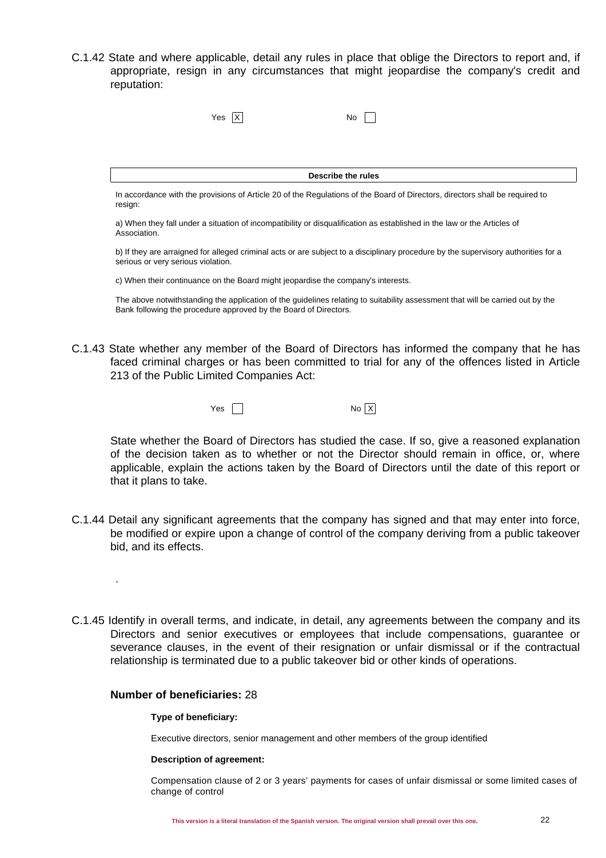C.1.42 State and where applicable, detail any rules in place that oblige the Directors to report and, if appropriate, resign in any circumstances that might jeopardise the company's credit and reputation:

|                                    | Yes IX                                                           | No.                                                                                                                     |                                                                                                                                    |
|------------------------------------|------------------------------------------------------------------|-------------------------------------------------------------------------------------------------------------------------|------------------------------------------------------------------------------------------------------------------------------------|
|                                    |                                                                  |                                                                                                                         |                                                                                                                                    |
|                                    |                                                                  | Describe the rules                                                                                                      |                                                                                                                                    |
| resign:                            |                                                                  |                                                                                                                         | In accordance with the provisions of Article 20 of the Regulations of the Board of Directors, directors shall be required to       |
| Association.                       |                                                                  | a) When they fall under a situation of incompatibility or disqualification as established in the law or the Articles of |                                                                                                                                    |
| serious or very serious violation. |                                                                  |                                                                                                                         | b) If they are arraigned for alleged criminal acts or are subject to a disciplinary procedure by the supervisory authorities for a |
|                                    |                                                                  | c) When their continuance on the Board might jeopardise the company's interests.                                        |                                                                                                                                    |
|                                    | Bank following the procedure approved by the Board of Directors. |                                                                                                                         | The above notwithstanding the application of the guidelines relating to suitability assessment that will be carried out by the     |

C.1.43 State whether any member of the Board of Directors has informed the company that he has faced criminal charges or has been committed to trial for any of the offences listed in Article 213 of the Public Limited Companies Act:

 $Yes \t N<sub>o</sub>$  No  $X$ 

State whether the Board of Directors has studied the case. If so, give a reasoned explanation of the decision taken as to whether or not the Director should remain in office, or, where applicable, explain the actions taken by the Board of Directors until the date of this report or that it plans to take.

- C.1.44 Detail any significant agreements that the company has signed and that may enter into force, be modified or expire upon a change of control of the company deriving from a public takeover bid, and its effects.
- C.1.45 Identify in overall terms, and indicate, in detail, any agreements between the company and its Directors and senior executives or employees that include compensations, guarantee or severance clauses, in the event of their resignation or unfair dismissal or if the contractual relationship is terminated due to a public takeover bid or other kinds of operations.

## **Number of beneficiaries:** 28

-

### **Type of beneficiary:**

Executive directors, senior management and other members of the group identified

### **Description of agreement:**

Compensation clause of 2 or 3 years' payments for cases of unfair dismissal or some limited cases of change of control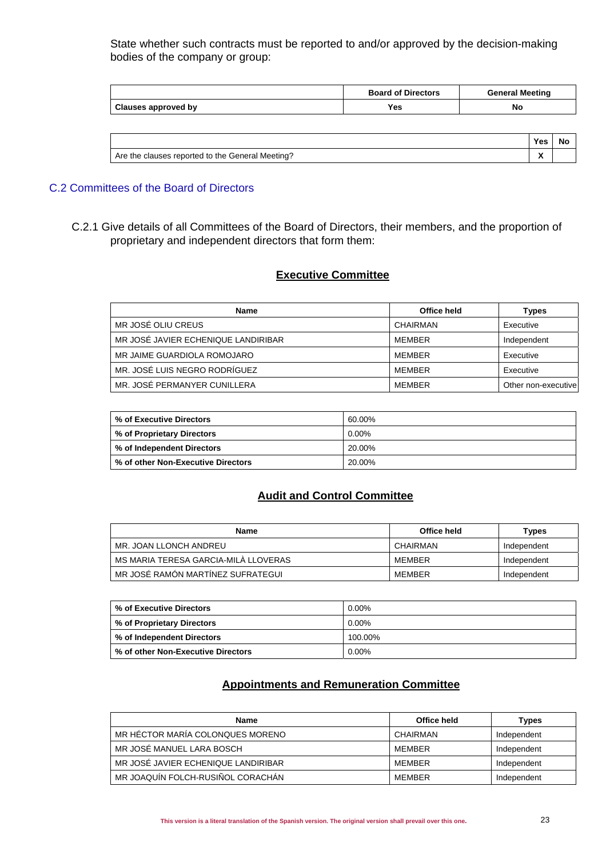State whether such contracts must be reported to and/or approved by the decision-making bodies of the company or group:

|                     | <b>Board of Directors</b> | <b>General Meeting</b> |
|---------------------|---------------------------|------------------------|
| Clauses approved by | Yes                       | No                     |

|                                                          | Yes | No |  |
|----------------------------------------------------------|-----|----|--|
| Meetina?<br>s reported to the General<br>Are the clauses | . . |    |  |

## C.2 Committees of the Board of Directors

C.2.1 Give details of all Committees of the Board of Directors, their members, and the proportion of proprietary and independent directors that form them:

## **Executive Committee**

| Name                                | Office held | Types               |
|-------------------------------------|-------------|---------------------|
| MR JOSÉ OLIU CREUS                  | CHAIRMAN    | Executive           |
| MR JOSÉ JAVIER ECHENIQUE LANDIRIBAR | MEMBER      | Independent         |
| MR JAIME GUARDIOLA ROMOJARO         | MEMBER      | Executive           |
| MR. JOSÉ LUIS NEGRO RODRÍGUEZ       | MEMBER      | Executive           |
| MR. JOSÉ PERMANYER CUNILLERA        | MEMBER      | Other non-executive |

| % of Executive Directors           | 60.00%   |
|------------------------------------|----------|
| % of Proprietary Directors         | $0.00\%$ |
| % of Independent Directors         | 20.00%   |
| % of other Non-Executive Directors | 20.00%   |

## **Audit and Control Committee**

| Name                                 | Office held | <b>Types</b> |
|--------------------------------------|-------------|--------------|
| MR. JOAN LLONCH ANDREU               | CHAIRMAN    | Independent  |
| MS MARIA TERESA GARCIA-MILÀ LLOVERAS | MEMBER      | Independent  |
| MR JOSÉ RAMÓN MARTÍNEZ SUFRATEGUI    | MEMBER      | Independent  |

| % of Executive Directors           | $0.00\%$ |
|------------------------------------|----------|
| % of Proprietary Directors         | $0.00\%$ |
| % of Independent Directors         | 100.00%  |
| % of other Non-Executive Directors | 0.00%    |

## **Appointments and Remuneration Committee**

| Name                                | Office held | Types       |
|-------------------------------------|-------------|-------------|
| MR HÉCTOR MARÍA COLONQUES MORENO    | CHAIRMAN    | Independent |
| MR JOSÉ MANUEL LARA BOSCH           | MEMBER      | Independent |
| MR JOSÉ JAVIER ECHENIQUE LANDIRIBAR | MEMBER      | Independent |
| MR JOAQUÍN FOLCH-RUSIÑOL CORACHÁN   | MEMBER      | Independent |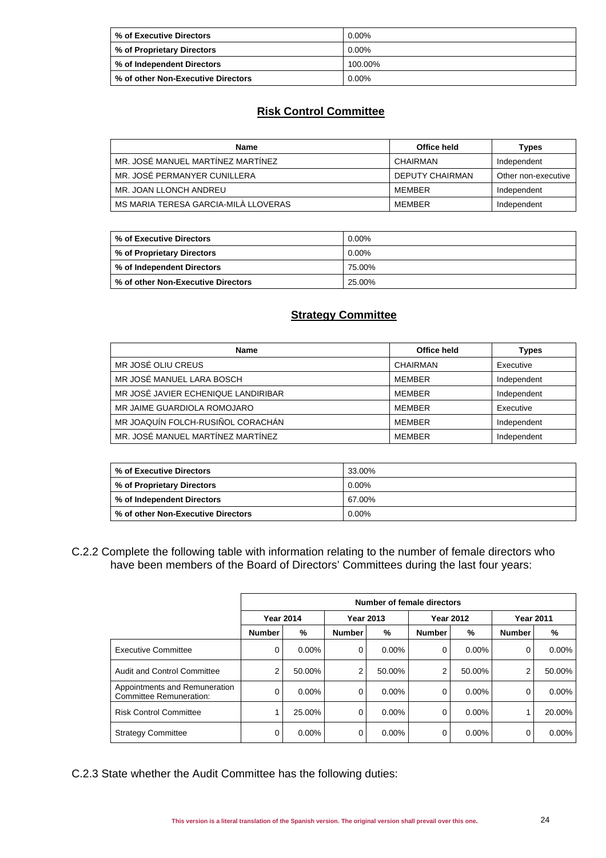| % of Executive Directors     | $0.00\%$ |
|------------------------------|----------|
| % of Proprietary Directors   | $0.00\%$ |
| │ % of Independent Directors | 100.00%  |
|                              | $0.00\%$ |

## **Risk Control Committee**

| Name                                 | Office held     | Types               |
|--------------------------------------|-----------------|---------------------|
| MR. JOSÉ MANUEL MARTÍNEZ MARTÍNEZ    | CHAIRMAN        | Independent         |
| MR. JOSÉ PERMANYER CUNILLERA         | DEPUTY CHAIRMAN | Other non-executive |
| MR. JOAN LLONCH ANDREU               | MFMBFR          | Independent         |
| MS MARIA TERESA GARCIA-MILA LLOVERAS | MEMBER          | Independent         |

| % of Executive Directors           | $0.00\%$ |
|------------------------------------|----------|
| Ⅰ % of Proprietary Directors       | $0.00\%$ |
| % of Independent Directors         | 75.00%   |
| % of other Non-Executive Directors | 25.00%   |

### **Strategy Committee**

| <b>Name</b>                         | Office held   | <b>Types</b> |
|-------------------------------------|---------------|--------------|
| MR JOSÉ OLIU CREUS                  | CHAIRMAN      | Executive    |
| MR JOSÉ MANUEL LARA BOSCH           | <b>MEMBER</b> | Independent  |
| MR JOSÉ JAVIER ECHENIQUE LANDIRIBAR | MEMBER        | Independent  |
| MR JAIME GUARDIOLA ROMOJARO         | MEMBER        | Executive    |
| MR JOAQUÍN FOLCH-RUSIÑOL CORACHÁN   | MEMBER        | Independent  |
| MR. JOSÉ MANUEL MARTÍNEZ MARTÍNEZ   | MEMBER        | Independent  |

| % of Executive Directors           | 33.00%   |
|------------------------------------|----------|
| % of Proprietary Directors         | 0.00%    |
| % of Independent Directors         | 67.00%   |
| % of other Non-Executive Directors | $0.00\%$ |

C.2.2 Complete the following table with information relating to the number of female directors who have been members of the Board of Directors' Committees during the last four years:

|                                                          | Number of female directors |          |                  |          |                  |          |                  |          |
|----------------------------------------------------------|----------------------------|----------|------------------|----------|------------------|----------|------------------|----------|
|                                                          | <b>Year 2014</b>           |          | <b>Year 2013</b> |          | <b>Year 2012</b> |          | <b>Year 2011</b> |          |
|                                                          | <b>Number</b>              | %        | <b>Number</b>    | %        | <b>Number</b>    | %        | <b>Number</b>    | %        |
| <b>Executive Committee</b>                               | 0                          | $0.00\%$ | 0                | $0.00\%$ | 0                | $0.00\%$ | 0                | 0.00%    |
| Audit and Control Committee                              | 2                          | 50.00%   | $\overline{2}$   | 50.00%   | 2                | 50.00%   | 2                | 50.00%   |
| Appointments and Remuneration<br>Committee Remuneration: | 0                          | $0.00\%$ | 0                | $0.00\%$ | 0                | $0.00\%$ | 0                | $0.00\%$ |
| <b>Risk Control Committee</b>                            |                            | 25.00%   | 0                | $0.00\%$ | 0                | $0.00\%$ |                  | 20.00%   |
| <b>Strategy Committee</b>                                | 0                          | $0.00\%$ | 0                | $0.00\%$ | 0                | 0.00%    | 0                | $0.00\%$ |

C.2.3 State whether the Audit Committee has the following duties: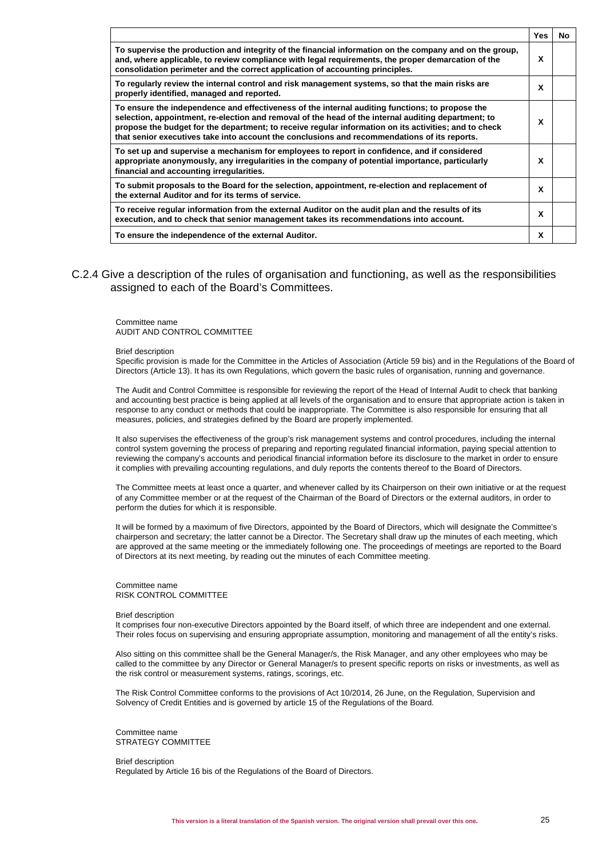|                                                                                                                                                                                                                                                                                                                                                                                                                 | Yes | No |
|-----------------------------------------------------------------------------------------------------------------------------------------------------------------------------------------------------------------------------------------------------------------------------------------------------------------------------------------------------------------------------------------------------------------|-----|----|
| To supervise the production and integrity of the financial information on the company and on the group,<br>and, where applicable, to review compliance with legal requirements, the proper demarcation of the<br>consolidation perimeter and the correct application of accounting principles.                                                                                                                  | X   |    |
| To regularly review the internal control and risk management systems, so that the main risks are<br>properly identified, managed and reported.                                                                                                                                                                                                                                                                  | x   |    |
| To ensure the independence and effectiveness of the internal auditing functions; to propose the<br>selection, appointment, re-election and removal of the head of the internal auditing department; to<br>propose the budget for the department; to receive regular information on its activities; and to check<br>that senior executives take into account the conclusions and recommendations of its reports. | x   |    |
| To set up and supervise a mechanism for employees to report in confidence, and if considered<br>appropriate anonymously, any irregularities in the company of potential importance, particularly<br>financial and accounting irregularities.                                                                                                                                                                    | X   |    |
| To submit proposals to the Board for the selection, appointment, re-election and replacement of<br>the external Auditor and for its terms of service.                                                                                                                                                                                                                                                           | x   |    |
| To receive regular information from the external Auditor on the audit plan and the results of its<br>execution, and to check that senior management takes its recommendations into account.                                                                                                                                                                                                                     | x   |    |
| To ensure the independence of the external Auditor.                                                                                                                                                                                                                                                                                                                                                             | X   |    |

C.2.4 Give a description of the rules of organisation and functioning, as well as the responsibilities assigned to each of the Board's Committees.

Committee name AUDIT AND CONTROL COMMITTEE

#### Brief description

Specific provision is made for the Committee in the Articles of Association (Article 59 bis) and in the Regulations of the Board of Directors (Article 13). It has its own Regulations, which govern the basic rules of organisation, running and governance.

The Audit and Control Committee is responsible for reviewing the report of the Head of Internal Audit to check that banking and accounting best practice is being applied at all levels of the organisation and to ensure that appropriate action is taken in response to any conduct or methods that could be inappropriate. The Committee is also responsible for ensuring that all measures, policies, and strategies defined by the Board are properly implemented.

It also supervises the effectiveness of the group's risk management systems and control procedures, including the internal control system governing the process of preparing and reporting regulated financial information, paying special attention to reviewing the company's accounts and periodical financial information before its disclosure to the market in order to ensure it complies with prevailing accounting regulations, and duly reports the contents thereof to the Board of Directors.

The Committee meets at least once a quarter, and whenever called by its Chairperson on their own initiative or at the request of any Committee member or at the request of the Chairman of the Board of Directors or the external auditors, in order to perform the duties for which it is responsible.

It will be formed by a maximum of five Directors, appointed by the Board of Directors, which will designate the Committee's chairperson and secretary; the latter cannot be a Director. The Secretary shall draw up the minutes of each meeting, which are approved at the same meeting or the immediately following one. The proceedings of meetings are reported to the Board of Directors at its next meeting, by reading out the minutes of each Committee meeting.

#### Committee name RISK CONTROL COMMITTEE

#### Brief description

It comprises four non-executive Directors appointed by the Board itself, of which three are independent and one external. Their roles focus on supervising and ensuring appropriate assumption, monitoring and management of all the entity's risks.

Also sitting on this committee shall be the General Manager/s, the Risk Manager, and any other employees who may be called to the committee by any Director or General Manager/s to present specific reports on risks or investments, as well as the risk control or measurement systems, ratings, scorings, etc.

The Risk Control Committee conforms to the provisions of Act 10/2014, 26 June, on the Regulation, Supervision and Solvency of Credit Entities and is governed by article 15 of the Regulations of the Board.

Committee name STRATEGY COMMITTEE

Brief description Regulated by Article 16 bis of the Regulations of the Board of Directors.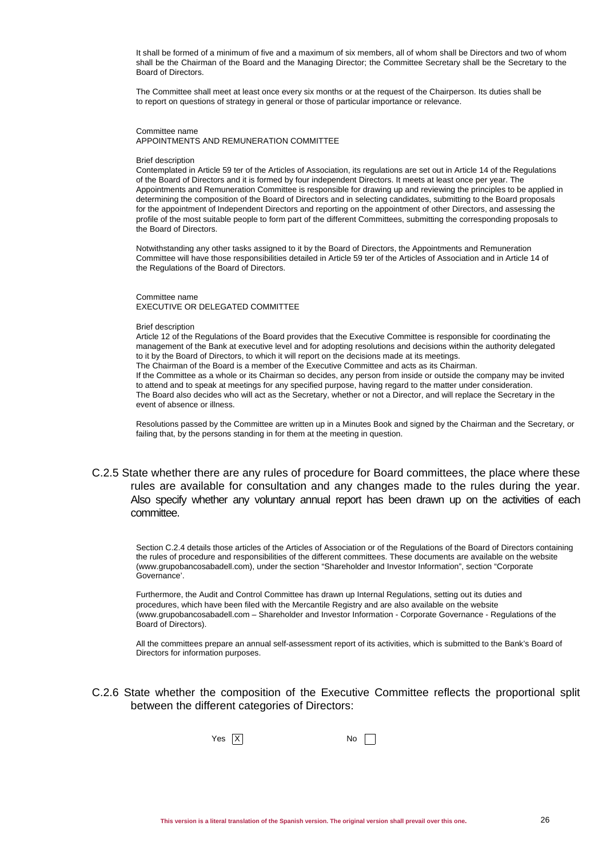It shall be formed of a minimum of five and a maximum of six members, all of whom shall be Directors and two of whom shall be the Chairman of the Board and the Managing Director; the Committee Secretary shall be the Secretary to the Board of Directors.

The Committee shall meet at least once every six months or at the request of the Chairperson. Its duties shall be to report on questions of strategy in general or those of particular importance or relevance.

Committee name APPOINTMENTS AND REMUNERATION COMMITTEE

#### Brief description

Contemplated in Article 59 ter of the Articles of Association, its regulations are set out in Article 14 of the Regulations of the Board of Directors and it is formed by four independent Directors. It meets at least once per year. The Appointments and Remuneration Committee is responsible for drawing up and reviewing the principles to be applied in determining the composition of the Board of Directors and in selecting candidates, submitting to the Board proposals for the appointment of Independent Directors and reporting on the appointment of other Directors, and assessing the profile of the most suitable people to form part of the different Committees, submitting the corresponding proposals to the Board of Directors.

Notwithstanding any other tasks assigned to it by the Board of Directors, the Appointments and Remuneration Committee will have those responsibilities detailed in Article 59 ter of the Articles of Association and in Article 14 of the Regulations of the Board of Directors.

Committee name EXECUTIVE OR DELEGATED COMMITTEE

#### Brief description

Article 12 of the Regulations of the Board provides that the Executive Committee is responsible for coordinating the management of the Bank at executive level and for adopting resolutions and decisions within the authority delegated to it by the Board of Directors, to which it will report on the decisions made at its meetings. The Chairman of the Board is a member of the Executive Committee and acts as its Chairman. If the Committee as a whole or its Chairman so decides, any person from inside or outside the company may be invited to attend and to speak at meetings for any specified purpose, having regard to the matter under consideration. The Board also decides who will act as the Secretary, whether or not a Director, and will replace the Secretary in the event of absence or illness.

Resolutions passed by the Committee are written up in a Minutes Book and signed by the Chairman and the Secretary, or failing that, by the persons standing in for them at the meeting in question.

C.2.5 State whether there are any rules of procedure for Board committees, the place where these rules are available for consultation and any changes made to the rules during the year. Also specify whether any voluntary annual report has been drawn up on the activities of each committee.

Section C.2.4 details those articles of the Articles of Association or of the Regulations of the Board of Directors containing the rules of procedure and responsibilities of the different committees. These documents are available on the website (www.grupobancosabadell.com), under the section "Shareholder and Investor Information", section "Corporate Governance'.

Furthermore, the Audit and Control Committee has drawn up Internal Regulations, setting out its duties and procedures, which have been filed with the Mercantile Registry and are also available on the website (www.grupobancosabadell.com – Shareholder and Investor Information - Corporate Governance - Regulations of the Board of Directors).

All the committees prepare an annual self-assessment report of its activities, which is submitted to the Bank's Board of Directors for information purposes.

C.2.6 State whether the composition of the Executive Committee reflects the proportional split between the different categories of Directors:

 $Yes \overline{X}$  No  $\Box$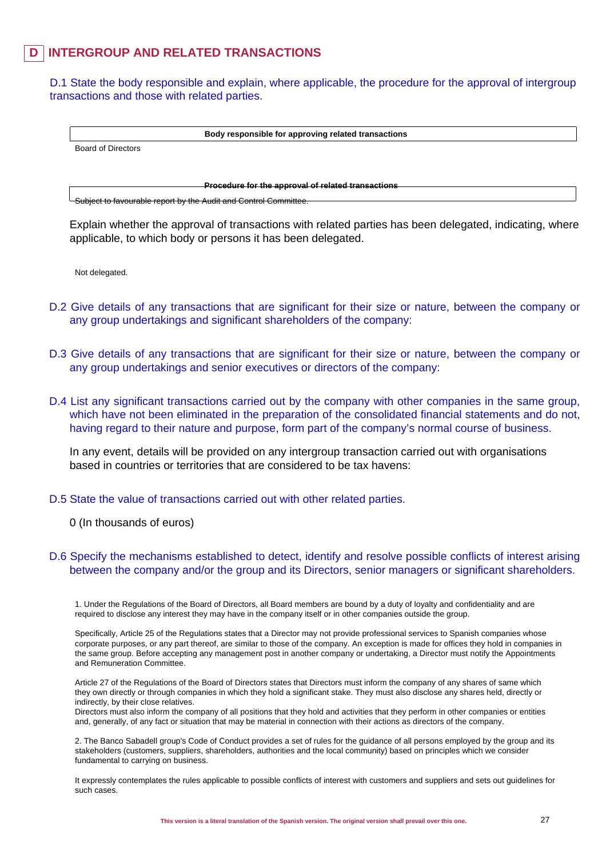## **INTERGROUP AND RELATED TRANSACTIONS**

D.1 State the body responsible and explain, where applicable, the procedure for the approval of intergroup transactions and those with related parties.

**Body responsible for approving related transactions**

Board of Directors

**Procedure for the approval of related transactions**

Subject to favourable report by the Audit and Control Committee.

Explain whether the approval of transactions with related parties has been delegated, indicating, where applicable, to which body or persons it has been delegated.

Not delegated.

- D.2 Give details of any transactions that are significant for their size or nature, between the company or any group undertakings and significant shareholders of the company:
- D.3 Give details of any transactions that are significant for their size or nature, between the company or any group undertakings and senior executives or directors of the company:
- D.4 List any significant transactions carried out by the company with other companies in the same group, which have not been eliminated in the preparation of the consolidated financial statements and do not, having regard to their nature and purpose, form part of the company's normal course of business.

In any event, details will be provided on any intergroup transaction carried out with organisations based in countries or territories that are considered to be tax havens:

D.5 State the value of transactions carried out with other related parties.

0 (In thousands of euros)

### D.6 Specify the mechanisms established to detect, identify and resolve possible conflicts of interest arising between the company and/or the group and its Directors, senior managers or significant shareholders.

1. Under the Regulations of the Board of Directors, all Board members are bound by a duty of loyalty and confidentiality and are required to disclose any interest they may have in the company itself or in other companies outside the group.

Specifically, Article 25 of the Regulations states that a Director may not provide professional services to Spanish companies whose corporate purposes, or any part thereof, are similar to those of the company. An exception is made for offices they hold in companies in the same group. Before accepting any management post in another company or undertaking, a Director must notify the Appointments and Remuneration Committee.

Article 27 of the Regulations of the Board of Directors states that Directors must inform the company of any shares of same which they own directly or through companies in which they hold a significant stake. They must also disclose any shares held, directly or indirectly, by their close relatives.

Directors must also inform the company of all positions that they hold and activities that they perform in other companies or entities and, generally, of any fact or situation that may be material in connection with their actions as directors of the company.

2. The Banco Sabadell group's Code of Conduct provides a set of rules for the guidance of all persons employed by the group and its stakeholders (customers, suppliers, shareholders, authorities and the local community) based on principles which we consider fundamental to carrying on business.

It expressly contemplates the rules applicable to possible conflicts of interest with customers and suppliers and sets out guidelines for such cases.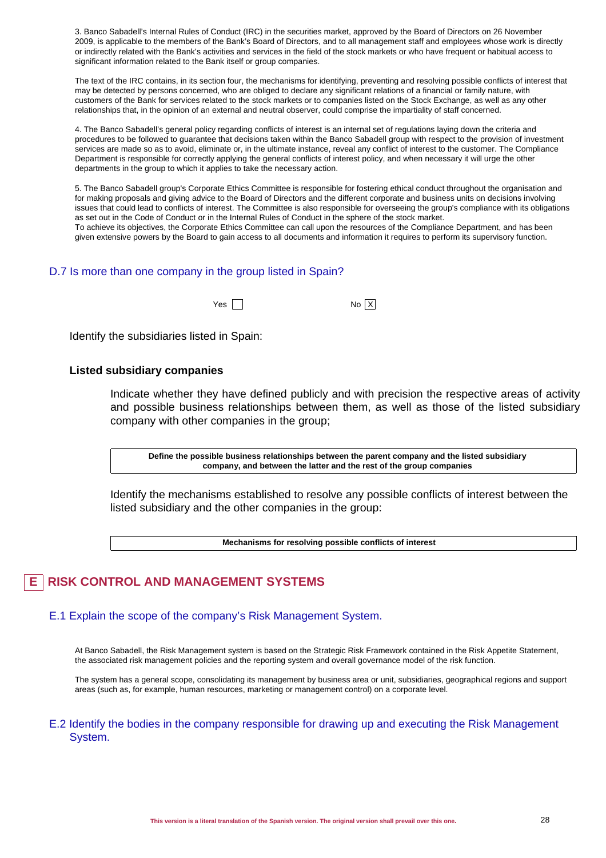3. Banco Sabadell's Internal Rules of Conduct (IRC) in the securities market, approved by the Board of Directors on 26 November 2009, is applicable to the members of the Bank's Board of Directors, and to all management staff and employees whose work is directly or indirectly related with the Bank's activities and services in the field of the stock markets or who have frequent or habitual access to significant information related to the Bank itself or group companies.

The text of the IRC contains, in its section four, the mechanisms for identifying, preventing and resolving possible conflicts of interest that may be detected by persons concerned, who are obliged to declare any significant relations of a financial or family nature, with customers of the Bank for services related to the stock markets or to companies listed on the Stock Exchange, as well as any other relationships that, in the opinion of an external and neutral observer, could comprise the impartiality of staff concerned.

4. The Banco Sabadell's general policy regarding conflicts of interest is an internal set of regulations laying down the criteria and procedures to be followed to guarantee that decisions taken within the Banco Sabadell group with respect to the provision of investment services are made so as to avoid, eliminate or, in the ultimate instance, reveal any conflict of interest to the customer. The Compliance Department is responsible for correctly applying the general conflicts of interest policy, and when necessary it will urge the other departments in the group to which it applies to take the necessary action.

5. The Banco Sabadell group's Corporate Ethics Committee is responsible for fostering ethical conduct throughout the organisation and for making proposals and giving advice to the Board of Directors and the different corporate and business units on decisions involving issues that could lead to conflicts of interest. The Committee is also responsible for overseeing the group's compliance with its obligations as set out in the Code of Conduct or in the Internal Rules of Conduct in the sphere of the stock market. To achieve its objectives, the Corporate Ethics Committee can call upon the resources of the Compliance Department, and has been

given extensive powers by the Board to gain access to all documents and information it requires to perform its supervisory function.

### D.7 Is more than one company in the group listed in Spain?

| Yes | No X |
|-----|------|
|     |      |

Identify the subsidiaries listed in Spain:

### **Listed subsidiary companies**

Indicate whether they have defined publicly and with precision the respective areas of activity and possible business relationships between them, as well as those of the listed subsidiary company with other companies in the group;

**Define the possible business relationships between the parent company and the listed subsidiary company, and between the latter and the rest of the group companies**

Identify the mechanisms established to resolve any possible conflicts of interest between the listed subsidiary and the other companies in the group:

**Mechanisms for resolving possible conflicts of interest**

## **E RISK CONTROL AND MANAGEMENT SYSTEMS**

### E.1 Explain the scope of the company's Risk Management System.

At Banco Sabadell, the Risk Management system is based on the Strategic Risk Framework contained in the Risk Appetite Statement, the associated risk management policies and the reporting system and overall governance model of the risk function.

The system has a general scope, consolidating its management by business area or unit, subsidiaries, geographical regions and support areas (such as, for example, human resources, marketing or management control) on a corporate level.

### E.2 Identify the bodies in the company responsible for drawing up and executing the Risk Management System.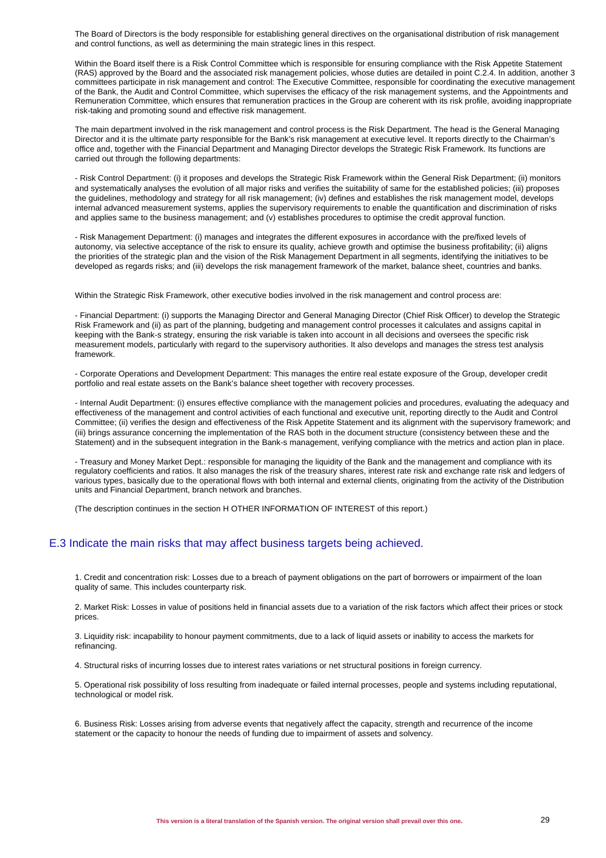The Board of Directors is the body responsible for establishing general directives on the organisational distribution of risk management and control functions, as well as determining the main strategic lines in this respect.

Within the Board itself there is a Risk Control Committee which is responsible for ensuring compliance with the Risk Appetite Statement (RAS) approved by the Board and the associated risk management policies, whose duties are detailed in point C.2.4. In addition, another 3 committees participate in risk management and control: The Executive Committee, responsible for coordinating the executive management of the Bank, the Audit and Control Committee, which supervises the efficacy of the risk management systems, and the Appointments and Remuneration Committee, which ensures that remuneration practices in the Group are coherent with its risk profile, avoiding inappropriate risk-taking and promoting sound and effective risk management.

The main department involved in the risk management and control process is the Risk Department. The head is the General Managing Director and it is the ultimate party responsible for the Bank's risk management at executive level. It reports directly to the Chairman's office and, together with the Financial Department and Managing Director develops the Strategic Risk Framework. Its functions are carried out through the following departments:

- Risk Control Department: (i) it proposes and develops the Strategic Risk Framework within the General Risk Department; (ii) monitors and systematically analyses the evolution of all major risks and verifies the suitability of same for the established policies; (iii) proposes the guidelines, methodology and strategy for all risk management; (iv) defines and establishes the risk management model, develops internal advanced measurement systems, applies the supervisory requirements to enable the quantification and discrimination of risks and applies same to the business management; and (v) establishes procedures to optimise the credit approval function.

- Risk Management Department: (i) manages and integrates the different exposures in accordance with the pre/fixed levels of autonomy, via selective acceptance of the risk to ensure its quality, achieve growth and optimise the business profitability; (ii) aligns the priorities of the strategic plan and the vision of the Risk Management Department in all segments, identifying the initiatives to be developed as regards risks; and (iii) develops the risk management framework of the market, balance sheet, countries and banks.

Within the Strategic Risk Framework, other executive bodies involved in the risk management and control process are:

- Financial Department: (i) supports the Managing Director and General Managing Director (Chief Risk Officer) to develop the Strategic Risk Framework and (ii) as part of the planning, budgeting and management control processes it calculates and assigns capital in keeping with the Bank-s strategy, ensuring the risk variable is taken into account in all decisions and oversees the specific risk measurement models, particularly with regard to the supervisory authorities. It also develops and manages the stress test analysis framework.

- Corporate Operations and Development Department: This manages the entire real estate exposure of the Group, developer credit portfolio and real estate assets on the Bank's balance sheet together with recovery processes.

- Internal Audit Department: (i) ensures effective compliance with the management policies and procedures, evaluating the adequacy and effectiveness of the management and control activities of each functional and executive unit, reporting directly to the Audit and Control Committee; (ii) verifies the design and effectiveness of the Risk Appetite Statement and its alignment with the supervisory framework; and (iii) brings assurance concerning the implementation of the RAS both in the document structure (consistency between these and the Statement) and in the subsequent integration in the Bank-s management, verifying compliance with the metrics and action plan in place.

- Treasury and Money Market Dept.: responsible for managing the liquidity of the Bank and the management and compliance with its regulatory coefficients and ratios. It also manages the risk of the treasury shares, interest rate risk and exchange rate risk and ledgers of various types, basically due to the operational flows with both internal and external clients, originating from the activity of the Distribution units and Financial Department, branch network and branches.

(The description continues in the section H OTHER INFORMATION OF INTEREST of this report.)

### E.3 Indicate the main risks that may affect business targets being achieved.

1. Credit and concentration risk: Losses due to a breach of payment obligations on the part of borrowers or impairment of the loan quality of same. This includes counterparty risk.

2. Market Risk: Losses in value of positions held in financial assets due to a variation of the risk factors which affect their prices or stock prices.

3. Liquidity risk: incapability to honour payment commitments, due to a lack of liquid assets or inability to access the markets for refinancing.

4. Structural risks of incurring losses due to interest rates variations or net structural positions in foreign currency.

5. Operational risk possibility of loss resulting from inadequate or failed internal processes, people and systems including reputational, technological or model risk.

6. Business Risk: Losses arising from adverse events that negatively affect the capacity, strength and recurrence of the income statement or the capacity to honour the needs of funding due to impairment of assets and solvency.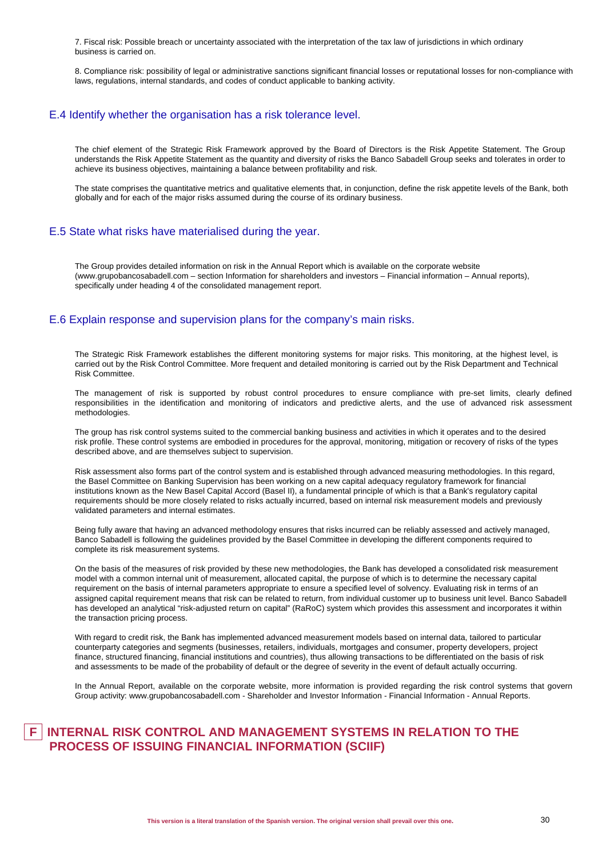7. Fiscal risk: Possible breach or uncertainty associated with the interpretation of the tax law of jurisdictions in which ordinary business is carried on.

8. Compliance risk: possibility of legal or administrative sanctions significant financial losses or reputational losses for non-compliance with laws, regulations, internal standards, and codes of conduct applicable to banking activity.

### E.4 Identify whether the organisation has a risk tolerance level.

The chief element of the Strategic Risk Framework approved by the Board of Directors is the Risk Appetite Statement. The Group understands the Risk Appetite Statement as the quantity and diversity of risks the Banco Sabadell Group seeks and tolerates in order to achieve its business objectives, maintaining a balance between profitability and risk.

The state comprises the quantitative metrics and qualitative elements that, in conjunction, define the risk appetite levels of the Bank, both globally and for each of the major risks assumed during the course of its ordinary business.

### E.5 State what risks have materialised during the year.

The Group provides detailed information on risk in the Annual Report which is available on the corporate website (www.grupobancosabadell.com – section Information for shareholders and investors – Financial information – Annual reports), specifically under heading 4 of the consolidated management report.

### E.6 Explain response and supervision plans for the company's main risks.

The Strategic Risk Framework establishes the different monitoring systems for major risks. This monitoring, at the highest level, is carried out by the Risk Control Committee. More frequent and detailed monitoring is carried out by the Risk Department and Technical Risk Committee.

The management of risk is supported by robust control procedures to ensure compliance with pre-set limits, clearly defined responsibilities in the identification and monitoring of indicators and predictive alerts, and the use of advanced risk assessment methodologies.

The group has risk control systems suited to the commercial banking business and activities in which it operates and to the desired risk profile. These control systems are embodied in procedures for the approval, monitoring, mitigation or recovery of risks of the types described above, and are themselves subject to supervision.

Risk assessment also forms part of the control system and is established through advanced measuring methodologies. In this regard, the Basel Committee on Banking Supervision has been working on a new capital adequacy regulatory framework for financial institutions known as the New Basel Capital Accord (Basel II), a fundamental principle of which is that a Bank's regulatory capital requirements should be more closely related to risks actually incurred, based on internal risk measurement models and previously validated parameters and internal estimates.

Being fully aware that having an advanced methodology ensures that risks incurred can be reliably assessed and actively managed, Banco Sabadell is following the guidelines provided by the Basel Committee in developing the different components required to complete its risk measurement systems.

On the basis of the measures of risk provided by these new methodologies, the Bank has developed a consolidated risk measurement model with a common internal unit of measurement, allocated capital, the purpose of which is to determine the necessary capital requirement on the basis of internal parameters appropriate to ensure a specified level of solvency. Evaluating risk in terms of an assigned capital requirement means that risk can be related to return, from individual customer up to business unit level. Banco Sabadell has developed an analytical "risk-adjusted return on capital" (RaRoC) system which provides this assessment and incorporates it within the transaction pricing process.

With regard to credit risk, the Bank has implemented advanced measurement models based on internal data, tailored to particular counterparty categories and segments (businesses, retailers, individuals, mortgages and consumer, property developers, project finance, structured financing, financial institutions and countries), thus allowing transactions to be differentiated on the basis of risk and assessments to be made of the probability of default or the degree of severity in the event of default actually occurring.

In the Annual Report, available on the corporate website, more information is provided regarding the risk control systems that govern Group activity: www.grupobancosabadell.com - Shareholder and Investor Information - Financial Information - Annual Reports.

## **F INTERNAL RISK CONTROL AND MANAGEMENT SYSTEMS IN RELATION TO THE PROCESS OF ISSUING FINANCIAL INFORMATION (SCIIF)**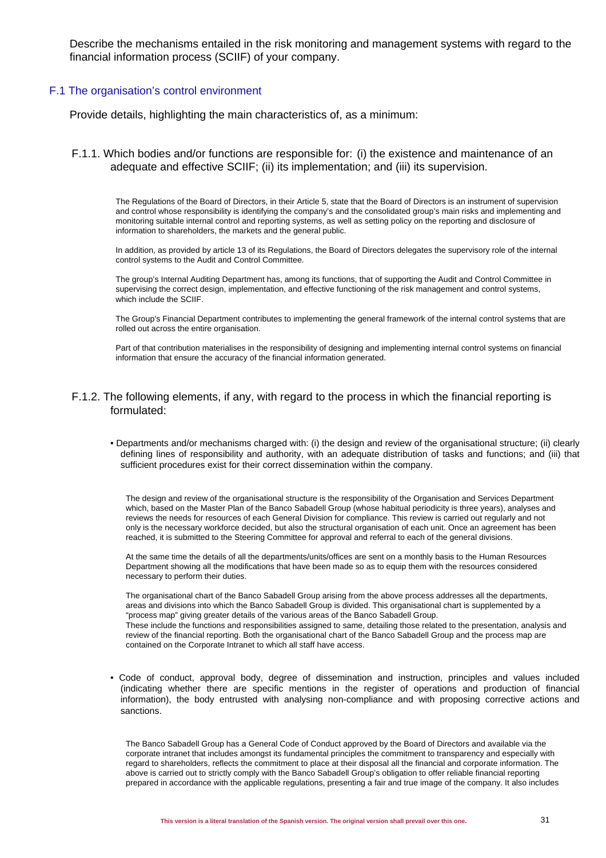Describe the mechanisms entailed in the risk monitoring and management systems with regard to the financial information process (SCIIF) of your company.

### F.1 The organisation's control environment

Provide details, highlighting the main characteristics of, as a minimum:

### F.1.1. Which bodies and/or functions are responsible for: (i) the existence and maintenance of an adequate and effective SCIIF; (ii) its implementation; and (iii) its supervision.

The Regulations of the Board of Directors, in their Article 5, state that the Board of Directors is an instrument of supervision and control whose responsibility is identifying the company's and the consolidated group's main risks and implementing and monitoring suitable internal control and reporting systems, as well as setting policy on the reporting and disclosure of information to shareholders, the markets and the general public.

In addition, as provided by article 13 of its Regulations, the Board of Directors delegates the supervisory role of the internal control systems to the Audit and Control Committee.

The group's Internal Auditing Department has, among its functions, that of supporting the Audit and Control Committee in supervising the correct design, implementation, and effective functioning of the risk management and control systems, which include the SCIIF.

The Group's Financial Department contributes to implementing the general framework of the internal control systems that are rolled out across the entire organisation.

Part of that contribution materialises in the responsibility of designing and implementing internal control systems on financial information that ensure the accuracy of the financial information generated.

### F.1.2. The following elements, if any, with regard to the process in which the financial reporting is formulated:

• Departments and/or mechanisms charged with: (i) the design and review of the organisational structure; (ii) clearly defining lines of responsibility and authority, with an adequate distribution of tasks and functions; and (iii) that sufficient procedures exist for their correct dissemination within the company.

The design and review of the organisational structure is the responsibility of the Organisation and Services Department which, based on the Master Plan of the Banco Sabadell Group (whose habitual periodicity is three years), analyses and reviews the needs for resources of each General Division for compliance. This review is carried out regularly and not only is the necessary workforce decided, but also the structural organisation of each unit. Once an agreement has been reached, it is submitted to the Steering Committee for approval and referral to each of the general divisions.

At the same time the details of all the departments/units/offices are sent on a monthly basis to the Human Resources Department showing all the modifications that have been made so as to equip them with the resources considered necessary to perform their duties.

The organisational chart of the Banco Sabadell Group arising from the above process addresses all the departments, areas and divisions into which the Banco Sabadell Group is divided. This organisational chart is supplemented by a "process map" giving greater details of the various areas of the Banco Sabadell Group. These include the functions and responsibilities assigned to same, detailing those related to the presentation, analysis and review of the financial reporting. Both the organisational chart of the Banco Sabadell Group and the process map are contained on the Corporate Intranet to which all staff have access.

• Code of conduct, approval body, degree of dissemination and instruction, principles and values included (indicating whether there are specific mentions in the register of operations and production of financial information), the body entrusted with analysing non-compliance and with proposing corrective actions and sanctions.

The Banco Sabadell Group has a General Code of Conduct approved by the Board of Directors and available via the corporate intranet that includes amongst its fundamental principles the commitment to transparency and especially with regard to shareholders, reflects the commitment to place at their disposal all the financial and corporate information. The above is carried out to strictly comply with the Banco Sabadell Group's obligation to offer reliable financial reporting prepared in accordance with the applicable regulations, presenting a fair and true image of the company. It also includes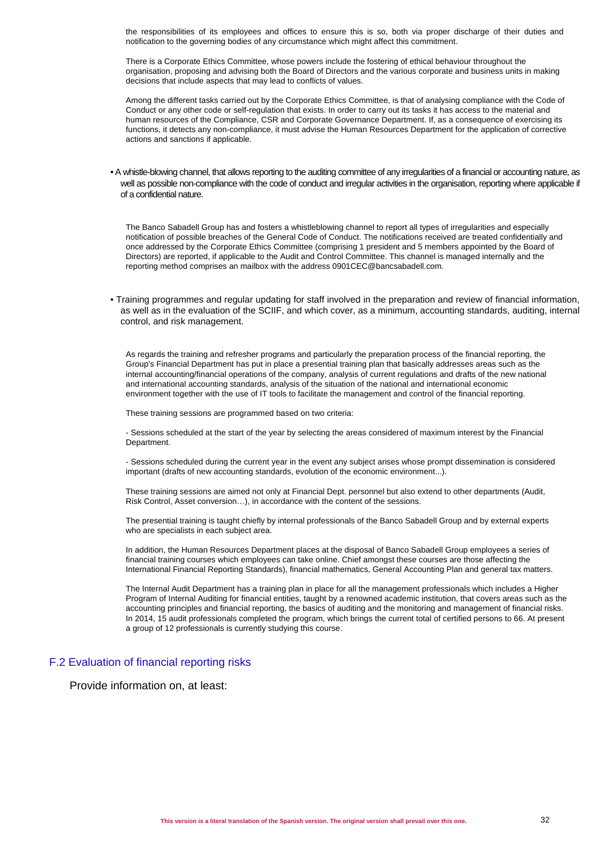the responsibilities of its employees and offices to ensure this is so, both via proper discharge of their duties and notification to the governing bodies of any circumstance which might affect this commitment.

There is a Corporate Ethics Committee, whose powers include the fostering of ethical behaviour throughout the organisation, proposing and advising both the Board of Directors and the various corporate and business units in making decisions that include aspects that may lead to conflicts of values.

Among the different tasks carried out by the Corporate Ethics Committee, is that of analysing compliance with the Code of Conduct or any other code or self-regulation that exists. In order to carry out its tasks it has access to the material and human resources of the Compliance, CSR and Corporate Governance Department. If, as a consequence of exercising its functions, it detects any non-compliance, it must advise the Human Resources Department for the application of corrective actions and sanctions if applicable.

• A whistle-blowing channel, that allows reporting to the auditing committee of any irregularities of a financial or accounting nature, as well as possible non-compliance with the code of conduct and irregular activities in the organisation, reporting where applicable if of a confidential nature.

The Banco Sabadell Group has and fosters a whistleblowing channel to report all types of irregularities and especially notification of possible breaches of the General Code of Conduct. The notifications received are treated confidentially and once addressed by the Corporate Ethics Committee (comprising 1 president and 5 members appointed by the Board of Directors) are reported, if applicable to the Audit and Control Committee. This channel is managed internally and the reporting method comprises an mailbox with the address 0901CEC@bancsabadell.com.

• Training programmes and regular updating for staff involved in the preparation and review of financial information, as well as in the evaluation of the SCIIF, and which cover, as a minimum, accounting standards, auditing, internal control, and risk management.

As regards the training and refresher programs and particularly the preparation process of the financial reporting, the Group's Financial Department has put in place a presential training plan that basically addresses areas such as the internal accounting/financial operations of the company, analysis of current regulations and drafts of the new national and international accounting standards, analysis of the situation of the national and international economic environment together with the use of IT tools to facilitate the management and control of the financial reporting.

These training sessions are programmed based on two criteria:

- Sessions scheduled at the start of the year by selecting the areas considered of maximum interest by the Financial Department.

- Sessions scheduled during the current year in the event any subject arises whose prompt dissemination is considered important (drafts of new accounting standards, evolution of the economic environment...).

These training sessions are aimed not only at Financial Dept. personnel but also extend to other departments (Audit, Risk Control, Asset conversion…), in accordance with the content of the sessions.

The presential training is taught chiefly by internal professionals of the Banco Sabadell Group and by external experts who are specialists in each subject area.

In addition, the Human Resources Department places at the disposal of Banco Sabadell Group employees a series of financial training courses which employees can take online. Chief amongst these courses are those affecting the International Financial Reporting Standards), financial mathematics, General Accounting Plan and general tax matters.

The Internal Audit Department has a training plan in place for all the management professionals which includes a Higher Program of Internal Auditing for financial entities, taught by a renowned academic institution, that covers areas such as the accounting principles and financial reporting, the basics of auditing and the monitoring and management of financial risks. In 2014, 15 audit professionals completed the program, which brings the current total of certified persons to 66. At present a group of 12 professionals is currently studying this course.

### F.2 Evaluation of financial reporting risks

Provide information on, at least: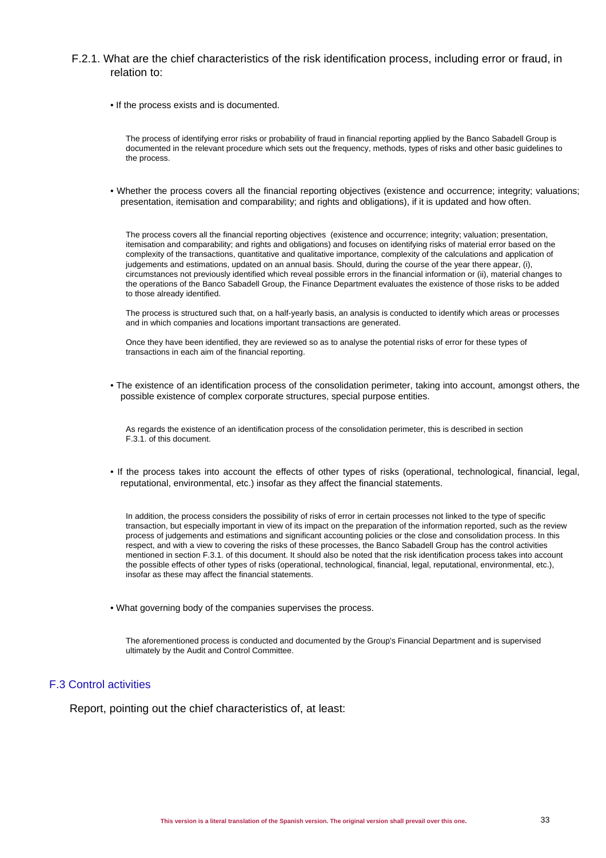### F.2.1. What are the chief characteristics of the risk identification process, including error or fraud, in relation to:

• If the process exists and is documented.

The process of identifying error risks or probability of fraud in financial reporting applied by the Banco Sabadell Group is documented in the relevant procedure which sets out the frequency, methods, types of risks and other basic guidelines to the process.

• Whether the process covers all the financial reporting objectives (existence and occurrence; integrity; valuations; presentation, itemisation and comparability; and rights and obligations), if it is updated and how often.

The process covers all the financial reporting objectives (existence and occurrence; integrity; valuation; presentation, itemisation and comparability; and rights and obligations) and focuses on identifying risks of material error based on the complexity of the transactions, quantitative and qualitative importance, complexity of the calculations and application of judgements and estimations, updated on an annual basis. Should, during the course of the year there appear, (i), circumstances not previously identified which reveal possible errors in the financial information or (ii), material changes to the operations of the Banco Sabadell Group, the Finance Department evaluates the existence of those risks to be added to those already identified.

The process is structured such that, on a half-yearly basis, an analysis is conducted to identify which areas or processes and in which companies and locations important transactions are generated.

Once they have been identified, they are reviewed so as to analyse the potential risks of error for these types of transactions in each aim of the financial reporting.

• The existence of an identification process of the consolidation perimeter, taking into account, amongst others, the possible existence of complex corporate structures, special purpose entities.

As regards the existence of an identification process of the consolidation perimeter, this is described in section F.3.1. of this document.

• If the process takes into account the effects of other types of risks (operational, technological, financial, legal, reputational, environmental, etc.) insofar as they affect the financial statements.

In addition, the process considers the possibility of risks of error in certain processes not linked to the type of specific transaction, but especially important in view of its impact on the preparation of the information reported, such as the review process of judgements and estimations and significant accounting policies or the close and consolidation process. In this respect, and with a view to covering the risks of these processes, the Banco Sabadell Group has the control activities mentioned in section F.3.1. of this document. It should also be noted that the risk identification process takes into account the possible effects of other types of risks (operational, technological, financial, legal, reputational, environmental, etc.), insofar as these may affect the financial statements.

• What governing body of the companies supervises the process.

The aforementioned process is conducted and documented by the Group's Financial Department and is supervised ultimately by the Audit and Control Committee.

### F.3 Control activities

Report, pointing out the chief characteristics of, at least: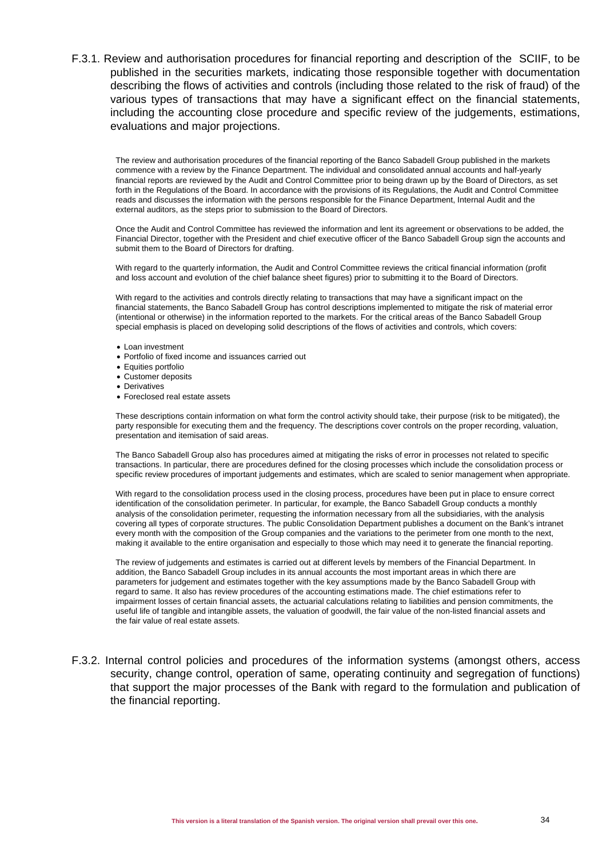F.3.1. Review and authorisation procedures for financial reporting and description of the SCIIF, to be published in the securities markets, indicating those responsible together with documentation describing the flows of activities and controls (including those related to the risk of fraud) of the various types of transactions that may have a significant effect on the financial statements, including the accounting close procedure and specific review of the judgements, estimations, evaluations and major projections.

The review and authorisation procedures of the financial reporting of the Banco Sabadell Group published in the markets commence with a review by the Finance Department. The individual and consolidated annual accounts and half-yearly financial reports are reviewed by the Audit and Control Committee prior to being drawn up by the Board of Directors, as set forth in the Regulations of the Board. In accordance with the provisions of its Regulations, the Audit and Control Committee reads and discusses the information with the persons responsible for the Finance Department, Internal Audit and the external auditors, as the steps prior to submission to the Board of Directors.

Once the Audit and Control Committee has reviewed the information and lent its agreement or observations to be added, the Financial Director, together with the President and chief executive officer of the Banco Sabadell Group sign the accounts and submit them to the Board of Directors for drafting.

With regard to the quarterly information, the Audit and Control Committee reviews the critical financial information (profit and loss account and evolution of the chief balance sheet figures) prior to submitting it to the Board of Directors.

With regard to the activities and controls directly relating to transactions that may have a significant impact on the financial statements, the Banco Sabadell Group has control descriptions implemented to mitigate the risk of material error (intentional or otherwise) in the information reported to the markets. For the critical areas of the Banco Sabadell Group special emphasis is placed on developing solid descriptions of the flows of activities and controls, which covers:

- Loan investment
- Portfolio of fixed income and issuances carried out
- Equities portfolio
- Customer deposits
- Derivatives
- Foreclosed real estate assets

These descriptions contain information on what form the control activity should take, their purpose (risk to be mitigated), the party responsible for executing them and the frequency. The descriptions cover controls on the proper recording, valuation, presentation and itemisation of said areas.

The Banco Sabadell Group also has procedures aimed at mitigating the risks of error in processes not related to specific transactions. In particular, there are procedures defined for the closing processes which include the consolidation process or specific review procedures of important judgements and estimates, which are scaled to senior management when appropriate.

With regard to the consolidation process used in the closing process, procedures have been put in place to ensure correct identification of the consolidation perimeter. In particular, for example, the Banco Sabadell Group conducts a monthly analysis of the consolidation perimeter, requesting the information necessary from all the subsidiaries, with the analysis covering all types of corporate structures. The public Consolidation Department publishes a document on the Bank's intranet every month with the composition of the Group companies and the variations to the perimeter from one month to the next, making it available to the entire organisation and especially to those which may need it to generate the financial reporting.

The review of judgements and estimates is carried out at different levels by members of the Financial Department. In addition, the Banco Sabadell Group includes in its annual accounts the most important areas in which there are parameters for judgement and estimates together with the key assumptions made by the Banco Sabadell Group with regard to same. It also has review procedures of the accounting estimations made. The chief estimations refer to impairment losses of certain financial assets, the actuarial calculations relating to liabilities and pension commitments, the useful life of tangible and intangible assets, the valuation of goodwill, the fair value of the non-listed financial assets and the fair value of real estate assets.

F.3.2. Internal control policies and procedures of the information systems (amongst others, access security, change control, operation of same, operating continuity and segregation of functions) that support the major processes of the Bank with regard to the formulation and publication of the financial reporting.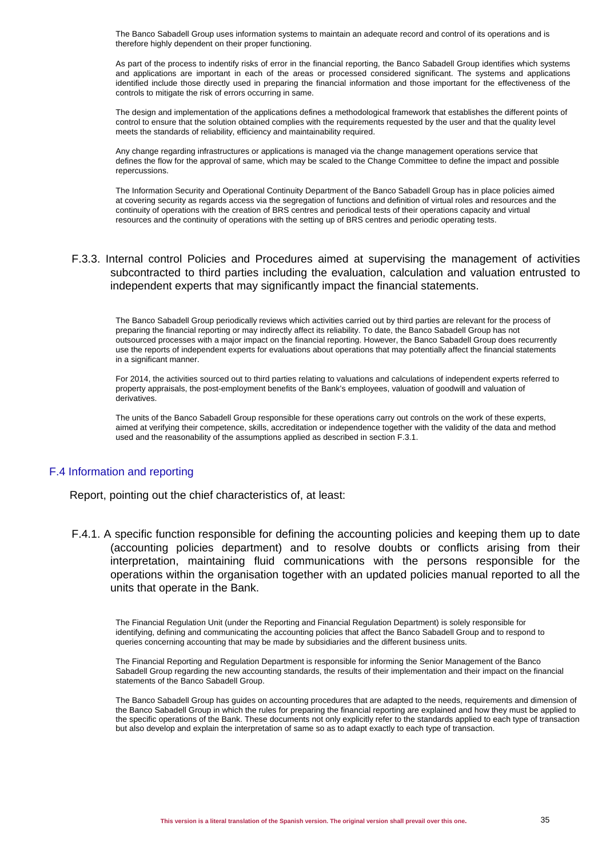The Banco Sabadell Group uses information systems to maintain an adequate record and control of its operations and is therefore highly dependent on their proper functioning.

As part of the process to indentify risks of error in the financial reporting, the Banco Sabadell Group identifies which systems and applications are important in each of the areas or processed considered significant. The systems and applications identified include those directly used in preparing the financial information and those important for the effectiveness of the controls to mitigate the risk of errors occurring in same.

The design and implementation of the applications defines a methodological framework that establishes the different points of control to ensure that the solution obtained complies with the requirements requested by the user and that the quality level meets the standards of reliability, efficiency and maintainability required.

Any change regarding infrastructures or applications is managed via the change management operations service that defines the flow for the approval of same, which may be scaled to the Change Committee to define the impact and possible repercussions.

The Information Security and Operational Continuity Department of the Banco Sabadell Group has in place policies aimed at covering security as regards access via the segregation of functions and definition of virtual roles and resources and the continuity of operations with the creation of BRS centres and periodical tests of their operations capacity and virtual resources and the continuity of operations with the setting up of BRS centres and periodic operating tests.

### F.3.3. Internal control Policies and Procedures aimed at supervising the management of activities subcontracted to third parties including the evaluation, calculation and valuation entrusted to independent experts that may significantly impact the financial statements.

The Banco Sabadell Group periodically reviews which activities carried out by third parties are relevant for the process of preparing the financial reporting or may indirectly affect its reliability. To date, the Banco Sabadell Group has not outsourced processes with a major impact on the financial reporting. However, the Banco Sabadell Group does recurrently use the reports of independent experts for evaluations about operations that may potentially affect the financial statements in a significant manner.

For 2014, the activities sourced out to third parties relating to valuations and calculations of independent experts referred to property appraisals, the post-employment benefits of the Bank's employees, valuation of goodwill and valuation of derivatives.

The units of the Banco Sabadell Group responsible for these operations carry out controls on the work of these experts, aimed at verifying their competence, skills, accreditation or independence together with the validity of the data and method used and the reasonability of the assumptions applied as described in section F.3.1.

### F.4 Information and reporting

Report, pointing out the chief characteristics of, at least:

F.4.1. A specific function responsible for defining the accounting policies and keeping them up to date (accounting policies department) and to resolve doubts or conflicts arising from their interpretation, maintaining fluid communications with the persons responsible for the operations within the organisation together with an updated policies manual reported to all the units that operate in the Bank.

The Financial Regulation Unit (under the Reporting and Financial Regulation Department) is solely responsible for identifying, defining and communicating the accounting policies that affect the Banco Sabadell Group and to respond to queries concerning accounting that may be made by subsidiaries and the different business units.

The Financial Reporting and Regulation Department is responsible for informing the Senior Management of the Banco Sabadell Group regarding the new accounting standards, the results of their implementation and their impact on the financial statements of the Banco Sabadell Group.

The Banco Sabadell Group has guides on accounting procedures that are adapted to the needs, requirements and dimension of the Banco Sabadell Group in which the rules for preparing the financial reporting are explained and how they must be applied to the specific operations of the Bank. These documents not only explicitly refer to the standards applied to each type of transaction but also develop and explain the interpretation of same so as to adapt exactly to each type of transaction.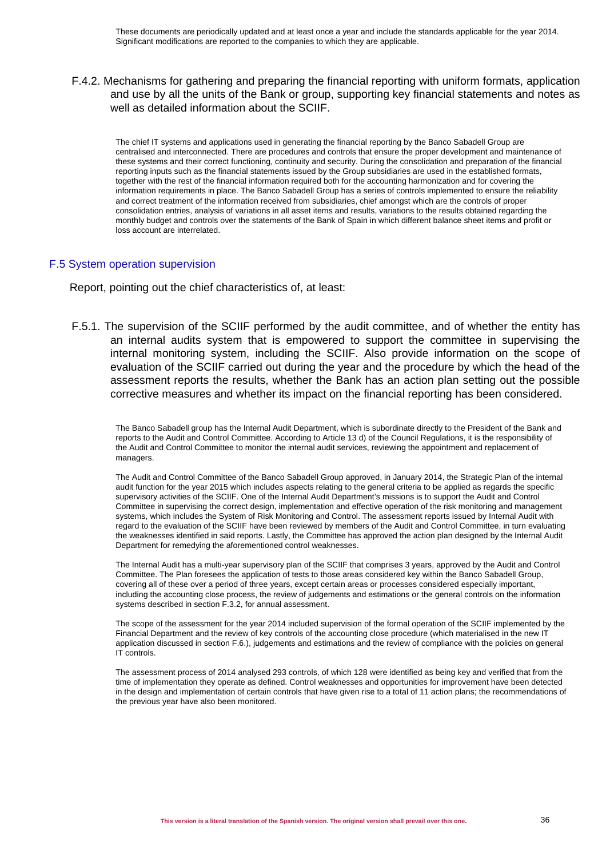### F.4.2. Mechanisms for gathering and preparing the financial reporting with uniform formats, application and use by all the units of the Bank or group, supporting key financial statements and notes as well as detailed information about the SCIIF.

The chief IT systems and applications used in generating the financial reporting by the Banco Sabadell Group are centralised and interconnected. There are procedures and controls that ensure the proper development and maintenance of these systems and their correct functioning, continuity and security. During the consolidation and preparation of the financial reporting inputs such as the financial statements issued by the Group subsidiaries are used in the established formats, together with the rest of the financial information required both for the accounting harmonization and for covering the information requirements in place. The Banco Sabadell Group has a series of controls implemented to ensure the reliability and correct treatment of the information received from subsidiaries, chief amongst which are the controls of proper consolidation entries, analysis of variations in all asset items and results, variations to the results obtained regarding the monthly budget and controls over the statements of the Bank of Spain in which different balance sheet items and profit or loss account are interrelated.

### F.5 System operation supervision

Report, pointing out the chief characteristics of, at least:

F.5.1. The supervision of the SCIIF performed by the audit committee, and of whether the entity has an internal audits system that is empowered to support the committee in supervising the internal monitoring system, including the SCIIF. Also provide information on the scope of evaluation of the SCIIF carried out during the year and the procedure by which the head of the assessment reports the results, whether the Bank has an action plan setting out the possible corrective measures and whether its impact on the financial reporting has been considered.

The Banco Sabadell group has the Internal Audit Department, which is subordinate directly to the President of the Bank and reports to the Audit and Control Committee. According to Article 13 d) of the Council Regulations, it is the responsibility of the Audit and Control Committee to monitor the internal audit services, reviewing the appointment and replacement of managers.

The Audit and Control Committee of the Banco Sabadell Group approved, in January 2014, the Strategic Plan of the internal audit function for the year 2015 which includes aspects relating to the general criteria to be applied as regards the specific supervisory activities of the SCIIF. One of the Internal Audit Department's missions is to support the Audit and Control Committee in supervising the correct design, implementation and effective operation of the risk monitoring and management systems, which includes the System of Risk Monitoring and Control. The assessment reports issued by Internal Audit with regard to the evaluation of the SCIIF have been reviewed by members of the Audit and Control Committee, in turn evaluating the weaknesses identified in said reports. Lastly, the Committee has approved the action plan designed by the Internal Audit Department for remedying the aforementioned control weaknesses.

The Internal Audit has a multi-year supervisory plan of the SCIIF that comprises 3 years, approved by the Audit and Control Committee. The Plan foresees the application of tests to those areas considered key within the Banco Sabadell Group, covering all of these over a period of three years, except certain areas or processes considered especially important, including the accounting close process, the review of judgements and estimations or the general controls on the information systems described in section F.3.2, for annual assessment.

The scope of the assessment for the year 2014 included supervision of the formal operation of the SCIIF implemented by the Financial Department and the review of key controls of the accounting close procedure (which materialised in the new IT application discussed in section F.6.), judgements and estimations and the review of compliance with the policies on general IT controls.

The assessment process of 2014 analysed 293 controls, of which 128 were identified as being key and verified that from the time of implementation they operate as defined. Control weaknesses and opportunities for improvement have been detected in the design and implementation of certain controls that have given rise to a total of 11 action plans; the recommendations of the previous year have also been monitored.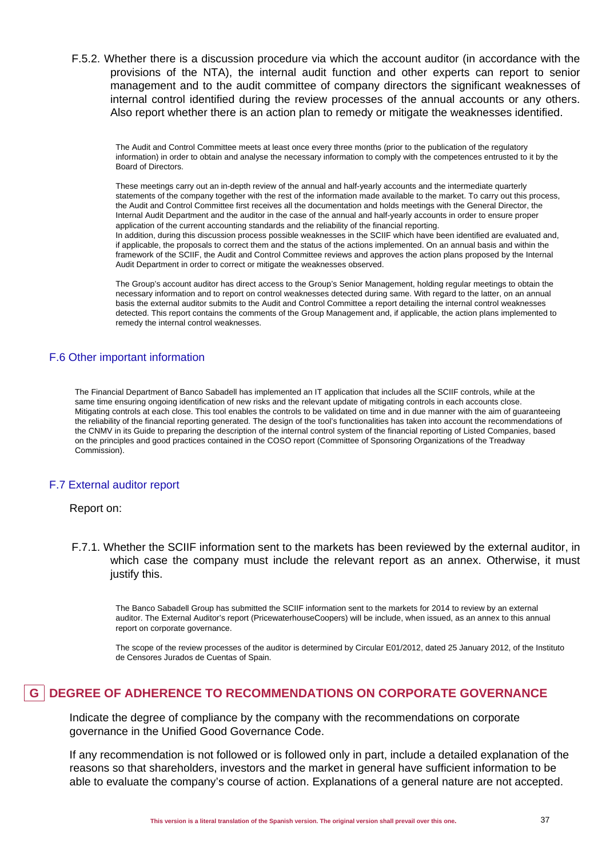F.5.2. Whether there is a discussion procedure via which the account auditor (in accordance with the provisions of the NTA), the internal audit function and other experts can report to senior management and to the audit committee of company directors the significant weaknesses of internal control identified during the review processes of the annual accounts or any others. Also report whether there is an action plan to remedy or mitigate the weaknesses identified.

The Audit and Control Committee meets at least once every three months (prior to the publication of the regulatory information) in order to obtain and analyse the necessary information to comply with the competences entrusted to it by the Board of Directors.

These meetings carry out an in-depth review of the annual and half-yearly accounts and the intermediate quarterly statements of the company together with the rest of the information made available to the market. To carry out this process, the Audit and Control Committee first receives all the documentation and holds meetings with the General Director, the Internal Audit Department and the auditor in the case of the annual and half-yearly accounts in order to ensure proper application of the current accounting standards and the reliability of the financial reporting. In addition, during this discussion process possible weaknesses in the SCIIF which have been identified are evaluated and, if applicable, the proposals to correct them and the status of the actions implemented. On an annual basis and within the framework of the SCIIF, the Audit and Control Committee reviews and approves the action plans proposed by the Internal Audit Department in order to correct or mitigate the weaknesses observed.

The Group's account auditor has direct access to the Group's Senior Management, holding regular meetings to obtain the necessary information and to report on control weaknesses detected during same. With regard to the latter, on an annual basis the external auditor submits to the Audit and Control Committee a report detailing the internal control weaknesses detected. This report contains the comments of the Group Management and, if applicable, the action plans implemented to remedy the internal control weaknesses.

### F.6 Other important information

The Financial Department of Banco Sabadell has implemented an IT application that includes all the SCIIF controls, while at the same time ensuring ongoing identification of new risks and the relevant update of mitigating controls in each accounts close. Mitigating controls at each close. This tool enables the controls to be validated on time and in due manner with the aim of guaranteeing the reliability of the financial reporting generated. The design of the tool's functionalities has taken into account the recommendations of the CNMV in its Guide to preparing the description of the internal control system of the financial reporting of Listed Companies, based on the principles and good practices contained in the COSO report (Committee of Sponsoring Organizations of the Treadway Commission).

### F.7 External auditor report

### Report on:

F.7.1. Whether the SCIIF information sent to the markets has been reviewed by the external auditor, in which case the company must include the relevant report as an annex. Otherwise, it must justify this.

The Banco Sabadell Group has submitted the SCIIF information sent to the markets for 2014 to review by an external auditor. The External Auditor's report (PricewaterhouseCoopers) will be include, when issued, as an annex to this annual report on corporate governance.

The scope of the review processes of the auditor is determined by Circular E01/2012, dated 25 January 2012, of the Instituto de Censores Jurados de Cuentas of Spain.

## **G DEGREE OF ADHERENCE TO RECOMMENDATIONS ON CORPORATE GOVERNANCE**

Indicate the degree of compliance by the company with the recommendations on corporate governance in the Unified Good Governance Code.

If any recommendation is not followed or is followed only in part, include a detailed explanation of the reasons so that shareholders, investors and the market in general have sufficient information to be able to evaluate the company's course of action. Explanations of a general nature are not accepted.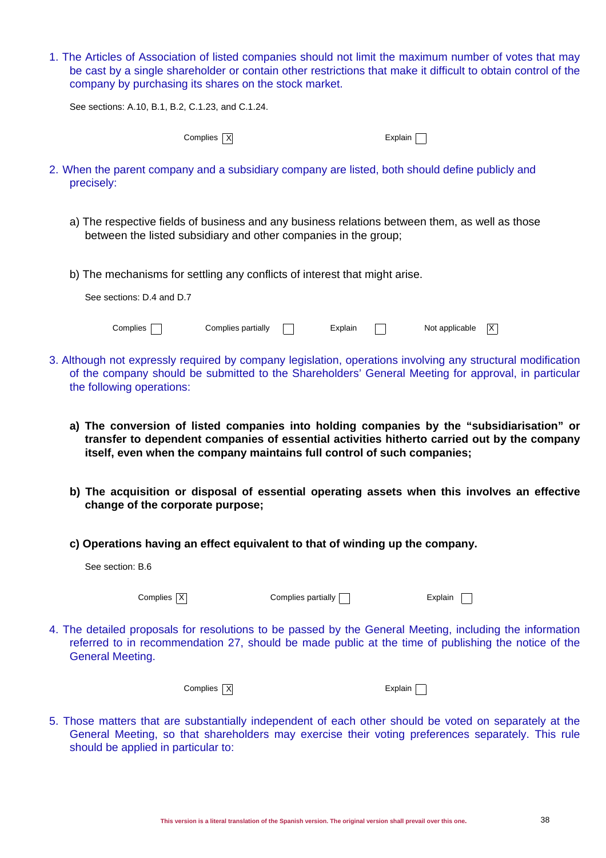1. The Articles of Association of listed companies should not limit the maximum number of votes that may be cast by a single shareholder or contain other restrictions that make it difficult to obtain control of the company by purchasing its shares on the stock market.

See sections: A.10, B.1, B.2, C.1.23, and C.1.24.

Complies  $\overline{X}$ 

| Explair |  |  |
|---------|--|--|
|---------|--|--|

- 2. When the parent company and a subsidiary company are listed, both should define publicly and precisely:
	- a) The respective fields of business and any business relations between them, as well as those between the listed subsidiary and other companies in the group;
	- b) The mechanisms for settling any conflicts of interest that might arise.

| See sections: D.4 and D.7 |                    |         |                      |  |
|---------------------------|--------------------|---------|----------------------|--|
| Complies                  | Complies partially | Explain | Not applicable $ X $ |  |

- 3. Although not expressly required by company legislation, operations involving any structural modification of the company should be submitted to the Shareholders' General Meeting for approval, in particular the following operations:
	- **a) The conversion of listed companies into holding companies by the "subsidiarisation" or transfer to dependent companies of essential activities hitherto carried out by the company itself, even when the company maintains full control of such companies;**
	- **b) The acquisition or disposal of essential operating assets when this involves an effective change of the corporate purpose;**
	- **c) Operations having an effect equivalent to that of winding up the company.**

| See section: B.6        |                         |                                                                                                                                                                                                                 |         |  |
|-------------------------|-------------------------|-----------------------------------------------------------------------------------------------------------------------------------------------------------------------------------------------------------------|---------|--|
|                         | Complies $X$            | Complies partially                                                                                                                                                                                              | Explain |  |
| <b>General Meeting.</b> |                         | 4. The detailed proposals for resolutions to be passed by the General Meeting, including the information<br>referred to in recommendation 27, should be made public at the time of publishing the notice of the |         |  |
|                         | Complies $\overline{X}$ |                                                                                                                                                                                                                 | Explain |  |

5. Those matters that are substantially independent of each other should be voted on separately at the General Meeting, so that shareholders may exercise their voting preferences separately. This rule should be applied in particular to: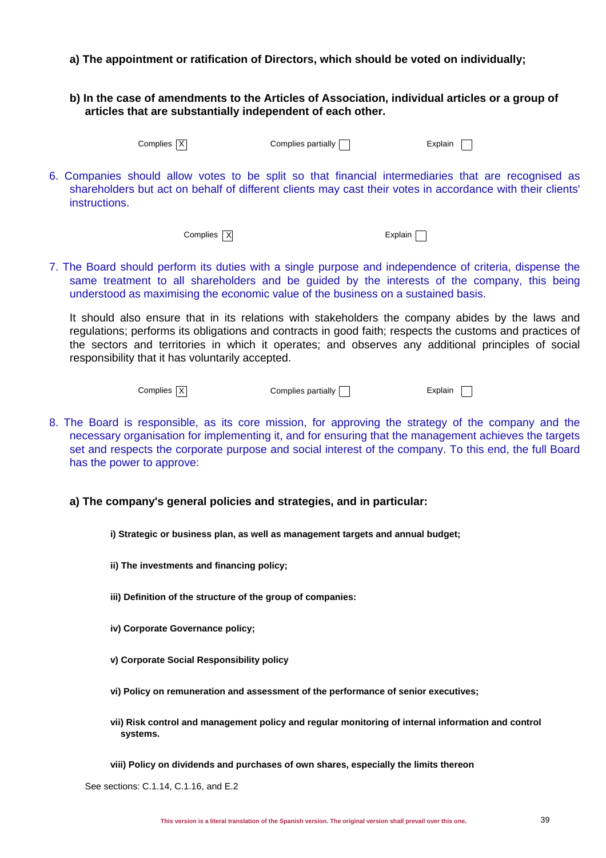- **a) The appointment or ratification of Directors, which should be voted on individually;**
- **b) In the case of amendments to the Articles of Association, individual articles or a group of articles that are substantially independent of each other.**

| Complies $\overline{\mathbf{y}}$ |  |
|----------------------------------|--|
|                                  |  |

 $|\overline{X}|$  Complies partially  $\Box$  Explain

6. Companies should allow votes to be split so that financial intermediaries that are recognised as shareholders but act on behalf of different clients may cast their votes in accordance with their clients' instructions.

 $Complex$  Explain  $\Box$ 

7. The Board should perform its duties with a single purpose and independence of criteria, dispense the same treatment to all shareholders and be guided by the interests of the company, this being understood as maximising the economic value of the business on a sustained basis.

It should also ensure that in its relations with stakeholders the company abides by the laws and regulations; performs its obligations and contracts in good faith; respects the customs and practices of the sectors and territories in which it operates; and observes any additional principles of social responsibility that it has voluntarily accepted.

Complies  $\overline{X}$  Complies partially  $\Box$  Explain  $\Box$ 

- 8. The Board is responsible, as its core mission, for approving the strategy of the company and the necessary organisation for implementing it, and for ensuring that the management achieves the targets set and respects the corporate purpose and social interest of the company. To this end, the full Board has the power to approve:
	- **a) The company's general policies and strategies, and in particular:**

**i) Strategic or business plan, as well as management targets and annual budget;**

- **ii) The investments and financing policy;**
- **iii) Definition of the structure of the group of companies:**
- **iv) Corporate Governance policy;**
- **v) Corporate Social Responsibility policy**
- **vi) Policy on remuneration and assessment of the performance of senior executives;**
- **vii) Risk control and management policy and regular monitoring of internal information and control systems.**
- **viii) Policy on dividends and purchases of own shares, especially the limits thereon**

See sections: C.1.14, C.1.16, and E.2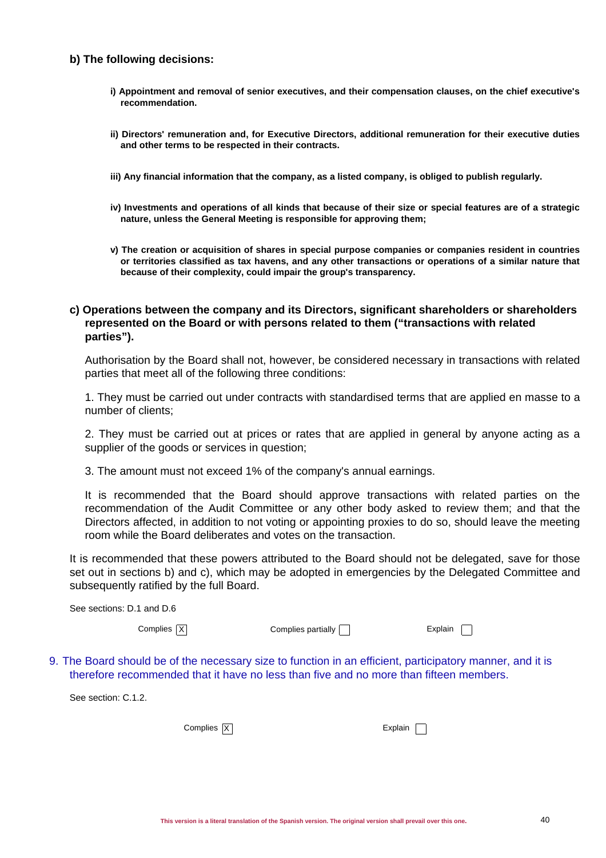### **b) The following decisions:**

- **i) Appointment and removal of senior executives, and their compensation clauses, on the chief executive's recommendation.**
- **ii) Directors' remuneration and, for Executive Directors, additional remuneration for their executive duties and other terms to be respected in their contracts.**
- **iii) Any financial information that the company, as a listed company, is obliged to publish regularly.**
- **iv) Investments and operations of all kinds that because of their size or special features are of a strategic nature, unless the General Meeting is responsible for approving them;**
- **v) The creation or acquisition of shares in special purpose companies or companies resident in countries or territories classified as tax havens, and any other transactions or operations of a similar nature that because of their complexity, could impair the group's transparency.**

### **c) Operations between the company and its Directors, significant shareholders or shareholders represented on the Board or with persons related to them ("transactions with related parties").**

Authorisation by the Board shall not, however, be considered necessary in transactions with related parties that meet all of the following three conditions:

1. They must be carried out under contracts with standardised terms that are applied en masse to a number of clients;

2. They must be carried out at prices or rates that are applied in general by anyone acting as a supplier of the goods or services in question;

3. The amount must not exceed 1% of the company's annual earnings.

It is recommended that the Board should approve transactions with related parties on the recommendation of the Audit Committee or any other body asked to review them; and that the Directors affected, in addition to not voting or appointing proxies to do so, should leave the meeting room while the Board deliberates and votes on the transaction.

It is recommended that these powers attributed to the Board should not be delegated, save for those set out in sections b) and c), which may be adopted in emergencies by the Delegated Committee and subsequently ratified by the full Board.

| See sections: D.1 and D.6 |                           |         |  |
|---------------------------|---------------------------|---------|--|
| Complies $X$              | Complies partially $\Box$ | Explain |  |
|                           |                           |         |  |

9. The Board should be of the necessary size to function in an efficient, participatory manner, and it is therefore recommended that it have no less than five and no more than fifteen members.

See section: C.1.2.

Complies  $X$ 

| xpiain |  |  |
|--------|--|--|
|--------|--|--|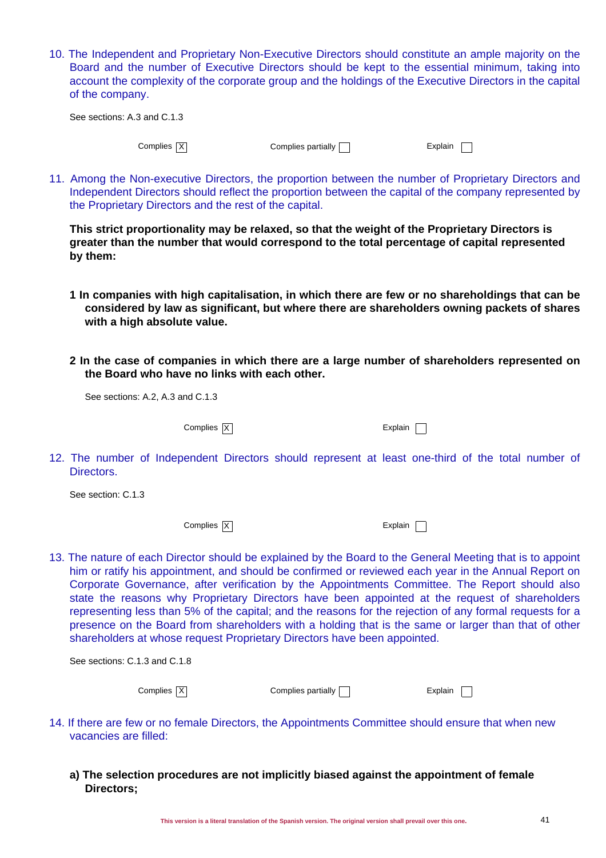10. The Independent and Proprietary Non-Executive Directors should constitute an ample majority on the Board and the number of Executive Directors should be kept to the essential minimum, taking into account the complexity of the corporate group and the holdings of the Executive Directors in the capital of the company.

| See sections: A.3 and C.1.3 |                    |         |  |
|-----------------------------|--------------------|---------|--|
| Complies $X$                | Complies partially | Explain |  |

11. Among the Non-executive Directors, the proportion between the number of Proprietary Directors and Independent Directors should reflect the proportion between the capital of the company represented by the Proprietary Directors and the rest of the capital.

**This strict proportionality may be relaxed, so that the weight of the Proprietary Directors is greater than the number that would correspond to the total percentage of capital represented by them:**

- **1 In companies with high capitalisation, in which there are few or no shareholdings that can be considered by law as significant, but where there are shareholders owning packets of shares with a high absolute value.**
- **2 In the case of companies in which there are a large number of shareholders represented on the Board who have no links with each other.**

See sections: A.2, A.3 and C.1.3

Complies  $\overline{X}$  Explain

12. The number of Independent Directors should represent at least one-third of the total number of Directors.

See section: C.1.3

Complies  $\overline{X}$  Explain

13. The nature of each Director should be explained by the Board to the General Meeting that is to appoint him or ratify his appointment, and should be confirmed or reviewed each year in the Annual Report on Corporate Governance, after verification by the Appointments Committee. The Report should also state the reasons why Proprietary Directors have been appointed at the request of shareholders representing less than 5% of the capital; and the reasons for the rejection of any formal requests for a presence on the Board from shareholders with a holding that is the same or larger than that of other shareholders at whose request Proprietary Directors have been appointed.

| See sections: C.1.3 and C.1.8 |                           |         |
|-------------------------------|---------------------------|---------|
| Complies $X$                  | Complies partially $\Box$ | Explain |

- 14. If there are few or no female Directors, the Appointments Committee should ensure that when new vacancies are filled:
	- **a) The selection procedures are not implicitly biased against the appointment of female Directors;**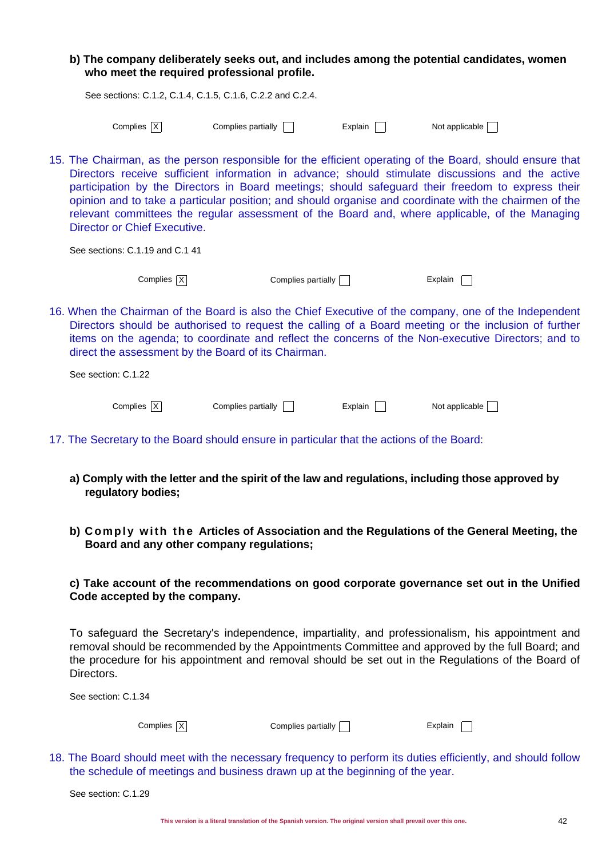### **b) The company deliberately seeks out, and includes among the potential candidates, women who meet the required professional profile.**

|            | See sections: C.1.2, C.1.4, C.1.5, C.1.6, C.2.2 and C.2.4. |                |                |
|------------|------------------------------------------------------------|----------------|----------------|
| Complies X | Complies partially                                         | <b>Explain</b> | Not applicable |

15. The Chairman, as the person responsible for the efficient operating of the Board, should ensure that Directors receive sufficient information in advance; should stimulate discussions and the active participation by the Directors in Board meetings; should safeguard their freedom to express their opinion and to take a particular position; and should organise and coordinate with the chairmen of the relevant committees the regular assessment of the Board and, where applicable, of the Managing Director or Chief Executive.

See sections: C.1.19 and C.1 41

 $Complex \begin{array}{ccc} \fbox{\textsf{[X]}} & \qquad \qquad & \text{Complex partially} \begin{array}{ccc} \fbox{\textsf{[X]}} & \qquad \qquad & \text{Complex} \end{array} \begin{array}{ccc} \fbox{\textsf{[X]}} & \qquad \qquad & \text{Complex} \end{array} \begin{array}{ccc} \fbox{\textsf{[X]}} & \qquad \qquad & \text{Complex} \end{array} \begin{array}{ccc} \fbox{\textsf{[X]}} & \qquad \qquad & \text{Complex} \end{array} \begin{array}{ccc} \fbox{\textsf{[X]}} & \qquad \qquad & \text{Complex} \end{array} \begin{array}{ccc$ 

16. When the Chairman of the Board is also the Chief Executive of the company, one of the Independent Directors should be authorised to request the calling of a Board meeting or the inclusion of further items on the agenda; to coordinate and reflect the concerns of the Non-executive Directors; and to direct the assessment by the Board of its Chairman.

| See section: C.1.22 |                    |         |                |
|---------------------|--------------------|---------|----------------|
| Complies X          | Complies partially | Explain | Not applicable |

- 17. The Secretary to the Board should ensure in particular that the actions of the Board:
	- **a) Comply with the letter and the spirit of the law and regulations, including those approved by regulatory bodies;**
	- **b) Comply w ith the Articles of Association and the Regulations of the General Meeting, the Board and any other company regulations;**

## **c) Take account of the recommendations on good corporate governance set out in the Unified Code accepted by the company.**

To safeguard the Secretary's independence, impartiality, and professionalism, his appointment and removal should be recommended by the Appointments Committee and approved by the full Board; and the procedure for his appointment and removal should be set out in the Regulations of the Board of Directors.

See section: C.1.34

Complies  $|\overline{X}|$  Complies partially  $\Box$  Explain  $\Box$ 

18. The Board should meet with the necessary frequency to perform its duties efficiently, and should follow the schedule of meetings and business drawn up at the beginning of the year.

See section: C.1.29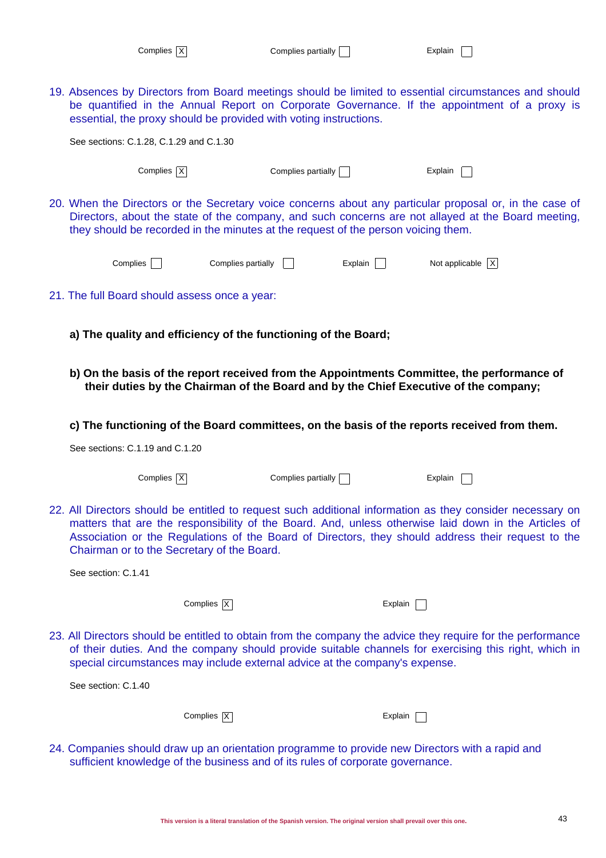| Complies $ \overline{X} $ |
|---------------------------|
|---------------------------|

19. Absences by Directors from Board meetings should be limited to essential circumstances and should be quantified in the Annual Report on Corporate Governance. If the appointment of a proxy is essential, the proxy should be provided with voting instructions. See sections: C.1.28, C.1.29 and C.1.30  $Complex \overline{X}$  Complies partially  $\Box$  Explain  $\Box$ 20. When the Directors or the Secretary voice concerns about any particular proposal or, in the case of Directors, about the state of the company, and such concerns are not allayed at the Board meeting, they should be recorded in the minutes at the request of the person voicing them. Complies  $\Box$  Complies partially  $\Box$  Explain  $\Box$  Not applicable  $\overline{X}$ 21. The full Board should assess once a year: **a) The quality and efficiency of the functioning of the Board; b) On the basis of the report received from the Appointments Committee, the performance of their duties by the Chairman of the Board and by the Chief Executive of the company; c) The functioning of the Board committees, on the basis of the reports received from them.** See sections: C.1.19 and C.1.20  $Complex \overline{X}$  Complies partially  $\Box$  Explain  $\Box$ 22. All Directors should be entitled to request such additional information as they consider necessary on matters that are the responsibility of the Board. And, unless otherwise laid down in the Articles of Association or the Regulations of the Board of Directors, they should address their request to the Chairman or to the Secretary of the Board. See section: C.1.41 Complies  $\overline{X}$  Explain 23. All Directors should be entitled to obtain from the company the advice they require for the performance of their duties. And the company should provide suitable channels for exercising this right, which in special circumstances may include external advice at the company's expense. See section: C.1.40 Complies  $|\overline{X}|$  Explain 24. Companies should draw up an orientation programme to provide new Directors with a rapid and

sufficient knowledge of the business and of its rules of corporate governance.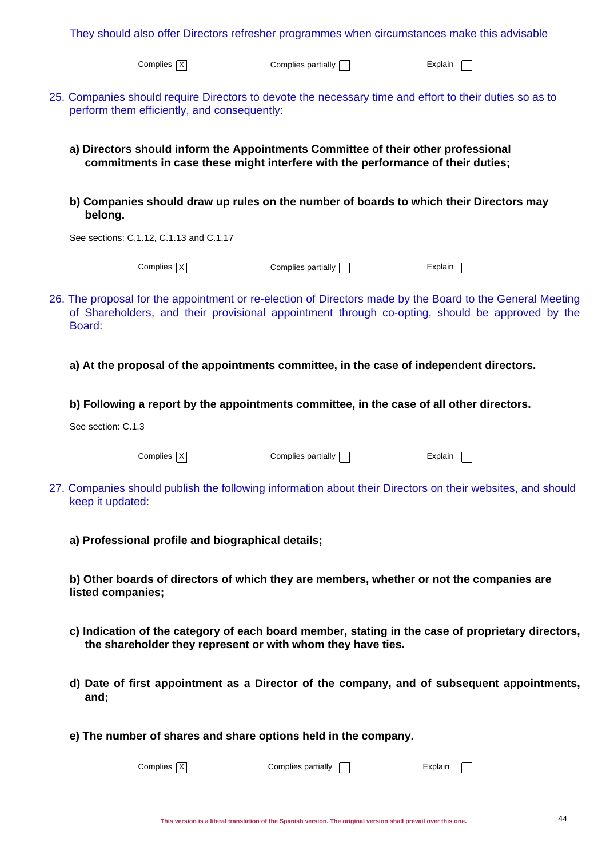| They should also offer Directors refresher programmes when circumstances make this advisable                                                                         |                           |                                                                                                                                                                                                              |  |  |
|----------------------------------------------------------------------------------------------------------------------------------------------------------------------|---------------------------|--------------------------------------------------------------------------------------------------------------------------------------------------------------------------------------------------------------|--|--|
| Complies $\overline{X}$                                                                                                                                              | Complies partially $\Box$ | Explain                                                                                                                                                                                                      |  |  |
| 25. Companies should require Directors to devote the necessary time and effort to their duties so as to<br>perform them efficiently, and consequently:               |                           |                                                                                                                                                                                                              |  |  |
| a) Directors should inform the Appointments Committee of their other professional<br>commitments in case these might interfere with the performance of their duties; |                           |                                                                                                                                                                                                              |  |  |
| b) Companies should draw up rules on the number of boards to which their Directors may<br>belong.                                                                    |                           |                                                                                                                                                                                                              |  |  |
| See sections: C.1.12, C.1.13 and C.1.17                                                                                                                              |                           |                                                                                                                                                                                                              |  |  |
| Complies $X$                                                                                                                                                         | Complies partially $\Box$ | Explain                                                                                                                                                                                                      |  |  |
| Board:                                                                                                                                                               |                           | 26. The proposal for the appointment or re-election of Directors made by the Board to the General Meeting<br>of Shareholders, and their provisional appointment through co-opting, should be approved by the |  |  |
| a) At the proposal of the appointments committee, in the case of independent directors.                                                                              |                           |                                                                                                                                                                                                              |  |  |
| b) Following a report by the appointments committee, in the case of all other directors.                                                                             |                           |                                                                                                                                                                                                              |  |  |
| See section: C.1.3                                                                                                                                                   |                           |                                                                                                                                                                                                              |  |  |
| Complies $\boxed{X}$                                                                                                                                                 | Complies partially        | Explain                                                                                                                                                                                                      |  |  |
| keep it updated:                                                                                                                                                     |                           | 27. Companies should publish the following information about their Directors on their websites, and should                                                                                                   |  |  |
| a) Professional profile and biographical details;                                                                                                                    |                           |                                                                                                                                                                                                              |  |  |
| b) Other boards of directors of which they are members, whether or not the companies are<br>listed companies;                                                        |                           |                                                                                                                                                                                                              |  |  |
| the shareholder they represent or with whom they have ties.                                                                                                          |                           | c) Indication of the category of each board member, stating in the case of proprietary directors,                                                                                                            |  |  |
| and;                                                                                                                                                                 |                           | d) Date of first appointment as a Director of the company, and of subsequent appointments,                                                                                                                   |  |  |
| e) The number of shares and share options held in the company.                                                                                                       |                           |                                                                                                                                                                                                              |  |  |
| Complies $X$                                                                                                                                                         | Complies partially        | Explain                                                                                                                                                                                                      |  |  |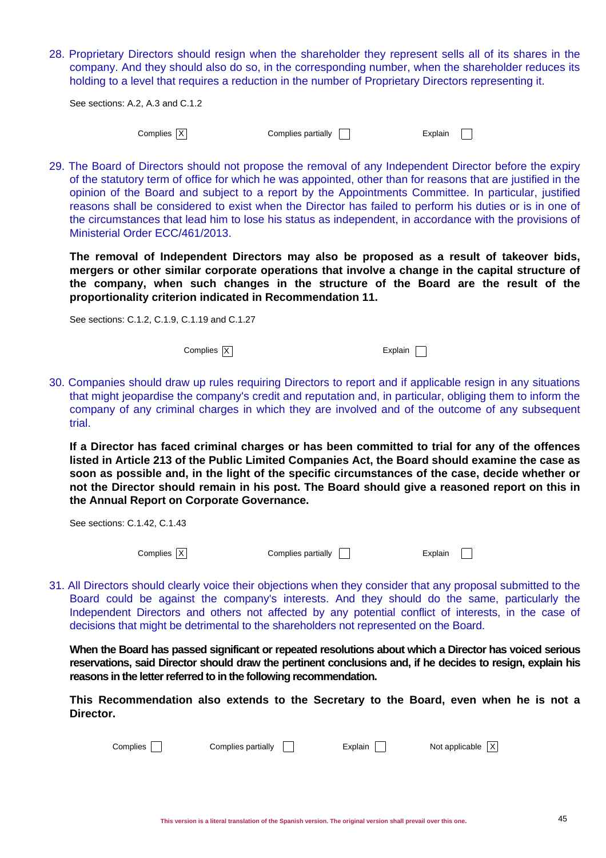28. Proprietary Directors should resign when the shareholder they represent sells all of its shares in the company. And they should also do so, in the corresponding number, when the shareholder reduces its holding to a level that requires a reduction in the number of Proprietary Directors representing it.

See sections: A.2, A.3 and C.1.2

Complies X Complies partially Complies partially Complies Partial Explain

29. The Board of Directors should not propose the removal of any Independent Director before the expiry of the statutory term of office for which he was appointed, other than for reasons that are justified in the opinion of the Board and subject to a report by the Appointments Committee. In particular, justified reasons shall be considered to exist when the Director has failed to perform his duties or is in one of the circumstances that lead him to lose his status as independent, in accordance with the provisions of Ministerial Order ECC/461/2013.

**The removal of Independent Directors may also be proposed as a result of takeover bids, mergers or other similar corporate operations that involve a change in the capital structure of the company, when such changes in the structure of the Board are the result of the proportionality criterion indicated in Recommendation 11.**

See sections: C.1.2, C.1.9, C.1.19 and C.1.27

Complies X explain Complies X explain C

30. Companies should draw up rules requiring Directors to report and if applicable resign in any situations that might jeopardise the company's credit and reputation and, in particular, obliging them to inform the company of any criminal charges in which they are involved and of the outcome of any subsequent trial.

**If a Director has faced criminal charges or has been committed to trial for any of the offences listed in Article 213 of the Public Limited Companies Act, the Board should examine the case as soon as possible and, in the light of the specific circumstances of the case, decide whether or not the Director should remain in his post. The Board should give a reasoned report on this in the Annual Report on Corporate Governance.**

See sections: C.1.42, C.1.43

| Complies $\overline{X}$ |  |
|-------------------------|--|

Complies  $\overline{X}$  Complies partially  $\overline{X}$  Explain

31. All Directors should clearly voice their objections when they consider that any proposal submitted to the Board could be against the company's interests. And they should do the same, particularly the Independent Directors and others not affected by any potential conflict of interests, in the case of decisions that might be detrimental to the shareholders not represented on the Board.

**When the Board has passed significant or repeated resolutions about which a Director has voiced serious reservations, said Director should draw the pertinent conclusions and, if he decides to resign, explain his reasons in the letter referred to in the following recommendation.**

**This Recommendation also extends to the Secretary to the Board, even when he is not a Director.**

| Complies | Complies partially | Explain | Not applicable $ X $ |
|----------|--------------------|---------|----------------------|
|          |                    |         |                      |
|          |                    |         |                      |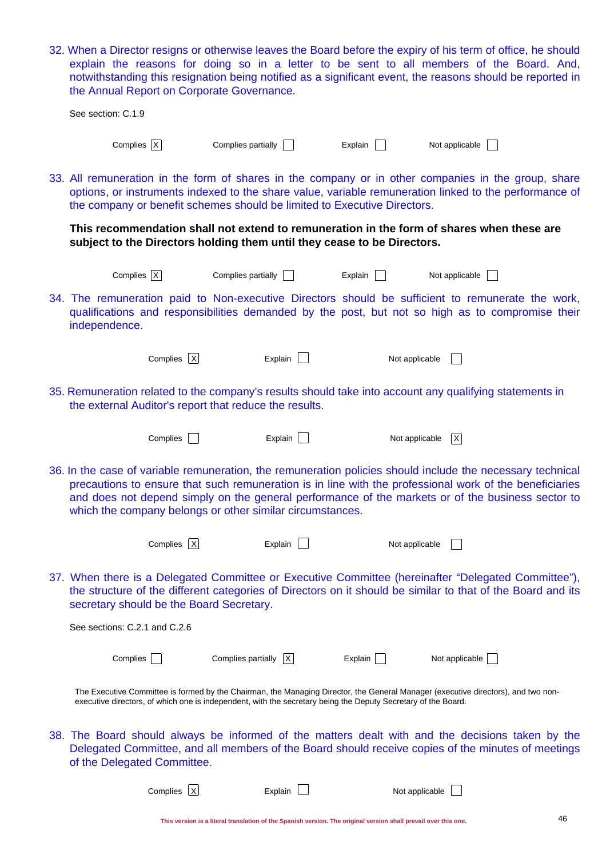| the Annual Report on Corporate Governance.                                                                    |                                   |         | 32. When a Director resigns or otherwise leaves the Board before the expiry of his term of office, he should<br>explain the reasons for doing so in a letter to be sent to all members of the Board. And,<br>notwithstanding this resignation being notified as a significant event, the reasons should be reported in     |  |
|---------------------------------------------------------------------------------------------------------------|-----------------------------------|---------|----------------------------------------------------------------------------------------------------------------------------------------------------------------------------------------------------------------------------------------------------------------------------------------------------------------------------|--|
| See section: C.1.9                                                                                            |                                   |         |                                                                                                                                                                                                                                                                                                                            |  |
| Complies $\overline{X}$                                                                                       | Complies partially $\Box$         | Explain | Not applicable                                                                                                                                                                                                                                                                                                             |  |
| the company or benefit schemes should be limited to Executive Directors.                                      |                                   |         | 33. All remuneration in the form of shares in the company or in other companies in the group, share<br>options, or instruments indexed to the share value, variable remuneration linked to the performance of                                                                                                              |  |
| subject to the Directors holding them until they cease to be Directors.                                       |                                   |         | This recommendation shall not extend to remuneration in the form of shares when these are                                                                                                                                                                                                                                  |  |
| Complies $\overline{X}$                                                                                       | Complies partially $\Box$         | Explain | Not applicable                                                                                                                                                                                                                                                                                                             |  |
| independence.                                                                                                 |                                   |         | 34. The remuneration paid to Non-executive Directors should be sufficient to remunerate the work,<br>qualifications and responsibilities demanded by the post, but not so high as to compromise their                                                                                                                      |  |
| Complies X                                                                                                    | Explain                           |         | Not applicable                                                                                                                                                                                                                                                                                                             |  |
| the external Auditor's report that reduce the results.                                                        |                                   |         | 35. Remuneration related to the company's results should take into account any qualifying statements in                                                                                                                                                                                                                    |  |
| Complies                                                                                                      | Explain                           |         | Not applicable<br>$\mathsf{X}$                                                                                                                                                                                                                                                                                             |  |
| which the company belongs or other similar circumstances.                                                     |                                   |         | 36. In the case of variable remuneration, the remuneration policies should include the necessary technical<br>precautions to ensure that such remuneration is in line with the professional work of the beneficiaries<br>and does not depend simply on the general performance of the markets or of the business sector to |  |
| Complies $X$                                                                                                  | Explain                           |         | Not applicable                                                                                                                                                                                                                                                                                                             |  |
| secretary should be the Board Secretary.                                                                      |                                   |         | 37. When there is a Delegated Committee or Executive Committee (hereinafter "Delegated Committee"),<br>the structure of the different categories of Directors on it should be similar to that of the Board and its                                                                                                         |  |
| See sections: C.2.1 and C.2.6                                                                                 |                                   |         |                                                                                                                                                                                                                                                                                                                            |  |
| Complies                                                                                                      | Complies partially $\overline{X}$ | Explain | Not applicable                                                                                                                                                                                                                                                                                                             |  |
| executive directors, of which one is independent, with the secretary being the Deputy Secretary of the Board. |                                   |         | The Executive Committee is formed by the Chairman, the Managing Director, the General Manager (executive directors), and two non-                                                                                                                                                                                          |  |
| of the Delegated Committee.                                                                                   |                                   |         | 38. The Board should always be informed of the matters dealt with and the decisions taken by the<br>Delegated Committee, and all members of the Board should receive copies of the minutes of meetings                                                                                                                     |  |
| Complies $X$                                                                                                  | Explain                           |         | Not applicable                                                                                                                                                                                                                                                                                                             |  |

| рнеэ Аг | LADIAIII I | $\frac{1}{2}$ |
|---------|------------|---------------|
|         |            |               |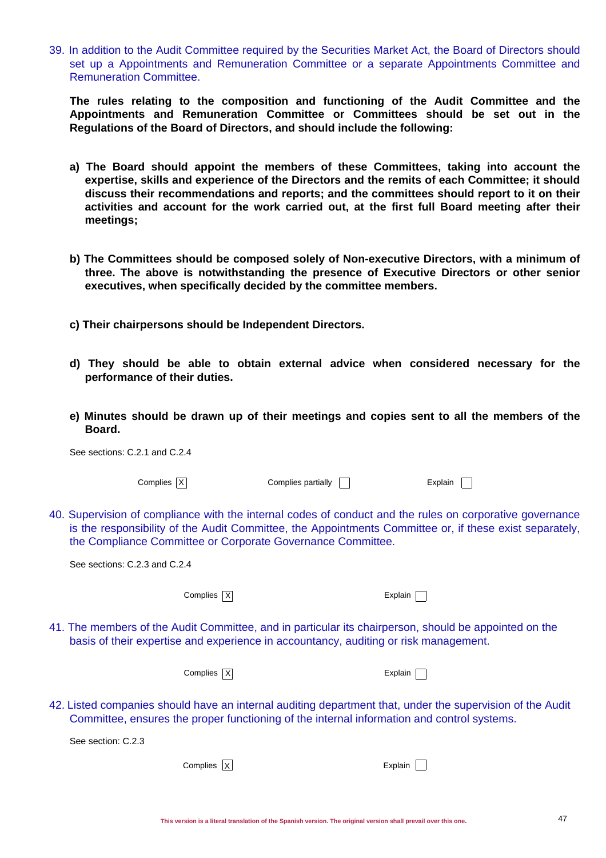39. In addition to the Audit Committee required by the Securities Market Act, the Board of Directors should set up a Appointments and Remuneration Committee or a separate Appointments Committee and Remuneration Committee.

**The rules relating to the composition and functioning of the Audit Committee and the Appointments and Remuneration Committee or Committees should be set out in the Regulations of the Board of Directors, and should include the following:**

- **a) The Board should appoint the members of these Committees, taking into account the expertise, skills and experience of the Directors and the remits of each Committee; it should discuss their recommendations and reports; and the committees should report to it on their activities and account for the work carried out, at the first full Board meeting after their meetings;**
- **b) The Committees should be composed solely of Non-executive Directors, with a minimum of three. The above is notwithstanding the presence of Executive Directors or other senior executives, when specifically decided by the committee members.**
- **c) Their chairpersons should be Independent Directors.**
- **d) They should be able to obtain external advice when considered necessary for the performance of their duties.**
- **e) Minutes should be drawn up of their meetings and copies sent to all the members of the Board.**

| See sections: C.2.1 and C.2.4                                                                                                                                                                                                                                                      |                    |         |  |
|------------------------------------------------------------------------------------------------------------------------------------------------------------------------------------------------------------------------------------------------------------------------------------|--------------------|---------|--|
| Complies $\overline{X}$                                                                                                                                                                                                                                                            | Complies partially | Explain |  |
| 40. Supervision of compliance with the internal codes of conduct and the rules on corporative governance<br>is the responsibility of the Audit Committee, the Appointments Committee or, if these exist separately,<br>the Compliance Committee or Corporate Governance Committee. |                    |         |  |
| See sections: C.2.3 and C.2.4                                                                                                                                                                                                                                                      |                    |         |  |
| Complies $X$                                                                                                                                                                                                                                                                       |                    | Explain |  |
| 41. The members of the Audit Committee, and in particular its chairperson, should be appointed on the<br>basis of their expertise and experience in accountancy, auditing or risk management.                                                                                      |                    |         |  |
| Complies $X$                                                                                                                                                                                                                                                                       |                    | Explain |  |
| 42. Listed companies should have an internal auditing department that, under the supervision of the Audit<br>Committee, ensures the proper functioning of the internal information and control systems.                                                                            |                    |         |  |
| See section: C.2.3                                                                                                                                                                                                                                                                 |                    |         |  |
| Complies X                                                                                                                                                                                                                                                                         |                    | Explain |  |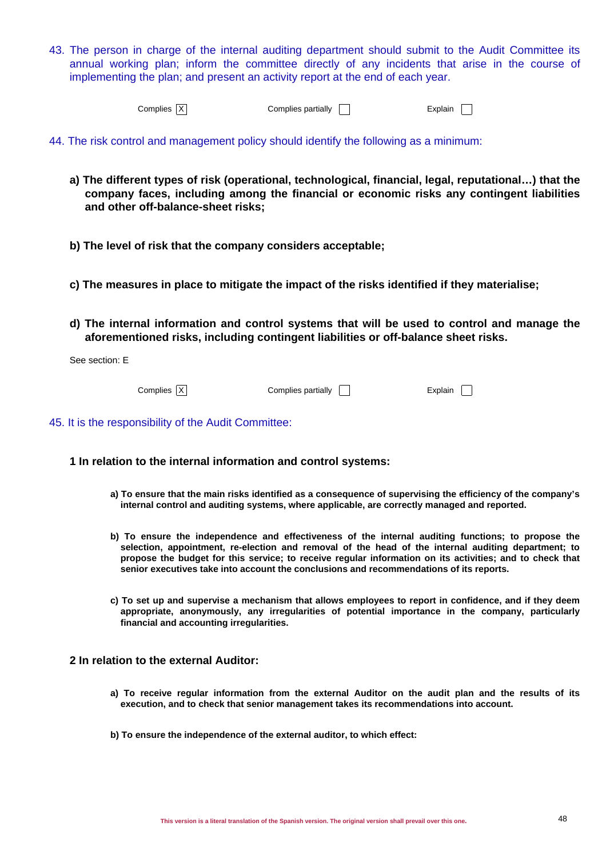43. The person in charge of the internal auditing department should submit to the Audit Committee its annual working plan; inform the committee directly of any incidents that arise in the course of implementing the plan; and present an activity report at the end of each year.

|  | Complies X | Complies partially | -xplain |  |
|--|------------|--------------------|---------|--|
|--|------------|--------------------|---------|--|

- 44. The risk control and management policy should identify the following as a minimum:
	- **a) The different types of risk (operational, technological, financial, legal, reputational…) that the company faces, including among the financial or economic risks any contingent liabilities and other off-balance-sheet risks;**
	- **b) The level of risk that the company considers acceptable;**

**c) The measures in place to mitigate the impact of the risks identified if they materialise;**

**d) The internal information and control systems that will be used to control and manage the aforementioned risks, including contingent liabilities or off-balance sheet risks.**

See section: E

 $Complies$   $\overline{X}$  Complies partially  $\overline{ }$  Explain  $\overline{ }$ 

45. It is the responsibility of the Audit Committee:

### **1 In relation to the internal information and control systems:**

- **a) To ensure that the main risks identified as a consequence of supervising the efficiency of the company's internal control and auditing systems, where applicable, are correctly managed and reported.**
- **b) To ensure the independence and effectiveness of the internal auditing functions; to propose the selection, appointment, re-election and removal of the head of the internal auditing department; to propose the budget for this service; to receive regular information on its activities; and to check that senior executives take into account the conclusions and recommendations of its reports.**
- **c) To set up and supervise a mechanism that allows employees to report in confidence, and if they deem appropriate, anonymously, any irregularities of potential importance in the company, particularly financial and accounting irregularities.**

### **2 In relation to the external Auditor:**

- **a) To receive regular information from the external Auditor on the audit plan and the results of its execution, and to check that senior management takes its recommendations into account.**
- **b) To ensure the independence of the external auditor, to which effect:**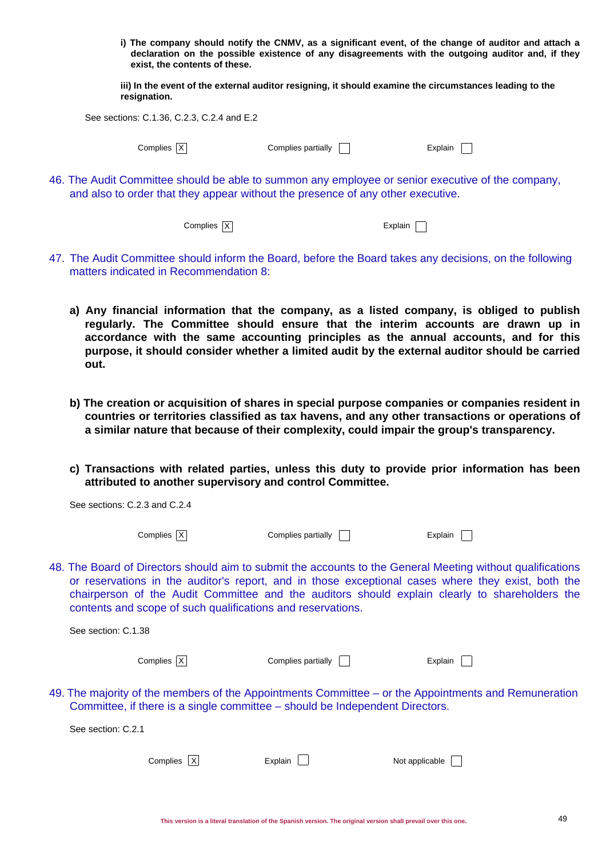**i) The company should notify the CNMV, as a significant event, of the change of auditor and attach a declaration on the possible existence of any disagreements with the outgoing auditor and, if they exist, the contents of these.**

**iii) In the event of the external auditor resigning, it should examine the circumstances leading to the resignation.**

See sections: C.1.36, C.2.3, C.2.4 and E.2

See sections: C.2.3 and C.2.4

 $Complex \overline{X}$  Complies partially  $\Box$  Explain  $\Box$ 

46. The Audit Committee should be able to summon any employee or senior executive of the company, and also to order that they appear without the presence of any other executive.

 $Complex \overline{X}$  Explain

- 47. The Audit Committee should inform the Board, before the Board takes any decisions, on the following matters indicated in Recommendation 8:
	- **a) Any financial information that the company, as a listed company, is obliged to publish regularly. The Committee should ensure that the interim accounts are drawn up in accordance with the same accounting principles as the annual accounts, and for this purpose, it should consider whether a limited audit by the external auditor should be carried out.**
	- **b) The creation or acquisition of shares in special purpose companies or companies resident in countries or territories classified as tax havens, and any other transactions or operations of a similar nature that because of their complexity, could impair the group's transparency.**
	- **c) Transactions with related parties, unless this duty to provide prior information has been attributed to another supervisory and control Committee.**

| Complies   X                                                                                                                                                                                                                                                                                                                                                                      | Complies partially | Explain        |  |
|-----------------------------------------------------------------------------------------------------------------------------------------------------------------------------------------------------------------------------------------------------------------------------------------------------------------------------------------------------------------------------------|--------------------|----------------|--|
| 48. The Board of Directors should aim to submit the accounts to the General Meeting without qualifications<br>or reservations in the auditor's report, and in those exceptional cases where they exist, both the<br>chairperson of the Audit Committee and the auditors should explain clearly to shareholders the<br>contents and scope of such qualifications and reservations. |                    |                |  |
| See section: C.1.38                                                                                                                                                                                                                                                                                                                                                               |                    |                |  |
| Complies   X                                                                                                                                                                                                                                                                                                                                                                      | Complies partially | Explain        |  |
| 49. The majority of the members of the Appointments Committee – or the Appointments and Remuneration<br>Committee, if there is a single committee - should be Independent Directors.                                                                                                                                                                                              |                    |                |  |
| See section: C.2.1                                                                                                                                                                                                                                                                                                                                                                |                    |                |  |
| Complies   X                                                                                                                                                                                                                                                                                                                                                                      | Explain            | Not applicable |  |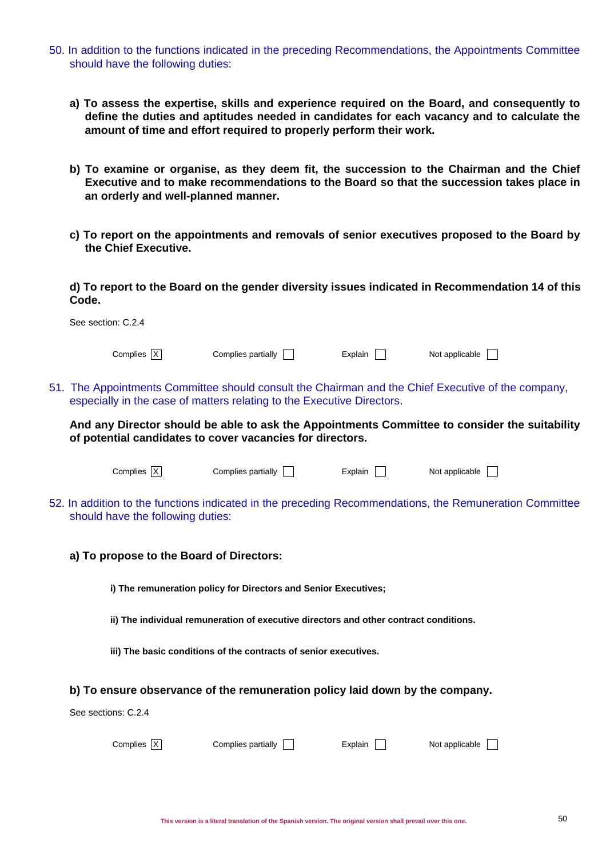- 50. In addition to the functions indicated in the preceding Recommendations, the Appointments Committee should have the following duties:
	- **a) To assess the expertise, skills and experience required on the Board, and consequently to define the duties and aptitudes needed in candidates for each vacancy and to calculate the amount of time and effort required to properly perform their work.**
	- **b) To examine or organise, as they deem fit, the succession to the Chairman and the Chief Executive and to make recommendations to the Board so that the succession takes place in an orderly and well-planned manner.**
	- **c) To report on the appointments and removals of senior executives proposed to the Board by the Chief Executive.**

**d) To report to the Board on the gender diversity issues indicated in Recommendation 14 of this Code.**

| See section: C.2.4                                                                                                                                                           |                    |         |                |  |
|------------------------------------------------------------------------------------------------------------------------------------------------------------------------------|--------------------|---------|----------------|--|
| Complies  X                                                                                                                                                                  | Complies partially | Explain | Not applicable |  |
| 51. The Appointments Committee should consult the Chairman and the Chief Executive of the company,<br>especially in the case of matters relating to the Executive Directors. |                    |         |                |  |
| And any Director should be able to ask the Appointments Committee to consider the suitability<br>of potential candidates to cover vacancies for directors.                   |                    |         |                |  |
| Complies IX                                                                                                                                                                  | Complies partially | Explain | Not applicable |  |

- 52. In addition to the functions indicated in the preceding Recommendations, the Remuneration Committee should have the following duties:
	- **a) To propose to the Board of Directors:**

**i) The remuneration policy for Directors and Senior Executives;**

- **ii) The individual remuneration of executive directors and other contract conditions.**
- **iii) The basic conditions of the contracts of senior executives.**

### **b) To ensure observance of the remuneration policy laid down by the company.**

See sections: C.2.4

| Complies $\overline{X}$ | Complies partially $\Box$ | Explain | Not applicable |
|-------------------------|---------------------------|---------|----------------|
|-------------------------|---------------------------|---------|----------------|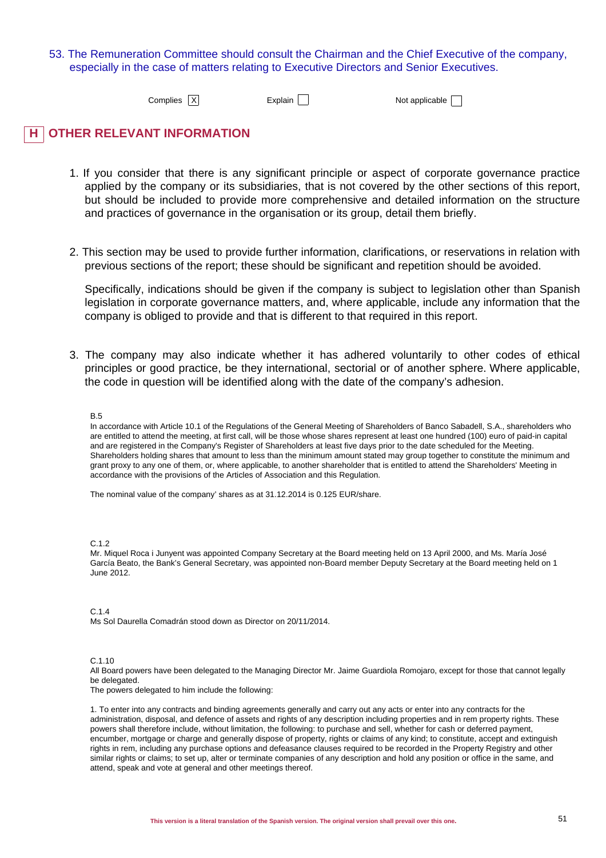### 53. The Remuneration Committee should consult the Chairman and the Chief Executive of the company, especially in the case of matters relating to Executive Directors and Senior Executives.

Complies  $\overline{X}$  Explain  $\overline{N}$  Explain  $\overline{N}$  Not applicable  $\overline{N}$ 

## **H OTHER RELEVANT INFORMATION**

- 1. If you consider that there is any significant principle or aspect of corporate governance practice applied by the company or its subsidiaries, that is not covered by the other sections of this report, but should be included to provide more comprehensive and detailed information on the structure and practices of governance in the organisation or its group, detail them briefly.
- 2. This section may be used to provide further information, clarifications, or reservations in relation with previous sections of the report; these should be significant and repetition should be avoided.

Specifically, indications should be given if the company is subject to legislation other than Spanish legislation in corporate governance matters, and, where applicable, include any information that the company is obliged to provide and that is different to that required in this report.

3. The company may also indicate whether it has adhered voluntarily to other codes of ethical principles or good practice, be they international, sectorial or of another sphere. Where applicable, the code in question will be identified along with the date of the company's adhesion.

#### B.5

In accordance with Article 10.1 of the Regulations of the General Meeting of Shareholders of Banco Sabadell, S.A., shareholders who are entitled to attend the meeting, at first call, will be those whose shares represent at least one hundred (100) euro of paid-in capital and are registered in the Company's Register of Shareholders at least five days prior to the date scheduled for the Meeting. Shareholders holding shares that amount to less than the minimum amount stated may group together to constitute the minimum and grant proxy to any one of them, or, where applicable, to another shareholder that is entitled to attend the Shareholders' Meeting in accordance with the provisions of the Articles of Association and this Regulation.

The nominal value of the company' shares as at 31.12.2014 is 0.125 EUR/share.

#### C. 1.2

Mr. Miquel Roca i Junyent was appointed Company Secretary at the Board meeting held on 13 April 2000, and Ms. María José García Beato, the Bank's General Secretary, was appointed non-Board member Deputy Secretary at the Board meeting held on 1 June 2012.

### C.1.4

Ms Sol Daurella Comadrán stood down as Director on 20/11/2014.

#### C.1.10

All Board powers have been delegated to the Managing Director Mr. Jaime Guardiola Romojaro, except for those that cannot legally be delegated.

The powers delegated to him include the following:

1. To enter into any contracts and binding agreements generally and carry out any acts or enter into any contracts for the administration, disposal, and defence of assets and rights of any description including properties and in rem property rights. These powers shall therefore include, without limitation, the following: to purchase and sell, whether for cash or deferred payment, encumber, mortgage or charge and generally dispose of property, rights or claims of any kind; to constitute, accept and extinguish rights in rem, including any purchase options and defeasance clauses required to be recorded in the Property Registry and other similar rights or claims; to set up, alter or terminate companies of any description and hold any position or office in the same, and attend, speak and vote at general and other meetings thereof.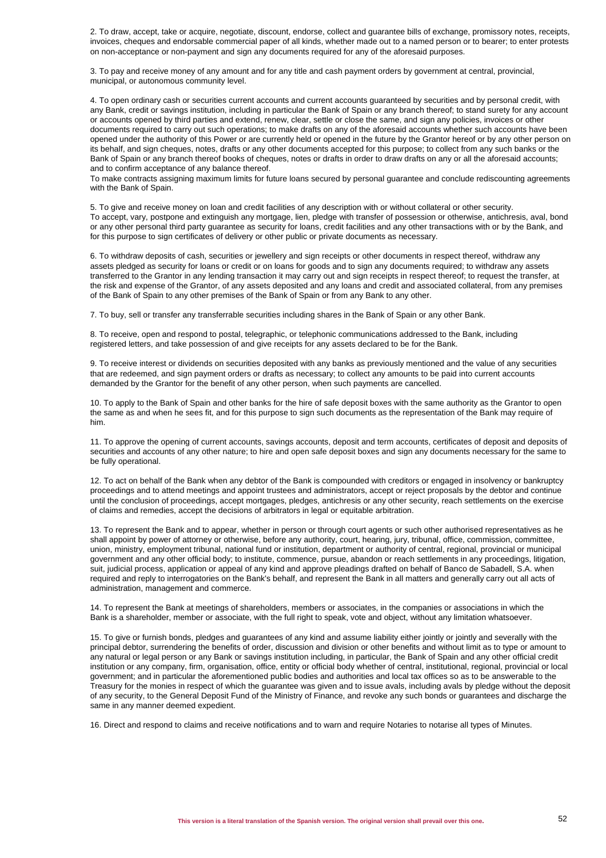2. To draw, accept, take or acquire, negotiate, discount, endorse, collect and guarantee bills of exchange, promissory notes, receipts, invoices, cheques and endorsable commercial paper of all kinds, whether made out to a named person or to bearer; to enter protests on non-acceptance or non-payment and sign any documents required for any of the aforesaid purposes.

3. To pay and receive money of any amount and for any title and cash payment orders by government at central, provincial, municipal, or autonomous community level.

4. To open ordinary cash or securities current accounts and current accounts guaranteed by securities and by personal credit, with any Bank, credit or savings institution, including in particular the Bank of Spain or any branch thereof; to stand surety for any account or accounts opened by third parties and extend, renew, clear, settle or close the same, and sign any policies, invoices or other documents required to carry out such operations; to make drafts on any of the aforesaid accounts whether such accounts have been opened under the authority of this Power or are currently held or opened in the future by the Grantor hereof or by any other person on its behalf, and sign cheques, notes, drafts or any other documents accepted for this purpose; to collect from any such banks or the Bank of Spain or any branch thereof books of cheques, notes or drafts in order to draw drafts on any or all the aforesaid accounts; and to confirm acceptance of any balance thereof.

To make contracts assigning maximum limits for future loans secured by personal guarantee and conclude rediscounting agreements with the Bank of Spain.

5. To give and receive money on loan and credit facilities of any description with or without collateral or other security. To accept, vary, postpone and extinguish any mortgage, lien, pledge with transfer of possession or otherwise, antichresis, aval, bond or any other personal third party guarantee as security for loans, credit facilities and any other transactions with or by the Bank, and for this purpose to sign certificates of delivery or other public or private documents as necessary.

6. To withdraw deposits of cash, securities or jewellery and sign receipts or other documents in respect thereof, withdraw any assets pledged as security for loans or credit or on loans for goods and to sign any documents required; to withdraw any assets transferred to the Grantor in any lending transaction it may carry out and sign receipts in respect thereof; to request the transfer, at the risk and expense of the Grantor, of any assets deposited and any loans and credit and associated collateral, from any premises of the Bank of Spain to any other premises of the Bank of Spain or from any Bank to any other.

7. To buy, sell or transfer any transferrable securities including shares in the Bank of Spain or any other Bank.

8. To receive, open and respond to postal, telegraphic, or telephonic communications addressed to the Bank, including registered letters, and take possession of and give receipts for any assets declared to be for the Bank.

9. To receive interest or dividends on securities deposited with any banks as previously mentioned and the value of any securities that are redeemed, and sign payment orders or drafts as necessary; to collect any amounts to be paid into current accounts demanded by the Grantor for the benefit of any other person, when such payments are cancelled.

10. To apply to the Bank of Spain and other banks for the hire of safe deposit boxes with the same authority as the Grantor to open the same as and when he sees fit, and for this purpose to sign such documents as the representation of the Bank may require of him.

11. To approve the opening of current accounts, savings accounts, deposit and term accounts, certificates of deposit and deposits of securities and accounts of any other nature; to hire and open safe deposit boxes and sign any documents necessary for the same to be fully operational.

12. To act on behalf of the Bank when any debtor of the Bank is compounded with creditors or engaged in insolvency or bankruptcy proceedings and to attend meetings and appoint trustees and administrators, accept or reject proposals by the debtor and continue until the conclusion of proceedings, accept mortgages, pledges, antichresis or any other security, reach settlements on the exercise of claims and remedies, accept the decisions of arbitrators in legal or equitable arbitration.

13. To represent the Bank and to appear, whether in person or through court agents or such other authorised representatives as he shall appoint by power of attorney or otherwise, before any authority, court, hearing, jury, tribunal, office, commission, committee, union, ministry, employment tribunal, national fund or institution, department or authority of central, regional, provincial or municipal government and any other official body; to institute, commence, pursue, abandon or reach settlements in any proceedings, litigation, suit, judicial process, application or appeal of any kind and approve pleadings drafted on behalf of Banco de Sabadell, S.A. when required and reply to interrogatories on the Bank's behalf, and represent the Bank in all matters and generally carry out all acts of administration, management and commerce.

14. To represent the Bank at meetings of shareholders, members or associates, in the companies or associations in which the Bank is a shareholder, member or associate, with the full right to speak, vote and object, without any limitation whatsoever.

15. To give or furnish bonds, pledges and guarantees of any kind and assume liability either jointly or jointly and severally with the principal debtor, surrendering the benefits of order, discussion and division or other benefits and without limit as to type or amount to any natural or legal person or any Bank or savings institution including, in particular, the Bank of Spain and any other official credit institution or any company, firm, organisation, office, entity or official body whether of central, institutional, regional, provincial or local government; and in particular the aforementioned public bodies and authorities and local tax offices so as to be answerable to the Treasury for the monies in respect of which the guarantee was given and to issue avals, including avals by pledge without the deposit of any security, to the General Deposit Fund of the Ministry of Finance, and revoke any such bonds or guarantees and discharge the same in any manner deemed expedient.

16. Direct and respond to claims and receive notifications and to warn and require Notaries to notarise all types of Minutes.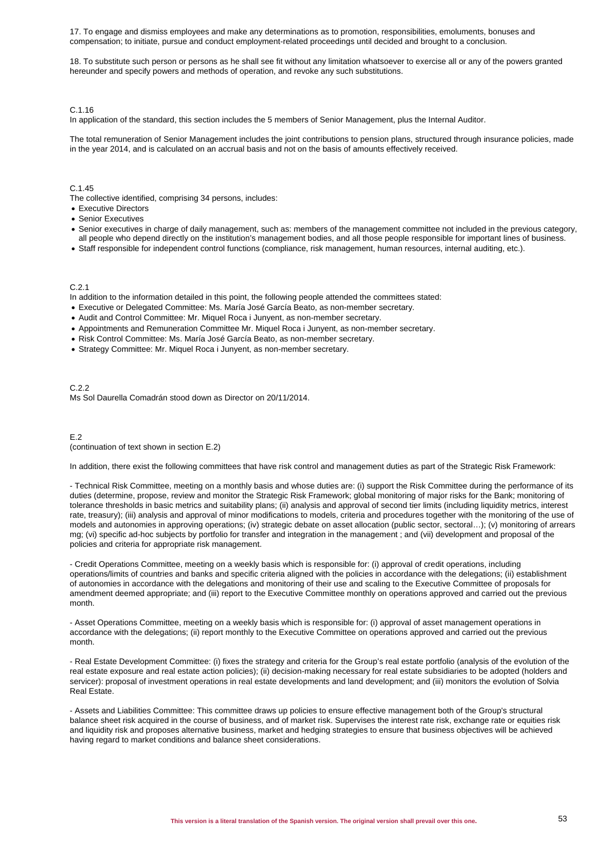17. To engage and dismiss employees and make any determinations as to promotion, responsibilities, emoluments, bonuses and compensation; to initiate, pursue and conduct employment-related proceedings until decided and brought to a conclusion.

18. To substitute such person or persons as he shall see fit without any limitation whatsoever to exercise all or any of the powers granted hereunder and specify powers and methods of operation, and revoke any such substitutions.

#### C.1.16

In application of the standard, this section includes the 5 members of Senior Management, plus the Internal Auditor.

The total remuneration of Senior Management includes the joint contributions to pension plans, structured through insurance policies, made in the year 2014, and is calculated on an accrual basis and not on the basis of amounts effectively received.

### $C.1.45$

The collective identified, comprising 34 persons, includes:

- Executive Directors
- Senior Executives
- Senior executives in charge of daily management, such as: members of the management committee not included in the previous category, all people who depend directly on the institution's management bodies, and all those people responsible for important lines of business.
- Staff responsible for independent control functions (compliance, risk management, human resources, internal auditing, etc.).

#### C.2.1

In addition to the information detailed in this point, the following people attended the committees stated:

- Executive or Delegated Committee: Ms. María José García Beato, as non-member secretary.
- Audit and Control Committee: Mr. Miquel Roca i Junyent, as non-member secretary.
- Appointments and Remuneration Committee Mr. Miquel Roca i Junyent, as non-member secretary.
- Risk Control Committee: Ms. María José García Beato, as non-member secretary.
- Strategy Committee: Mr. Miquel Roca i Junyent, as non-member secretary.

C.2.2 Ms Sol Daurella Comadrán stood down as Director on 20/11/2014.

#### E.2

#### (continuation of text shown in section E.2)

In addition, there exist the following committees that have risk control and management duties as part of the Strategic Risk Framework:

- Technical Risk Committee, meeting on a monthly basis and whose duties are: (i) support the Risk Committee during the performance of its duties (determine, propose, review and monitor the Strategic Risk Framework; global monitoring of major risks for the Bank; monitoring of tolerance thresholds in basic metrics and suitability plans; (ii) analysis and approval of second tier limits (including liquidity metrics, interest rate, treasury); (iii) analysis and approval of minor modifications to models, criteria and procedures together with the monitoring of the use of models and autonomies in approving operations; (iv) strategic debate on asset allocation (public sector, sectoral…); (v) monitoring of arrears mg; (vi) specific ad-hoc subjects by portfolio for transfer and integration in the management ; and (vii) development and proposal of the policies and criteria for appropriate risk management.

- Credit Operations Committee, meeting on a weekly basis which is responsible for: (i) approval of credit operations, including operations/limits of countries and banks and specific criteria aligned with the policies in accordance with the delegations; (ii) establishment of autonomies in accordance with the delegations and monitoring of their use and scaling to the Executive Committee of proposals for amendment deemed appropriate; and (iii) report to the Executive Committee monthly on operations approved and carried out the previous month.

- Asset Operations Committee, meeting on a weekly basis which is responsible for: (i) approval of asset management operations in accordance with the delegations; (ii) report monthly to the Executive Committee on operations approved and carried out the previous month.

- Real Estate Development Committee: (i) fixes the strategy and criteria for the Group's real estate portfolio (analysis of the evolution of the real estate exposure and real estate action policies); (ii) decision-making necessary for real estate subsidiaries to be adopted (holders and servicer): proposal of investment operations in real estate developments and land development; and (iii) monitors the evolution of Solvia Real Estate.

- Assets and Liabilities Committee: This committee draws up policies to ensure effective management both of the Group's structural balance sheet risk acquired in the course of business, and of market risk. Supervises the interest rate risk, exchange rate or equities risk and liquidity risk and proposes alternative business, market and hedging strategies to ensure that business objectives will be achieved having regard to market conditions and balance sheet considerations.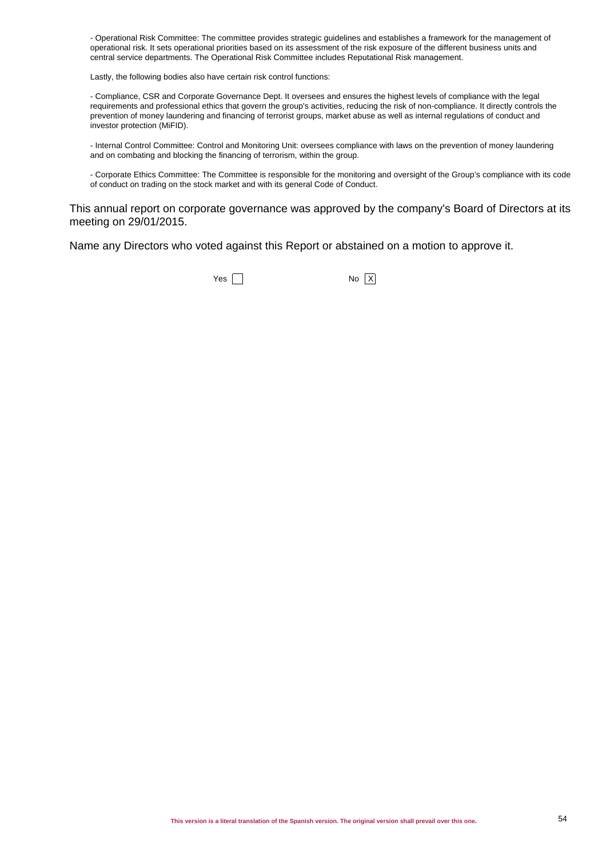- Operational Risk Committee: The committee provides strategic guidelines and establishes a framework for the management of operational risk. It sets operational priorities based on its assessment of the risk exposure of the different business units and central service departments. The Operational Risk Committee includes Reputational Risk management.

Lastly, the following bodies also have certain risk control functions:

- Compliance, CSR and Corporate Governance Dept. It oversees and ensures the highest levels of compliance with the legal requirements and professional ethics that govern the group's activities, reducing the risk of non-compliance. It directly controls the prevention of money laundering and financing of terrorist groups, market abuse as well as internal regulations of conduct and investor protection (MiFID).

- Internal Control Committee: Control and Monitoring Unit: oversees compliance with laws on the prevention of money laundering and on combating and blocking the financing of terrorism, within the group.

- Corporate Ethics Committee: The Committee is responsible for the monitoring and oversight of the Group's compliance with its code of conduct on trading on the stock market and with its general Code of Conduct.

This annual report on corporate governance was approved by the company's Board of Directors at its meeting on 29/01/2015.

Name any Directors who voted against this Report or abstained on a motion to approve it.

 $Yes \tN$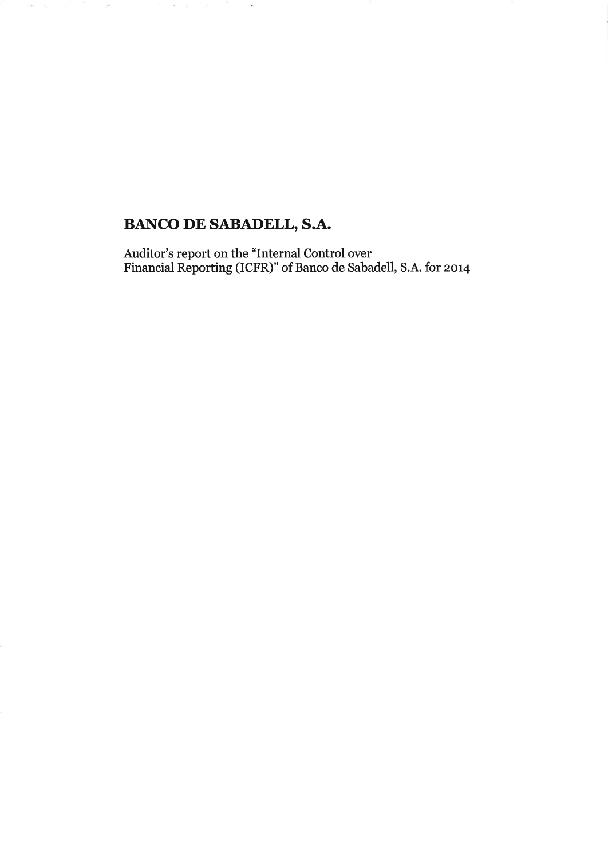# **BANCO DE SABADELL, S.A.**

 $\mathcal{P}_\ell$ 

 $\langle \tau \rangle = \epsilon_1$  , and  $\tau_1$ 

 $\mathcal{M}$ 

 $\sim$   $\sim$   $\sim$   $\sim$ 

Auditor's report on the "Internal Control over<br>Financial Reporting (ICFR)" of Banco de Sabadell, S.A. for 2014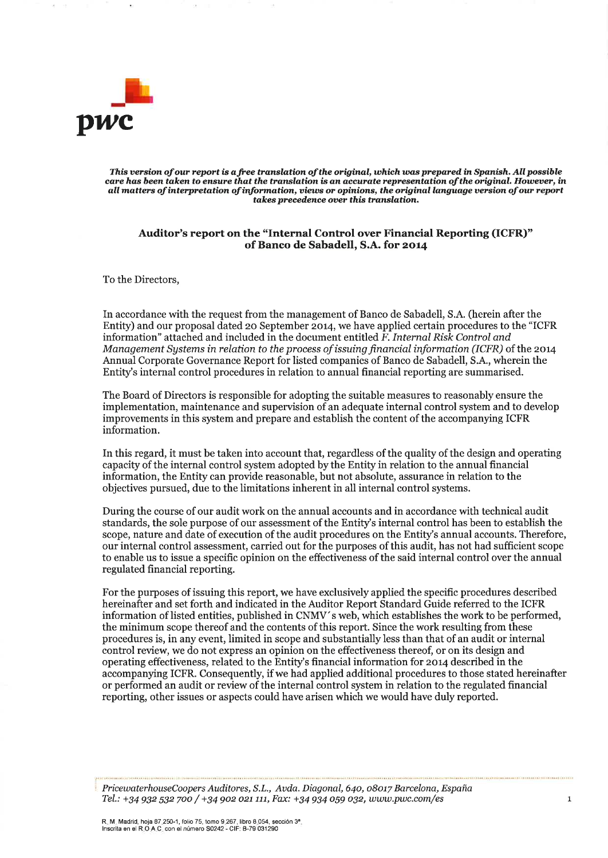

This version of our report is a free translation of the original, which was prepared in Spanish. All possible care has been taken to ensure that the translation is an accurate representation of the original. However, in all matters of interpretation of information, views or opinions, the original language version of our report takes precedence over this translation.

### Auditor's report on the "Internal Control over Financial Reporting (ICFR)" of Banco de Sabadell, S.A. for 2014

To the Directors,

In accordance with the request from the management of Banco de Sabadell, S.A. (herein after the Entity) and our proposal dated 20 September 2014, we have applied certain procedures to the "ICFR" information" attached and included in the document entitled F. Internal Risk Control and Management Systems in relation to the process of issuing financial information (ICFR) of the 2014 Annual Corporate Governance Report for listed companies of Banco de Sabadell, S.A., wherein the Entity's internal control procedures in relation to annual financial reporting are summarised.

The Board of Directors is responsible for adopting the suitable measures to reasonably ensure the implementation, maintenance and supervision of an adequate internal control system and to develop improvements in this system and prepare and establish the content of the accompanying ICFR information.

In this regard, it must be taken into account that, regardless of the quality of the design and operating capacity of the internal control system adopted by the Entity in relation to the annual financial information, the Entity can provide reasonable, but not absolute, assurance in relation to the objectives pursued, due to the limitations inherent in all internal control systems.

During the course of our audit work on the annual accounts and in accordance with technical audit standards, the sole purpose of our assessment of the Entity's internal control has been to establish the scope, nature and date of execution of the audit procedures on the Entity's annual accounts. Therefore, our internal control assessment, carried out for the purposes of this audit, has not had sufficient scope to enable us to issue a specific opinion on the effectiveness of the said internal control over the annual regulated financial reporting.

For the purposes of issuing this report, we have exclusively applied the specific procedures described hereinafter and set forth and indicated in the Auditor Report Standard Guide referred to the ICFR information of listed entities, published in CNMV's web, which establishes the work to be performed, the minimum scope thereof and the contents of this report. Since the work resulting from these procedures is, in any event, limited in scope and substantially less than that of an audit or internal control review, we do not express an opinion on the effectiveness thereof, or on its design and operating effectiveness, related to the Entity's financial information for 2014 described in the accompanying ICFR. Consequently, if we had applied additional procedures to those stated hereinafter or performed an audit or review of the internal control system in relation to the regulated financial reporting, other issues or aspects could have arisen which we would have duly reported.

PricewaterhouseCoopers Auditores, S.L., Avda. Diagonal, 640, 08017 Barcelona, España Tel.: +34 932 532 700 / +34 902 021 111, Fax: +34 934 059 032, www.pwc.com/es